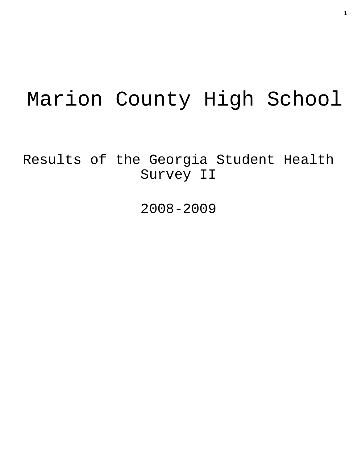# Marion County High School

Results of the Georgia Student Health Survey II

2008-2009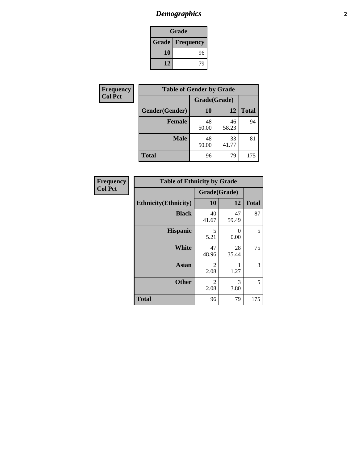# *Demographics* **2**

| Grade                    |    |  |  |
|--------------------------|----|--|--|
| <b>Grade   Frequency</b> |    |  |  |
| 10                       | 96 |  |  |
| 12                       | 74 |  |  |

| <b>Frequency</b> | <b>Table of Gender by Grade</b> |              |             |              |  |  |
|------------------|---------------------------------|--------------|-------------|--------------|--|--|
| <b>Col Pct</b>   |                                 | Grade(Grade) |             |              |  |  |
|                  | Gender(Gender)                  | 10           | 12          | <b>Total</b> |  |  |
|                  | <b>Female</b>                   | 48<br>50.00  | 46<br>58.23 | 94           |  |  |
|                  | <b>Male</b>                     | 48<br>50.00  | 33<br>41.77 | 81           |  |  |
|                  | <b>Total</b>                    | 96           | 79          | 175          |  |  |

| Frequency<br>Col Pct |  |
|----------------------|--|
|                      |  |

| <b>Table of Ethnicity by Grade</b> |                        |             |              |  |  |
|------------------------------------|------------------------|-------------|--------------|--|--|
|                                    | Grade(Grade)           |             |              |  |  |
| <b>Ethnicity</b> (Ethnicity)       | 10                     | 12          | <b>Total</b> |  |  |
| <b>Black</b>                       | 40<br>41.67            | 47<br>59.49 | 87           |  |  |
| <b>Hispanic</b>                    | 5<br>5.21              | 0<br>0.00   | 5            |  |  |
| White                              | 47<br>48.96            | 28<br>35.44 | 75           |  |  |
| <b>Asian</b>                       | 2<br>2.08              | 1<br>1.27   | 3            |  |  |
| <b>Other</b>                       | $\overline{2}$<br>2.08 | 3<br>3.80   | 5            |  |  |
| <b>Total</b>                       | 96                     | 79          | 175          |  |  |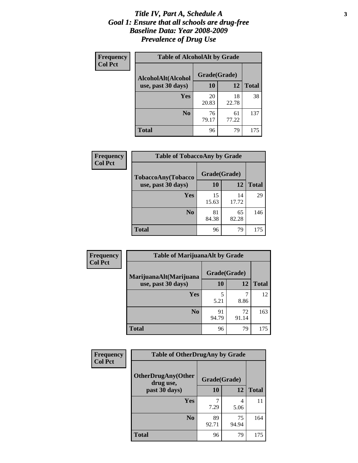#### *Title IV, Part A, Schedule A* **3** *Goal 1: Ensure that all schools are drug-free Baseline Data: Year 2008-2009 Prevalence of Drug Use*

| Frequency<br><b>Col Pct</b> | <b>Table of AlcoholAlt by Grade</b> |              |             |              |  |
|-----------------------------|-------------------------------------|--------------|-------------|--------------|--|
|                             | AlcoholAlt(Alcohol                  | Grade(Grade) |             |              |  |
|                             | use, past 30 days)                  | 10           | 12          | <b>Total</b> |  |
|                             | Yes                                 | 20<br>20.83  | 18<br>22.78 | 38           |  |
|                             | N <sub>0</sub>                      | 76<br>79.17  | 61<br>77.22 | 137          |  |
|                             | <b>Total</b>                        | 96           | 79          | 175          |  |

| <b>Frequency</b><br><b>Col Pct</b> | <b>Table of TobaccoAny by Grade</b> |              |             |              |  |
|------------------------------------|-------------------------------------|--------------|-------------|--------------|--|
|                                    | <b>TobaccoAny(Tobacco</b>           | Grade(Grade) |             |              |  |
|                                    | use, past 30 days)                  | 10           | 12          | <b>Total</b> |  |
|                                    | Yes                                 | 15<br>15.63  | 14<br>17.72 | 29           |  |
|                                    | N <sub>0</sub>                      | 81<br>84.38  | 65<br>82.28 | 146          |  |
|                                    | Total                               | 96           | 79          | 175          |  |

| Frequency<br><b>Col Pct</b> | <b>Table of MarijuanaAlt by Grade</b> |              |             |              |  |
|-----------------------------|---------------------------------------|--------------|-------------|--------------|--|
|                             | MarijuanaAlt(Marijuana                | Grade(Grade) |             |              |  |
|                             | use, past 30 days)                    | 10           | 12          | <b>Total</b> |  |
|                             | Yes                                   | 5<br>5.21    | 8.86        | 12           |  |
|                             | N <sub>0</sub>                        | 91<br>94.79  | 72<br>91.14 | 163          |  |
|                             | <b>Total</b>                          | 96           | 79          | 175          |  |

| Frequency      | <b>Table of OtherDrugAny by Grade</b>  |              |             |              |  |
|----------------|----------------------------------------|--------------|-------------|--------------|--|
| <b>Col Pct</b> | <b>OtherDrugAny(Other</b><br>drug use, | Grade(Grade) |             |              |  |
|                | past 30 days)                          | 10           | 12          | <b>Total</b> |  |
|                | <b>Yes</b>                             | 7.29         | 4<br>5.06   | 11           |  |
|                | N <sub>0</sub>                         | 89<br>92.71  | 75<br>94.94 | 164          |  |
|                | <b>Total</b>                           | 96           | 79          | 175          |  |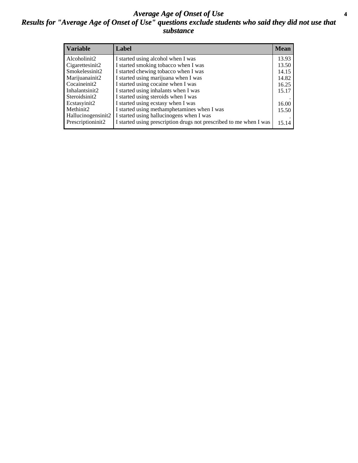#### *Average Age of Onset of Use* **4** *Results for "Average Age of Onset of Use" questions exclude students who said they did not use that substance*

| <b>Variable</b>    | Label                                                              | <b>Mean</b> |
|--------------------|--------------------------------------------------------------------|-------------|
| Alcoholinit2       | I started using alcohol when I was                                 | 13.93       |
| Cigarettesinit2    | I started smoking tobacco when I was                               | 13.50       |
| Smokelessinit2     | I started chewing tobacco when I was                               | 14.15       |
| Marijuanainit2     | I started using marijuana when I was                               | 14.82       |
| Cocaineinit2       | I started using cocaine when I was                                 | 16.25       |
| Inhalantsinit2     | I started using inhalants when I was                               | 15.17       |
| Steroidsinit2      | I started using steroids when I was                                |             |
| Ecstasyinit2       | I started using ecstasy when I was                                 | 16.00       |
| Methinit2          | I started using methamphetamines when I was                        | 15.50       |
| Hallucinogensinit2 | I started using hallucinogens when I was                           |             |
| Prescriptioninit2  | I started using prescription drugs not prescribed to me when I was | 15.14       |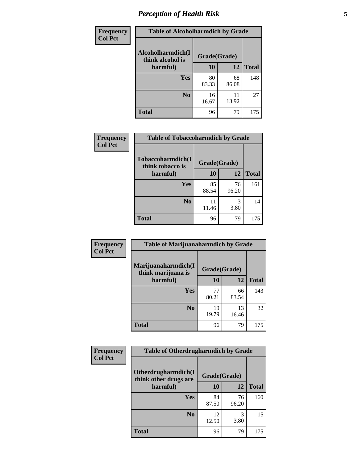# *Perception of Health Risk* **5**

| <b>Frequency</b> | <b>Table of Alcoholharmdich by Grade</b> |              |             |              |  |
|------------------|------------------------------------------|--------------|-------------|--------------|--|
| <b>Col Pct</b>   | Alcoholharmdich(I<br>think alcohol is    | Grade(Grade) |             |              |  |
|                  | harmful)                                 | 10           | 12          | <b>Total</b> |  |
|                  | Yes                                      | 80<br>83.33  | 68<br>86.08 | 148          |  |
|                  | N <sub>0</sub>                           | 16<br>16.67  | 11<br>13.92 | 27           |  |
|                  | <b>Total</b>                             | 96           | 79          | 175          |  |

| Frequency<br><b>Col Pct</b> | <b>Table of Tobaccoharmdich by Grade</b> |              |             |              |  |
|-----------------------------|------------------------------------------|--------------|-------------|--------------|--|
|                             | Tobaccoharmdich(I<br>think tobacco is    | Grade(Grade) |             |              |  |
|                             | harmful)                                 | 10           | 12          | <b>Total</b> |  |
|                             | Yes                                      | 85<br>88.54  | 76<br>96.20 | 161          |  |
|                             | N <sub>0</sub>                           | 11<br>11.46  | 3<br>3.80   | 14           |  |
|                             | <b>Total</b>                             | 96           | 79          | 175          |  |

| Frequency<br><b>Col Pct</b> | <b>Table of Marijuanaharmdich by Grade</b> |              |             |              |  |  |
|-----------------------------|--------------------------------------------|--------------|-------------|--------------|--|--|
|                             | Marijuanaharmdich(I<br>think marijuana is  | Grade(Grade) |             |              |  |  |
|                             | harmful)                                   | 10           | 12          | <b>Total</b> |  |  |
|                             | <b>Yes</b>                                 | 77<br>80.21  | 66<br>83.54 | 143          |  |  |
|                             | N <sub>0</sub>                             | 19<br>19.79  | 13<br>16.46 | 32           |  |  |
|                             | <b>Total</b>                               | 96           | 79          | 175          |  |  |

| Frequency      | <b>Table of Otherdrugharmdich by Grade</b>   |              |             |              |  |
|----------------|----------------------------------------------|--------------|-------------|--------------|--|
| <b>Col Pct</b> | Otherdrugharmdich(I<br>think other drugs are | Grade(Grade) |             |              |  |
|                | harmful)                                     | <b>10</b>    | 12          | <b>Total</b> |  |
|                | <b>Yes</b>                                   | 84<br>87.50  | 76<br>96.20 | 160          |  |
|                | N <sub>0</sub>                               | 12<br>12.50  | 3<br>3.80   | 15           |  |
|                | <b>Total</b>                                 | 96           | 79          | 175          |  |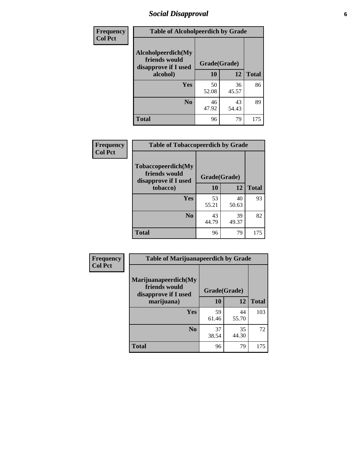# *Social Disapproval* **6**

| Frequency      | <b>Table of Alcoholpeerdich by Grade</b>                    |              |             |              |  |  |
|----------------|-------------------------------------------------------------|--------------|-------------|--------------|--|--|
| <b>Col Pct</b> | Alcoholpeerdich(My<br>friends would<br>disapprove if I used | Grade(Grade) |             |              |  |  |
|                | alcohol)                                                    | 10           | 12          | <b>Total</b> |  |  |
|                | <b>Yes</b>                                                  | 50<br>52.08  | 36<br>45.57 | 86           |  |  |
|                | N <sub>0</sub>                                              | 46<br>47.92  | 43<br>54.43 | 89           |  |  |
|                | <b>Total</b>                                                | 96           | 79          | 175          |  |  |

| <b>Frequency</b> |
|------------------|
| <b>Col Pct</b>   |

| <b>Table of Tobaccopeerdich by Grade</b>                    |             |              |              |  |  |
|-------------------------------------------------------------|-------------|--------------|--------------|--|--|
| Tobaccopeerdich(My<br>friends would<br>disapprove if I used |             | Grade(Grade) |              |  |  |
| tobacco)                                                    | 10          | 12           | <b>Total</b> |  |  |
| Yes                                                         | 53<br>55.21 | 40<br>50.63  | 93           |  |  |
| N <sub>0</sub>                                              | 43<br>44.79 | 39<br>49.37  | 82           |  |  |
| <b>Total</b>                                                | 96          | 79           | 175          |  |  |

| Frequency      | <b>Table of Marijuanapeerdich by Grade</b>                    |              |             |              |  |
|----------------|---------------------------------------------------------------|--------------|-------------|--------------|--|
| <b>Col Pct</b> | Marijuanapeerdich(My<br>friends would<br>disapprove if I used | Grade(Grade) |             |              |  |
|                | marijuana)                                                    | 10           | 12          | <b>Total</b> |  |
|                | <b>Yes</b>                                                    | 59<br>61.46  | 44<br>55.70 | 103          |  |
|                | N <sub>0</sub>                                                | 37<br>38.54  | 35<br>44.30 | 72           |  |
|                | <b>Total</b>                                                  | 96           | 79          | 175          |  |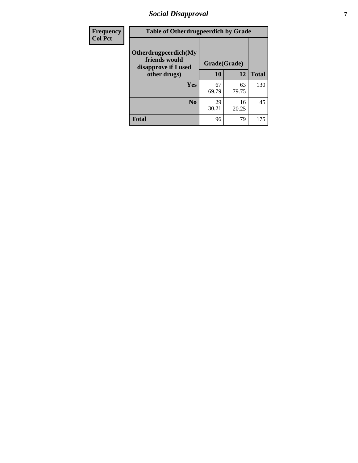# *Social Disapproval* **7**

| Frequency      | <b>Table of Otherdrugpeerdich by Grade</b>                    |              |             |              |  |
|----------------|---------------------------------------------------------------|--------------|-------------|--------------|--|
| <b>Col Pct</b> | Otherdrugpeerdich(My<br>friends would<br>disapprove if I used | Grade(Grade) |             |              |  |
|                | other drugs)                                                  | 10           | 12          | <b>Total</b> |  |
|                | Yes                                                           | 67<br>69.79  | 63<br>79.75 | 130          |  |
|                | N <sub>0</sub>                                                | 29<br>30.21  | 16<br>20.25 | 45           |  |
|                | <b>Total</b>                                                  | 96           | 79          | 175          |  |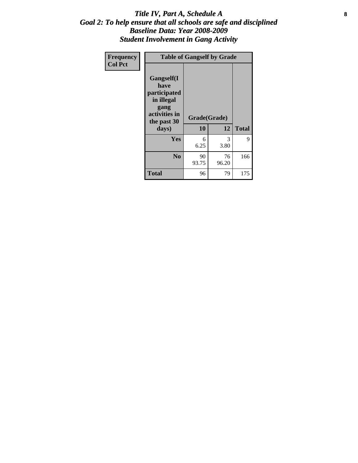#### Title IV, Part A, Schedule A **8** *Goal 2: To help ensure that all schools are safe and disciplined Baseline Data: Year 2008-2009 Student Involvement in Gang Activity*

| Frequency      | <b>Table of Gangself by Grade</b>                                                                 |                    |             |              |  |
|----------------|---------------------------------------------------------------------------------------------------|--------------------|-------------|--------------|--|
| <b>Col Pct</b> | Gangself(I<br>have<br>participated<br>in illegal<br>gang<br>activities in<br>the past 30<br>days) | Grade(Grade)<br>10 | 12          | <b>Total</b> |  |
|                | Yes                                                                                               | 6<br>6.25          | 3<br>3.80   | 9            |  |
|                | N <sub>0</sub>                                                                                    | 90<br>93.75        | 76<br>96.20 | 166          |  |
|                | <b>Total</b>                                                                                      | 96                 | 79          | 175          |  |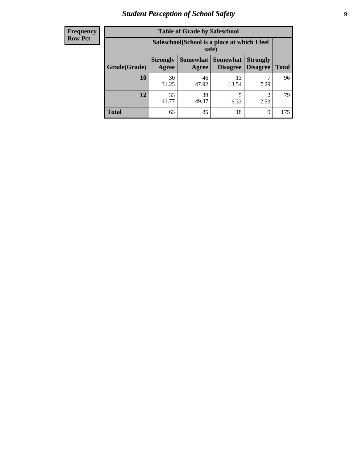# *Student Perception of School Safety* **9**

| <b>Frequency</b><br>Row Pct |
|-----------------------------|
|                             |

| <b>Table of Grade by Safeschool</b> |                          |                                                        |                                    |                                    |              |  |
|-------------------------------------|--------------------------|--------------------------------------------------------|------------------------------------|------------------------------------|--------------|--|
|                                     |                          | Safeschool (School is a place at which I feel<br>safe) |                                    |                                    |              |  |
| Grade(Grade)                        | <b>Strongly</b><br>Agree | Somewhat  <br>Agree                                    | <b>Somewhat</b><br><b>Disagree</b> | <b>Strongly</b><br><b>Disagree</b> | <b>Total</b> |  |
| <b>10</b>                           | 30<br>31.25              | 46<br>47.92                                            | 13<br>13.54                        | 7.29                               | 96           |  |
| 12                                  | 33<br>41.77              | 39<br>49.37                                            | 5<br>6.33                          | 2.53                               | 79.          |  |
| <b>Total</b>                        | 63                       | 85                                                     | 18                                 | 9                                  | 175          |  |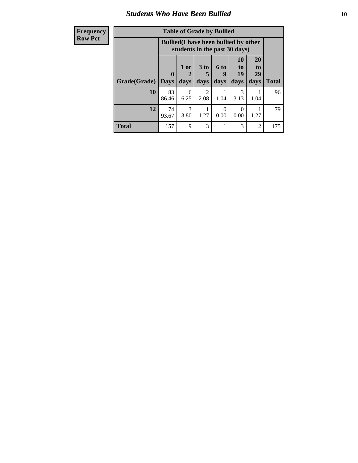#### *Students Who Have Been Bullied* **10**

| <b>Frequency</b> | <b>Table of Grade by Bullied</b> |                                                                               |                   |                         |                   |                               |                               |              |
|------------------|----------------------------------|-------------------------------------------------------------------------------|-------------------|-------------------------|-------------------|-------------------------------|-------------------------------|--------------|
| <b>Row Pct</b>   |                                  | <b>Bullied</b> (I have been bullied by other<br>students in the past 30 days) |                   |                         |                   |                               |                               |              |
|                  | Grade(Grade)                     | $\mathbf{0}$<br><b>Days</b>                                                   | 1 or<br>2<br>days | 3 <sub>to</sub><br>days | 6 to<br>9<br>days | <b>10</b><br>to<br>19<br>days | <b>20</b><br>to<br>29<br>days | <b>Total</b> |
|                  |                                  |                                                                               |                   |                         |                   |                               |                               |              |
|                  | 10                               | 83<br>86.46                                                                   | 6<br>6.25         | $\mathfrak{D}$<br>2.08  | 1.04              | 3<br>3.13                     | 1.04                          | 96           |
|                  | 12                               | 74<br>93.67                                                                   | 3<br>3.80         | 1.27                    | 0<br>0.00         | 0<br>0.00                     | 1.27                          | 79           |
|                  | <b>Total</b>                     | 157                                                                           | 9                 | 3                       |                   | 3                             | $\overline{2}$                | 175          |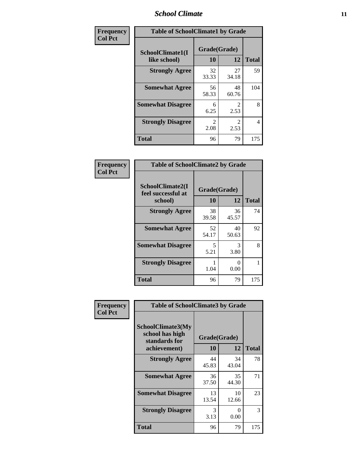#### *School Climate* **11**

| Frequency      | <b>Table of SchoolClimate1 by Grade</b> |                        |                        |              |  |  |
|----------------|-----------------------------------------|------------------------|------------------------|--------------|--|--|
| <b>Col Pct</b> | SchoolClimate1(I<br>like school)        | Grade(Grade)<br>10     | 12                     | <b>Total</b> |  |  |
|                | <b>Strongly Agree</b>                   | 32<br>33.33            | 27<br>34.18            | 59           |  |  |
|                | <b>Somewhat Agree</b>                   | 56<br>58.33            | 48<br>60.76            | 104          |  |  |
|                | <b>Somewhat Disagree</b>                | 6<br>6.25              | $\mathfrak{D}$<br>2.53 | 8            |  |  |
|                | <b>Strongly Disagree</b>                | $\mathfrak{D}$<br>2.08 | $\mathfrak{D}$<br>2.53 | 4            |  |  |
|                | <b>Total</b>                            | 96                     | 79                     | 175          |  |  |

| Frequency<br>Col Pct |
|----------------------|

| <b>Table of SchoolClimate2 by Grade</b>           |                    |             |              |  |  |
|---------------------------------------------------|--------------------|-------------|--------------|--|--|
| SchoolClimate2(I<br>feel successful at<br>school) | Grade(Grade)<br>10 | 12          | <b>Total</b> |  |  |
| <b>Strongly Agree</b>                             | 38<br>39.58        | 36<br>45.57 | 74           |  |  |
| <b>Somewhat Agree</b>                             | 52<br>54.17        | 40<br>50.63 | 92           |  |  |
| <b>Somewhat Disagree</b>                          | 5<br>5.21          | 3<br>3.80   | 8            |  |  |
| <b>Strongly Disagree</b>                          | 1.04               | 0.00        | 1            |  |  |
| <b>Total</b>                                      | 96                 | 79          | 175          |  |  |

| Frequency      | <b>Table of SchoolClimate3 by Grade</b>                                      |                    |             |              |
|----------------|------------------------------------------------------------------------------|--------------------|-------------|--------------|
| <b>Col Pct</b> | <b>SchoolClimate3(My</b><br>school has high<br>standards for<br>achievement) | Grade(Grade)<br>10 | 12          | <b>Total</b> |
|                | <b>Strongly Agree</b>                                                        | 44<br>45.83        | 34<br>43.04 | 78           |
|                | <b>Somewhat Agree</b>                                                        | 36<br>37.50        | 35<br>44.30 | 71           |
|                | <b>Somewhat Disagree</b>                                                     | 13<br>13.54        | 10<br>12.66 | 23           |
|                | <b>Strongly Disagree</b>                                                     | 3<br>3.13          | 0<br>0.00   | 3            |
|                | Total                                                                        | 96                 | 79          | 175          |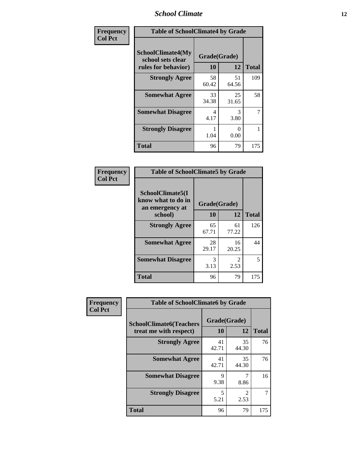### *School Climate* **12**

| Frequency      | <b>Table of SchoolClimate4 by Grade</b>                              |                    |             |              |
|----------------|----------------------------------------------------------------------|--------------------|-------------|--------------|
| <b>Col Pct</b> | <b>SchoolClimate4(My</b><br>school sets clear<br>rules for behavior) | Grade(Grade)<br>10 | 12          | <b>Total</b> |
|                | <b>Strongly Agree</b>                                                | 58<br>60.42        | 51<br>64.56 | 109          |
|                | <b>Somewhat Agree</b>                                                | 33<br>34.38        | 25<br>31.65 | 58           |
|                | <b>Somewhat Disagree</b>                                             | 4<br>4.17          | 3<br>3.80   | 7            |
|                | <b>Strongly Disagree</b>                                             | 1.04               | 0<br>0.00   | 1            |
|                | <b>Total</b>                                                         | 96                 | 79          | 175          |

| <b>Table of SchoolClimate5 by Grade</b>                              |                    |             |              |  |  |
|----------------------------------------------------------------------|--------------------|-------------|--------------|--|--|
| SchoolClimate5(I<br>know what to do in<br>an emergency at<br>school) | Grade(Grade)<br>10 | 12          | <b>Total</b> |  |  |
| <b>Strongly Agree</b>                                                | 65<br>67.71        | 61<br>77.22 | 126          |  |  |
| <b>Somewhat Agree</b>                                                | 28<br>29.17        | 16<br>20.25 | 44           |  |  |
| <b>Somewhat Disagree</b>                                             | 3<br>3.13          | 2<br>2.53   | 5            |  |  |
| <b>Total</b>                                                         | 96                 | 79          | 175          |  |  |

| Frequency      | <b>Table of SchoolClimate6 by Grade</b>                  |                    |             |              |
|----------------|----------------------------------------------------------|--------------------|-------------|--------------|
| <b>Col Pct</b> | <b>SchoolClimate6(Teachers</b><br>treat me with respect) | Grade(Grade)<br>10 | 12          | <b>Total</b> |
|                | <b>Strongly Agree</b>                                    | 41<br>42.71        | 35<br>44.30 | 76           |
|                | <b>Somewhat Agree</b>                                    | 41<br>42.71        | 35<br>44.30 | 76           |
|                | <b>Somewhat Disagree</b>                                 | 9<br>9.38          | 8.86        | 16           |
|                | <b>Strongly Disagree</b>                                 | 5<br>5.21          | 2<br>2.53   |              |
|                | <b>Total</b>                                             | 96                 | 79          | 175          |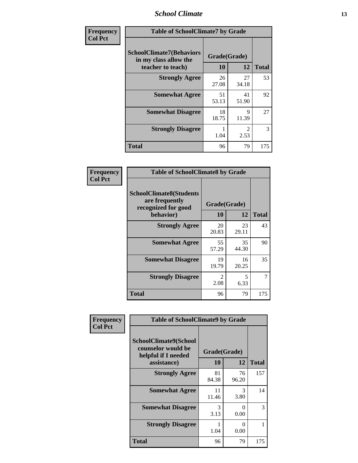### *School Climate* **13**

| Frequency      | <b>Table of SchoolClimate7 by Grade</b>                                       |                           |                        |              |
|----------------|-------------------------------------------------------------------------------|---------------------------|------------------------|--------------|
| <b>Col Pct</b> | <b>SchoolClimate7(Behaviors</b><br>in my class allow the<br>teacher to teach) | Grade(Grade)<br><b>10</b> | 12                     | <b>Total</b> |
|                | <b>Strongly Agree</b>                                                         | 26<br>27.08               | 27<br>34.18            | 53           |
|                | <b>Somewhat Agree</b>                                                         | 51<br>53.13               | 41<br>51.90            | 92           |
|                | <b>Somewhat Disagree</b>                                                      | 18<br>18.75               | $\mathbf Q$<br>11.39   | 27           |
|                | <b>Strongly Disagree</b>                                                      | 1.04                      | $\mathfrak{D}$<br>2.53 | 3            |
|                | <b>Total</b>                                                                  | 96                        | 79                     | 175          |

| Frequency      | <b>Table of SchoolClimate8 by Grade</b>                                 |                        |             |              |
|----------------|-------------------------------------------------------------------------|------------------------|-------------|--------------|
| <b>Col Pct</b> | <b>SchoolClimate8(Students</b><br>are frequently<br>recognized for good | Grade(Grade)           |             |              |
|                | behavior)                                                               | 10                     | 12          | <b>Total</b> |
|                | <b>Strongly Agree</b>                                                   | 20<br>20.83            | 23<br>29.11 | 43           |
|                | <b>Somewhat Agree</b>                                                   | 55<br>57.29            | 35<br>44.30 | 90           |
|                | <b>Somewhat Disagree</b>                                                | 19<br>19.79            | 16<br>20.25 | 35           |
|                | <b>Strongly Disagree</b>                                                | $\mathfrak{D}$<br>2.08 | 5<br>6.33   | 7            |
|                | <b>Total</b>                                                            | 96                     | 79          | 175          |

| Frequency      | <b>Table of SchoolClimate9 by Grade</b>                                                  |                    |             |              |
|----------------|------------------------------------------------------------------------------------------|--------------------|-------------|--------------|
| <b>Col Pct</b> | <b>SchoolClimate9(School</b><br>counselor would be<br>helpful if I needed<br>assistance) | Grade(Grade)<br>10 | 12          | <b>Total</b> |
|                | <b>Strongly Agree</b>                                                                    | 81<br>84.38        | 76<br>96.20 | 157          |
|                | <b>Somewhat Agree</b>                                                                    | 11<br>11.46        | 3<br>3.80   | 14           |
|                | <b>Somewhat Disagree</b>                                                                 | 3<br>3.13          | 0<br>0.00   | 3            |
|                | <b>Strongly Disagree</b>                                                                 | 1.04               | ∩<br>0.00   |              |
|                | Total                                                                                    | 96                 | 79          | 175          |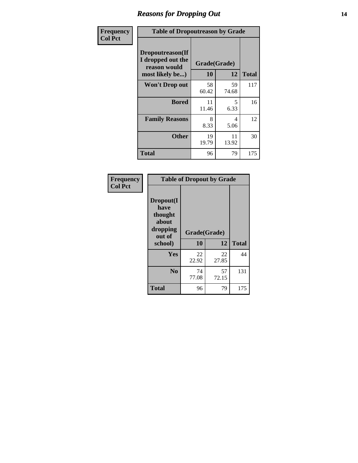### *Reasons for Dropping Out* **14**

| Frequency      | <b>Table of Dropoutreason by Grade</b>                |              |             |              |
|----------------|-------------------------------------------------------|--------------|-------------|--------------|
| <b>Col Pct</b> | Dropoutreason(If<br>I dropped out the<br>reason would | Grade(Grade) |             |              |
|                | most likely be)                                       | 10           | 12          | <b>Total</b> |
|                | <b>Won't Drop out</b>                                 | 58<br>60.42  | 59<br>74.68 | 117          |
|                | <b>Bored</b>                                          | 11<br>11.46  | 5<br>6.33   | 16           |
|                | <b>Family Reasons</b>                                 | 8<br>8.33    | 4<br>5.06   | 12           |
|                | <b>Other</b>                                          | 19<br>19.79  | 11<br>13.92 | 30           |
|                | <b>Total</b>                                          | 96           | 79          | 175          |

| Frequency<br><b>Col Pct</b> | <b>Table of Dropout by Grade</b>                                       |                    |             |              |
|-----------------------------|------------------------------------------------------------------------|--------------------|-------------|--------------|
|                             | Dropout(I<br>have<br>thought<br>about<br>dropping<br>out of<br>school) | Grade(Grade)<br>10 | 12          | <b>Total</b> |
|                             | <b>Yes</b>                                                             | 22<br>22.92        | 22<br>27.85 | 44           |
|                             | N <sub>0</sub>                                                         | 74<br>77.08        | 57<br>72.15 | 131          |
|                             | <b>Total</b>                                                           | 96                 | 79          | 175          |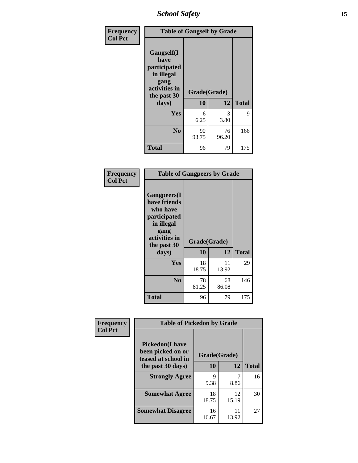*School Safety* **15**

| Frequency      | <b>Table of Gangself by Grade</b>                                                                 |                    |             |              |
|----------------|---------------------------------------------------------------------------------------------------|--------------------|-------------|--------------|
| <b>Col Pct</b> | Gangself(I<br>have<br>participated<br>in illegal<br>gang<br>activities in<br>the past 30<br>days) | Grade(Grade)<br>10 | 12          | <b>Total</b> |
|                | Yes                                                                                               | 6<br>6.25          | 3<br>3.80   | 9            |
|                | N <sub>0</sub>                                                                                    | 90<br>93.75        | 76<br>96.20 | 166          |
|                | <b>Total</b>                                                                                      | 96                 | 79          | 175          |

| Frequency<br><b>Col Pct</b> | <b>Table of Gangpeers by Grade</b>                                                                                             |                    |             |              |
|-----------------------------|--------------------------------------------------------------------------------------------------------------------------------|--------------------|-------------|--------------|
|                             | <b>Gangpeers</b> (I<br>have friends<br>who have<br>participated<br>in illegal<br>gang<br>activities in<br>the past 30<br>days) | Grade(Grade)<br>10 | 12          | <b>Total</b> |
|                             | <b>Yes</b>                                                                                                                     | 18<br>18.75        | 11<br>13.92 | 29           |
|                             | N <sub>0</sub>                                                                                                                 | 78<br>81.25        | 68<br>86.08 | 146          |
|                             | <b>Total</b>                                                                                                                   | 96                 | 79          | 175          |

| Frequency      | <b>Table of Pickedon by Grade</b>                                  |              |             |              |  |  |  |  |  |  |
|----------------|--------------------------------------------------------------------|--------------|-------------|--------------|--|--|--|--|--|--|
| <b>Col Pct</b> | <b>Pickedon(I have</b><br>been picked on or<br>teased at school in | Grade(Grade) |             |              |  |  |  |  |  |  |
|                | the past 30 days)                                                  | 10           | 12          | <b>Total</b> |  |  |  |  |  |  |
|                | <b>Strongly Agree</b>                                              | 9<br>9.38    | 8.86        | 16           |  |  |  |  |  |  |
|                | <b>Somewhat Agree</b>                                              | 18<br>18.75  | 12<br>15.19 | 30           |  |  |  |  |  |  |
|                | <b>Somewhat Disagree</b>                                           | 16<br>16.67  | 11<br>13.92 | 27           |  |  |  |  |  |  |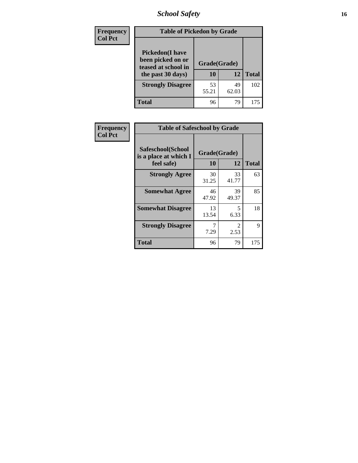*School Safety* **16**

| <b>Frequency</b> | <b>Table of Pickedon by Grade</b>                                                        |                    |             |              |  |  |  |  |  |
|------------------|------------------------------------------------------------------------------------------|--------------------|-------------|--------------|--|--|--|--|--|
| <b>Col Pct</b>   | <b>Pickedon</b> (I have<br>been picked on or<br>teased at school in<br>the past 30 days) | Grade(Grade)<br>10 | 12          | <b>Total</b> |  |  |  |  |  |
|                  | <b>Strongly Disagree</b>                                                                 | 53<br>55.21        | 49<br>62.03 | 102          |  |  |  |  |  |
|                  | <b>Total</b>                                                                             | 96                 | 79          | 175          |  |  |  |  |  |

| Frequency      |                                                          | <b>Table of Safeschool by Grade</b> |             |              |  |  |  |  |  |  |
|----------------|----------------------------------------------------------|-------------------------------------|-------------|--------------|--|--|--|--|--|--|
| <b>Col Pct</b> | Safeschool(School<br>is a place at which I<br>feel safe) | Grade(Grade)<br>10                  | 12          | <b>Total</b> |  |  |  |  |  |  |
|                | <b>Strongly Agree</b>                                    | 30<br>31.25                         | 33<br>41.77 | 63           |  |  |  |  |  |  |
|                | <b>Somewhat Agree</b>                                    | 46<br>47.92                         | 39<br>49.37 | 85           |  |  |  |  |  |  |
|                | <b>Somewhat Disagree</b>                                 | 13<br>13.54                         | 5<br>6.33   | 18           |  |  |  |  |  |  |
|                | <b>Strongly Disagree</b>                                 | 7.29                                | 2<br>2.53   | 9            |  |  |  |  |  |  |
|                | <b>Total</b>                                             | 96                                  | 79          | 175          |  |  |  |  |  |  |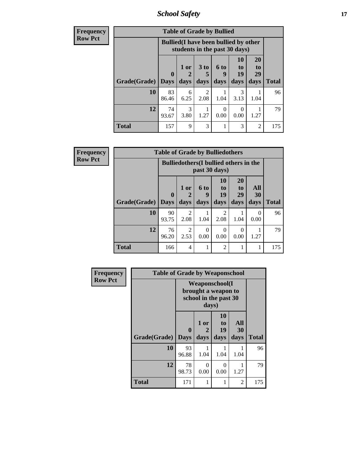*School Safety* **17**

| <b>Frequency</b> | <b>Table of Grade by Bullied</b> |                                                                               |              |                              |                          |                        |                        |              |  |  |  |
|------------------|----------------------------------|-------------------------------------------------------------------------------|--------------|------------------------------|--------------------------|------------------------|------------------------|--------------|--|--|--|
| <b>Row Pct</b>   |                                  | <b>Bullied</b> (I have been bullied by other<br>students in the past 30 days) |              |                              |                          |                        |                        |              |  |  |  |
|                  | Grade(Grade)   Days              | $\mathbf 0$                                                                   | 1 or<br>days | 3 <sub>to</sub><br>5<br>days | <b>6 to</b><br>9<br>days | 10<br>to<br>19<br>days | 20<br>to<br>29<br>days | <b>Total</b> |  |  |  |
|                  | 10                               | 83<br>86.46                                                                   | 6<br>6.25    | $\mathfrak{D}$<br>2.08       | 1.04                     | 3<br>3.13              | 1.04                   | 96           |  |  |  |
|                  | 12                               | 74<br>93.67                                                                   | 3<br>3.80    | 1.27                         | $\Omega$<br>0.00         | 0<br>0.00              | 1.27                   | 79           |  |  |  |
|                  | <b>Total</b>                     | 157                                                                           | 9            | 3                            |                          | 3                      | $\overline{2}$         | 175          |  |  |  |

| Frequency      |              | <b>Table of Grade by Bulliedothers</b>        |                        |                   |                               |                               |                   |              |
|----------------|--------------|-----------------------------------------------|------------------------|-------------------|-------------------------------|-------------------------------|-------------------|--------------|
| <b>Row Pct</b> |              | <b>Bulliedothers</b> (I bullied others in the |                        |                   |                               |                               |                   |              |
|                | Grade(Grade) | $\mathbf 0$<br><b>Days</b>                    | 1 or<br>days           | 6 to<br>9<br>days | <b>10</b><br>to<br>19<br>days | <b>20</b><br>to<br>29<br>days | All<br>30<br>days | <b>Total</b> |
|                |              |                                               |                        |                   |                               |                               |                   |              |
|                | 10           | 90<br>93.75                                   | 2<br>2.08              | 1.04              | 2<br>2.08                     | 1.04                          | 0<br>0.00         | 96           |
|                | 12           | 76<br>96.20                                   | $\overline{2}$<br>2.53 | 0<br>0.00         | $\theta$<br>0.00              | $\Omega$<br>0.00              | 1.27              | 79           |
|                | <b>Total</b> | 166                                           | $\overline{4}$         |                   | $\overline{2}$                |                               | 1                 | 175          |

| Frequency      | <b>Table of Grade by Weaponschool</b> |                                                                        |                   |                        |                          |              |  |  |  |  |
|----------------|---------------------------------------|------------------------------------------------------------------------|-------------------|------------------------|--------------------------|--------------|--|--|--|--|
| <b>Row Pct</b> |                                       | <b>Weaponschool</b> (I<br>brought a weapon to<br>school in the past 30 |                   |                        |                          |              |  |  |  |  |
|                | Grade(Grade)                          | $\boldsymbol{0}$<br><b>Days</b>                                        | 1 or<br>2<br>days | 10<br>to<br>19<br>days | <b>All</b><br>30<br>days | <b>Total</b> |  |  |  |  |
|                | 10                                    | 93<br>96.88                                                            | 1.04              | 1.04                   | 1.04                     | 96           |  |  |  |  |
|                | 12                                    | 78<br>98.73                                                            | 0<br>0.00         | 0<br>0.00              | 1.27                     | 79           |  |  |  |  |
|                | <b>Total</b>                          | 171                                                                    | 1                 | 1                      | 2                        | 175          |  |  |  |  |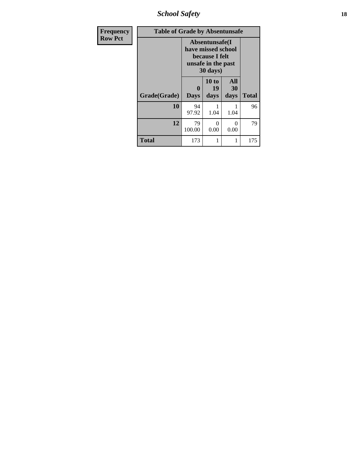*School Safety* **18**

| <b>Frequency</b> | <b>Table of Grade by Absentunsafe</b> |                                                                                           |                     |                          |              |  |  |  |
|------------------|---------------------------------------|-------------------------------------------------------------------------------------------|---------------------|--------------------------|--------------|--|--|--|
| <b>Row Pct</b>   |                                       | Absentunsafe(I)<br>have missed school<br>because I felt<br>unsafe in the past<br>30 days) |                     |                          |              |  |  |  |
|                  | Grade(Grade)                          | $\mathbf{0}$<br><b>Days</b>                                                               | 10 to<br>19<br>days | <b>All</b><br>30<br>days | <b>Total</b> |  |  |  |
|                  | 10                                    | 94<br>97.92                                                                               | 1<br>1.04           | 1.04                     | 96           |  |  |  |
|                  | 12                                    | 79<br>100.00                                                                              | 0<br>0.00           | 0<br>0.00                | 79           |  |  |  |
|                  | <b>Total</b>                          | 173                                                                                       | 1                   |                          | 175          |  |  |  |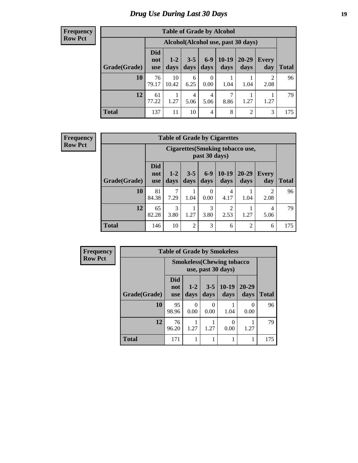# *Drug Use During Last 30 Days* **19**

#### **Frequency Row Pct**

| <b>Table of Grade by Alcohol</b> |                                 |                                     |                 |                  |               |                   |              |       |  |  |
|----------------------------------|---------------------------------|-------------------------------------|-----------------|------------------|---------------|-------------------|--------------|-------|--|--|
|                                  |                                 | Alcohol (Alcohol use, past 30 days) |                 |                  |               |                   |              |       |  |  |
| Grade(Grade)                     | <b>Did</b><br>not<br><b>use</b> | $1 - 2$<br>days                     | $3 - 5$<br>days | $6-9$<br>days    | 10-19<br>days | $20 - 29$<br>days | Every<br>day | Total |  |  |
| 10                               | 76<br>79.17                     | 10<br>10.42                         | 6<br>6.25       | $\theta$<br>0.00 | 1.04          | 1.04              | 2<br>2.08    | 96    |  |  |
| 12                               | 61<br>77.22                     | 1.27                                | 4<br>5.06       | 4<br>5.06        | 7<br>8.86     | 1.27              | 1.27         | 79    |  |  |
| <b>Total</b>                     | 137                             | 11                                  | 10              | 4                | 8             | 2                 | 3            | 175   |  |  |

#### **Frequency Row Pct**

| <b>Table of Grade by Cigarettes</b> |                                 |                                                   |                 |                  |                        |                   |                        |       |  |
|-------------------------------------|---------------------------------|---------------------------------------------------|-----------------|------------------|------------------------|-------------------|------------------------|-------|--|
|                                     |                                 | Cigarettes (Smoking tobacco use,<br>past 30 days) |                 |                  |                        |                   |                        |       |  |
| Grade(Grade)                        | <b>Did</b><br>not<br><b>use</b> | $1 - 2$<br>days                                   | $3 - 5$<br>days | $6-9$<br>days    | $10-19$<br>days        | $20 - 29$<br>days | <b>Every</b><br>day    | Total |  |
| 10                                  | 81<br>84.38                     | 7.29                                              | 1.04            | $\Omega$<br>0.00 | 4<br>4.17              | 1.04              | $\mathfrak{D}$<br>2.08 | 96    |  |
| 12                                  | 65<br>82.28                     | 3<br>3.80                                         | 1.27            | 3<br>3.80        | $\overline{2}$<br>2.53 | 1.27              | 4<br>5.06              | 79    |  |
| <b>Total</b>                        | 146                             | 10                                                | $\overline{2}$  | 3                | 6                      | $\overline{2}$    | 6                      | 175   |  |

| <b>Frequency</b> | <b>Table of Grade by Smokeless</b> |                          |                                                        |                 |                 |                   |              |  |  |
|------------------|------------------------------------|--------------------------|--------------------------------------------------------|-----------------|-----------------|-------------------|--------------|--|--|
| <b>Row Pct</b>   |                                    |                          | <b>Smokeless(Chewing tobacco</b><br>use, past 30 days) |                 |                 |                   |              |  |  |
|                  | Grade(Grade)                       | Did<br>not<br><b>use</b> | $1 - 2$<br>days                                        | $3 - 5$<br>days | $10-19$<br>days | $20 - 29$<br>days | <b>Total</b> |  |  |
|                  | 10                                 | 95<br>98.96              | 0<br>0.00                                              | 0<br>0.00       | 1.04            | 0<br>0.00         | 96           |  |  |
|                  | 12                                 | 76<br>96.20              | 1.27                                                   | 1.27            | 0<br>0.00       | 1.27              | 79           |  |  |
|                  | <b>Total</b>                       | 171                      | 1                                                      |                 | 1               |                   | 175          |  |  |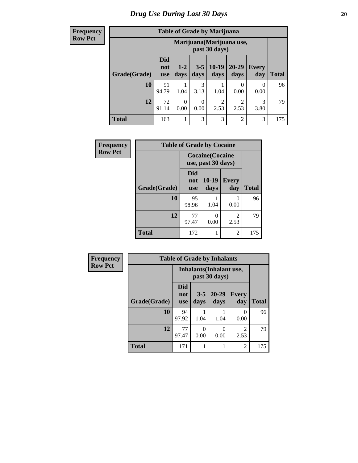**Frequency Row Pct**

| <b>Table of Grade by Marijuana</b> |                                 |                                            |                 |                        |                   |                     |              |  |  |  |
|------------------------------------|---------------------------------|--------------------------------------------|-----------------|------------------------|-------------------|---------------------|--------------|--|--|--|
|                                    |                                 | Marijuana (Marijuana use,<br>past 30 days) |                 |                        |                   |                     |              |  |  |  |
| Grade(Grade)                       | <b>Did</b><br>not<br><b>use</b> | $1 - 2$<br>days                            | $3 - 5$<br>days | $10-19$<br>days        | $20 - 29$<br>days | <b>Every</b><br>day | <b>Total</b> |  |  |  |
| 10                                 | 91<br>94.79                     | 1.04                                       | 3<br>3.13       | 1.04                   | 0<br>0.00         | 0<br>0.00           | 96           |  |  |  |
| 12                                 | 72<br>91.14                     | $\Omega$<br>0.00                           | 0.00            | $\overline{c}$<br>2.53 | 2<br>2.53         | 3<br>3.80           | 79           |  |  |  |
| <b>Total</b>                       | 163                             |                                            | 3               | 3                      | $\overline{2}$    | 3                   | 175          |  |  |  |

| Frequency      |              | <b>Table of Grade by Cocaine</b> |                                               |                       |              |  |  |  |  |  |  |
|----------------|--------------|----------------------------------|-----------------------------------------------|-----------------------|--------------|--|--|--|--|--|--|
| <b>Row Pct</b> |              |                                  | <b>Cocaine</b> (Cocaine<br>use, past 30 days) |                       |              |  |  |  |  |  |  |
|                | Grade(Grade) | <b>Did</b><br>not<br><b>use</b>  | 10-19<br>days                                 | <b>Every</b><br>day   | <b>Total</b> |  |  |  |  |  |  |
|                | 10           | 95<br>98.96                      | 1.04                                          | $\mathcal{O}$<br>0.00 | 96           |  |  |  |  |  |  |
|                | 12           | 77<br>97.47                      | ∩<br>0.00                                     | 2<br>2.53             | 79           |  |  |  |  |  |  |
|                | <b>Total</b> | 172                              |                                               | 2                     | 175          |  |  |  |  |  |  |

| Frequency      | <b>Table of Grade by Inhalants</b>               |                          |                 |                   |                        |              |
|----------------|--------------------------------------------------|--------------------------|-----------------|-------------------|------------------------|--------------|
| <b>Row Pct</b> | <b>Inhalants</b> (Inhalant use,<br>past 30 days) |                          |                 |                   |                        |              |
|                | Grade(Grade)                                     | <b>Did</b><br>not<br>use | $3 - 5$<br>days | $20 - 29$<br>days | Every<br>day           | <b>Total</b> |
|                | 10                                               | 94<br>97.92              | 1.04            | 1.04              | 0<br>0.00              | 96           |
|                | 12                                               | 77<br>97.47              | 0.00            | 0.00              | $\mathfrak{D}$<br>2.53 | 79           |
|                | <b>Total</b>                                     | 171                      |                 |                   | $\overline{c}$         | 175          |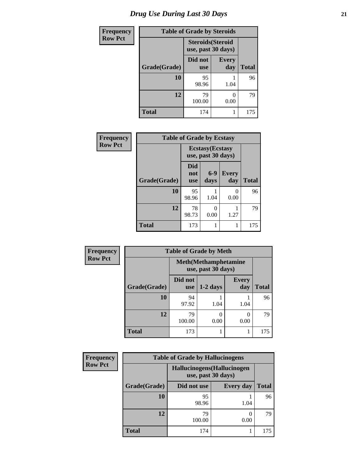| <b>Frequency</b> | <b>Table of Grade by Steroids</b> |                                                |                     |       |  |
|------------------|-----------------------------------|------------------------------------------------|---------------------|-------|--|
| <b>Row Pct</b>   |                                   | <b>Steroids</b> (Steroid<br>use, past 30 days) |                     |       |  |
|                  | Grade(Grade)                      | Did not<br><b>use</b>                          | <b>Every</b><br>day | Total |  |
|                  | 10                                | 95<br>98.96                                    | 1.04                | 96    |  |
|                  | 12                                | 79<br>100.00                                   | 0.00                | 79    |  |
|                  | <b>Total</b>                      | 174                                            |                     | 175   |  |

| Frequency      | <b>Table of Grade by Ecstasy</b> |                                 |                                               |                      |              |
|----------------|----------------------------------|---------------------------------|-----------------------------------------------|----------------------|--------------|
| <b>Row Pct</b> |                                  |                                 | <b>Ecstasy</b> (Ecstasy<br>use, past 30 days) |                      |              |
|                | Grade(Grade)                     | <b>Did</b><br>not<br><b>use</b> | $6 - 9$<br>days                               | <b>Every</b><br>day  | <b>Total</b> |
|                | 10                               | 95<br>98.96                     | 1.04                                          | $\mathbf{0}$<br>0.00 | 96           |
|                | 12                               | 78<br>98.73                     | 0<br>0.00                                     | 1.27                 | 79           |
|                | <b>Total</b>                     | 173                             |                                               | 1                    | 175          |

| <b>Frequency</b> | <b>Table of Grade by Meth</b> |                                                    |            |                     |              |  |  |
|------------------|-------------------------------|----------------------------------------------------|------------|---------------------|--------------|--|--|
| <b>Row Pct</b>   |                               | <b>Meth</b> (Methamphetamine<br>use, past 30 days) |            |                     |              |  |  |
|                  | Grade(Grade)                  | Did not<br><b>use</b>                              | $1-2$ days | <b>Every</b><br>day | <b>Total</b> |  |  |
|                  | 10                            | 94<br>97.92                                        | 1.04       | 1.04                | 96           |  |  |
|                  | 12                            | 79<br>100.00                                       | 0.00       | 0<br>0.00           | 79           |  |  |
|                  | <b>Total</b>                  | 173                                                |            |                     | 175          |  |  |

| <b>Frequency</b> |              | <b>Table of Grade by Hallucinogens</b>            |                  |              |  |  |
|------------------|--------------|---------------------------------------------------|------------------|--------------|--|--|
| <b>Row Pct</b>   |              | Hallucinogens (Hallucinogen<br>use, past 30 days) |                  |              |  |  |
|                  | Grade(Grade) | Did not use                                       | <b>Every day</b> | <b>Total</b> |  |  |
|                  | <b>10</b>    | 95<br>98.96                                       | 1.04             | 96           |  |  |
|                  | 12           | 79<br>100.00                                      | 0.00             | 79           |  |  |
|                  | <b>Total</b> | 174                                               |                  | 175          |  |  |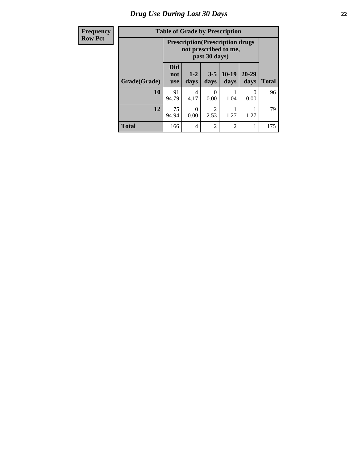# *Drug Use During Last 30 Days* **22**

| <b>Frequency</b> |  |
|------------------|--|
| <b>Row Pct</b>   |  |

# **Table of Grade by Prescription**

| uvuvy | Table of Graue by Frescription |                                                                                    |                 |                        |                 |                  |              |
|-------|--------------------------------|------------------------------------------------------------------------------------|-----------------|------------------------|-----------------|------------------|--------------|
| Pct   |                                | <b>Prescription</b> (Prescription drugs)<br>not prescribed to me,<br>past 30 days) |                 |                        |                 |                  |              |
|       | Grade(Grade)                   | <b>Did</b><br>not<br><b>use</b>                                                    | $1 - 2$<br>days | $3 - 5$<br>days        | $10-19$<br>days | 20-29<br>days    | <b>Total</b> |
|       | 10                             | 91<br>94.79                                                                        | 4<br>4.17       | 0<br>0.00              | 1.04            | $\theta$<br>0.00 | 96           |
|       | 12                             | 75<br>94.94                                                                        | 0.00            | $\overline{2}$<br>2.53 | 1.27            | 1.27             | 79           |
|       | <b>Total</b>                   | 166                                                                                | 4               | 2                      | $\overline{2}$  |                  | 175          |

┓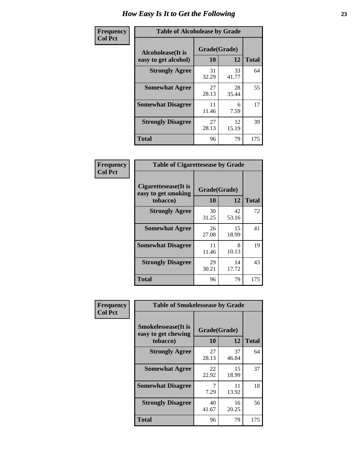| Frequency      | <b>Table of Alcoholease by Grade</b>              |                          |             |              |  |
|----------------|---------------------------------------------------|--------------------------|-------------|--------------|--|
| <b>Col Pct</b> | <b>Alcoholease</b> (It is<br>easy to get alcohol) | Grade(Grade)<br>10<br>12 |             | <b>Total</b> |  |
|                | <b>Strongly Agree</b>                             | 31<br>32.29              | 33<br>41.77 | 64           |  |
|                | <b>Somewhat Agree</b>                             | 27<br>28.13              | 28<br>35.44 | 55           |  |
|                | <b>Somewhat Disagree</b>                          | 11<br>11.46              | 6<br>7.59   | 17           |  |
|                | <b>Strongly Disagree</b>                          | 27<br>28.13              | 12<br>15.19 | 39           |  |
|                | <b>Total</b>                                      | 96                       | 79          | 175          |  |

| Frequency      | <b>Table of Cigarettesease by Grade</b>                 |                    |             |              |
|----------------|---------------------------------------------------------|--------------------|-------------|--------------|
| <b>Col Pct</b> | Cigarettesease(It is<br>easy to get smoking<br>tobacco) | Grade(Grade)<br>10 | 12          | <b>Total</b> |
|                | <b>Strongly Agree</b>                                   | 30<br>31.25        | 42<br>53.16 | 72           |
|                | <b>Somewhat Agree</b>                                   | 26<br>27.08        | 15<br>18.99 | 41           |
|                | <b>Somewhat Disagree</b>                                | 11<br>11.46        | 8<br>10.13  | 19           |
|                | <b>Strongly Disagree</b>                                | 29<br>30.21        | 14<br>17.72 | 43           |
|                | <b>Total</b>                                            | 96                 | 79          | 175          |

| Frequency      | <b>Table of Smokelessease by Grade</b>             |              |             |              |  |  |
|----------------|----------------------------------------------------|--------------|-------------|--------------|--|--|
| <b>Col Pct</b> | <b>Smokelessease</b> (It is<br>easy to get chewing | Grade(Grade) |             |              |  |  |
|                | tobacco)                                           | 10           | 12          | <b>Total</b> |  |  |
|                | <b>Strongly Agree</b>                              | 27<br>28.13  | 37<br>46.84 | 64           |  |  |
|                | <b>Somewhat Agree</b>                              | 22<br>22.92  | 15<br>18.99 | 37           |  |  |
|                | <b>Somewhat Disagree</b>                           | 7<br>7.29    | 11<br>13.92 | 18           |  |  |
|                | <b>Strongly Disagree</b>                           | 40<br>41.67  | 16<br>20.25 | 56           |  |  |
|                | Total                                              | 96           | 79          | 175          |  |  |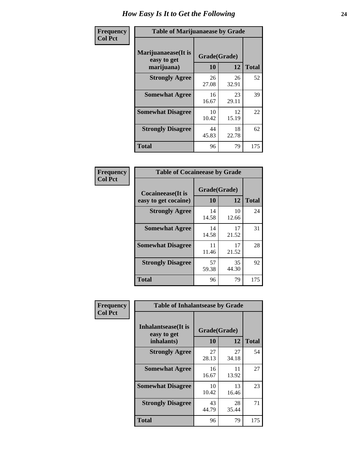| Frequency      | <b>Table of Marijuanaease by Grade</b>           |                    |             |              |  |
|----------------|--------------------------------------------------|--------------------|-------------|--------------|--|
| <b>Col Pct</b> | Marijuanaease(It is<br>easy to get<br>marijuana) | Grade(Grade)<br>10 | 12          | <b>Total</b> |  |
|                | <b>Strongly Agree</b>                            | 26<br>27.08        | 26<br>32.91 | 52           |  |
|                | <b>Somewhat Agree</b>                            | 16<br>16.67        | 23<br>29.11 | 39           |  |
|                | <b>Somewhat Disagree</b>                         | 10<br>10.42        | 12<br>15.19 | 22           |  |
|                | <b>Strongly Disagree</b>                         | 44<br>45.83        | 18<br>22.78 | 62           |  |
|                | <b>Total</b>                                     | 96                 | 79          | 175          |  |

| <b>Table of Cocaineease by Grade</b>              |                    |              |     |  |  |
|---------------------------------------------------|--------------------|--------------|-----|--|--|
| <b>Cocaineease</b> (It is<br>easy to get cocaine) | Grade(Grade)<br>10 | <b>Total</b> |     |  |  |
|                                                   |                    | 12           |     |  |  |
| <b>Strongly Agree</b>                             | 14<br>14.58        | 10<br>12.66  | 24  |  |  |
| <b>Somewhat Agree</b>                             | 14<br>14.58        | 17<br>21.52  | 31  |  |  |
| <b>Somewhat Disagree</b>                          | 11<br>11.46        | 17<br>21.52  | 28  |  |  |
| <b>Strongly Disagree</b>                          | 57<br>59.38        | 35<br>44.30  | 92  |  |  |
| <b>Total</b>                                      | 96                 | 79           | 175 |  |  |

| Frequency      | <b>Table of Inhalantsease by Grade</b>           |                    |             |              |  |  |  |  |  |  |
|----------------|--------------------------------------------------|--------------------|-------------|--------------|--|--|--|--|--|--|
| <b>Col Pct</b> | Inhalantsease(It is<br>easy to get<br>inhalants) | Grade(Grade)<br>10 | 12          | <b>Total</b> |  |  |  |  |  |  |
|                | <b>Strongly Agree</b>                            | 27<br>28.13        | 27<br>34.18 | 54           |  |  |  |  |  |  |
|                | <b>Somewhat Agree</b>                            | 16<br>16.67        | 11<br>13.92 | 27           |  |  |  |  |  |  |
|                | <b>Somewhat Disagree</b>                         | 10<br>10.42        | 13<br>16.46 | 23           |  |  |  |  |  |  |
|                | <b>Strongly Disagree</b>                         | 43<br>44.79        | 28<br>35.44 | 71           |  |  |  |  |  |  |
|                | <b>Total</b>                                     | 96                 | 79          | 175          |  |  |  |  |  |  |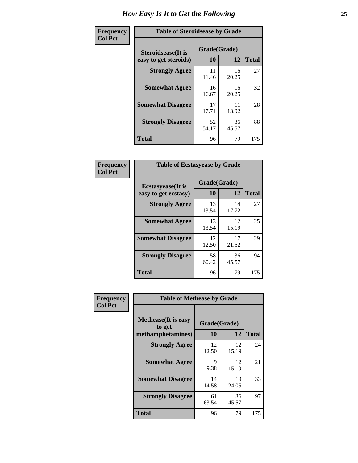| Frequency      | <b>Table of Steroidsease by Grade</b>               |                    |             |              |  |  |  |  |  |  |  |
|----------------|-----------------------------------------------------|--------------------|-------------|--------------|--|--|--|--|--|--|--|
| <b>Col Pct</b> | <b>Steroidsease</b> (It is<br>easy to get steroids) | Grade(Grade)<br>10 | 12          | <b>Total</b> |  |  |  |  |  |  |  |
|                | <b>Strongly Agree</b>                               | 11<br>11.46        | 16<br>20.25 | 27           |  |  |  |  |  |  |  |
|                | <b>Somewhat Agree</b>                               | 16<br>16.67        | 16<br>20.25 | 32           |  |  |  |  |  |  |  |
|                | <b>Somewhat Disagree</b>                            | 17<br>17.71        | 11<br>13.92 | 28           |  |  |  |  |  |  |  |
|                | <b>Strongly Disagree</b>                            | 52<br>54.17        | 36<br>45.57 | 88           |  |  |  |  |  |  |  |
|                | <b>Total</b>                                        | 96                 | 79          | 175          |  |  |  |  |  |  |  |

| Frequency      | <b>Table of Ecstasyease by Grade</b>              |                    |             |              |  |  |  |  |  |
|----------------|---------------------------------------------------|--------------------|-------------|--------------|--|--|--|--|--|
| <b>Col Pct</b> | <b>Ecstasyease</b> (It is<br>easy to get ecstasy) | Grade(Grade)<br>10 | 12          | <b>Total</b> |  |  |  |  |  |
|                | <b>Strongly Agree</b>                             | 13<br>13.54        | 14<br>17.72 | 27           |  |  |  |  |  |
|                | <b>Somewhat Agree</b>                             | 13<br>13.54        | 12<br>15.19 | 25           |  |  |  |  |  |
|                | <b>Somewhat Disagree</b>                          | 12<br>12.50        | 17<br>21.52 | 29           |  |  |  |  |  |
|                | <b>Strongly Disagree</b>                          | 58<br>60.42        | 36<br>45.57 | 94           |  |  |  |  |  |
|                | <b>Total</b>                                      | 96                 | 79          | 175          |  |  |  |  |  |

| Frequency      | <b>Table of Methease by Grade</b>     |              |             |              |  |  |  |  |  |  |  |
|----------------|---------------------------------------|--------------|-------------|--------------|--|--|--|--|--|--|--|
| <b>Col Pct</b> | <b>Methease</b> (It is easy<br>to get | Grade(Grade) |             |              |  |  |  |  |  |  |  |
|                | methamphetamines)                     | <b>10</b>    | 12          | <b>Total</b> |  |  |  |  |  |  |  |
|                | <b>Strongly Agree</b>                 | 12<br>12.50  | 12<br>15.19 | 24           |  |  |  |  |  |  |  |
|                | <b>Somewhat Agree</b>                 | 9<br>9.38    | 12<br>15.19 | 21           |  |  |  |  |  |  |  |
|                | <b>Somewhat Disagree</b>              | 14<br>14.58  | 19<br>24.05 | 33           |  |  |  |  |  |  |  |
|                | <b>Strongly Disagree</b>              | 61<br>63.54  | 36<br>45.57 | 97           |  |  |  |  |  |  |  |
|                | <b>Total</b>                          | 96           | 79          | 175          |  |  |  |  |  |  |  |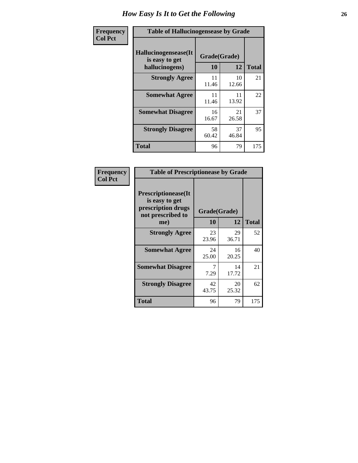| <b>Frequency</b> | <b>Table of Hallucinogensease by Grade</b>               |                    |             |              |  |  |  |  |  |  |
|------------------|----------------------------------------------------------|--------------------|-------------|--------------|--|--|--|--|--|--|
| <b>Col Pct</b>   | Hallucinogensease(It<br>is easy to get<br>hallucinogens) | Grade(Grade)<br>10 | 12          | <b>Total</b> |  |  |  |  |  |  |
|                  | <b>Strongly Agree</b>                                    | 11<br>11.46        | 10<br>12.66 | 21           |  |  |  |  |  |  |
|                  | <b>Somewhat Agree</b>                                    | 11<br>11.46        | 11<br>13.92 | 22           |  |  |  |  |  |  |
|                  | <b>Somewhat Disagree</b>                                 | 16<br>16.67        | 21<br>26.58 | 37           |  |  |  |  |  |  |
|                  | <b>Strongly Disagree</b>                                 | 58<br>60.42        | 37<br>46.84 | 95           |  |  |  |  |  |  |
|                  | <b>Total</b>                                             | 96                 | 79          | 175          |  |  |  |  |  |  |

| Frequency<br>  Col Pct |
|------------------------|
|                        |

| <b>Table of Prescriptionease by Grade</b>                                                |             |              |              |  |  |  |  |  |  |
|------------------------------------------------------------------------------------------|-------------|--------------|--------------|--|--|--|--|--|--|
| <b>Prescriptionease</b> (It<br>is easy to get<br>prescription drugs<br>not prescribed to |             | Grade(Grade) |              |  |  |  |  |  |  |
| me)                                                                                      | 10          | 12           | <b>Total</b> |  |  |  |  |  |  |
| <b>Strongly Agree</b>                                                                    | 23<br>23.96 | 29<br>36.71  | 52           |  |  |  |  |  |  |
| <b>Somewhat Agree</b>                                                                    | 24<br>25.00 | 16<br>20.25  | 40           |  |  |  |  |  |  |
| <b>Somewhat Disagree</b>                                                                 | 7.29        | 14<br>17.72  | 21           |  |  |  |  |  |  |
| <b>Strongly Disagree</b>                                                                 | 42<br>43.75 | 20<br>25.32  | 62           |  |  |  |  |  |  |
| Total                                                                                    | 96          | 79           | 175          |  |  |  |  |  |  |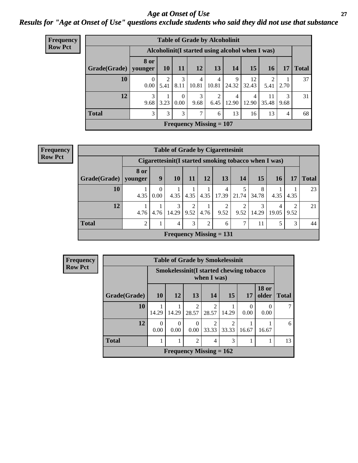#### *Age at Onset of Use* **27** *Results for "Age at Onset of Use" questions exclude students who said they did not use that substance*

| <b>Frequency</b> | <b>Table of Grade by Alcoholinit</b> |                                                  |           |                  |                           |                         |            |                         |             |                |              |  |  |  |
|------------------|--------------------------------------|--------------------------------------------------|-----------|------------------|---------------------------|-------------------------|------------|-------------------------|-------------|----------------|--------------|--|--|--|
| <b>Row Pct</b>   |                                      | Alcoholinit (I started using alcohol when I was) |           |                  |                           |                         |            |                         |             |                |              |  |  |  |
|                  | Grade(Grade)   younger               | 8 or                                             | 10        | 11               | 12                        | 13                      | 14         | 15                      | <b>16</b>   | 17             | <b>Total</b> |  |  |  |
|                  | 10                                   | $\Omega$<br>0.00                                 | 2<br>5.41 | 3<br>8.11        | 4<br>10.81                | $\overline{4}$<br>10.81 | 9<br>24.32 | 12<br>32.43             | 2<br>5.41   | 2.70           | 37           |  |  |  |
|                  | 12                                   | 3<br>9.68                                        | 3.23      | $\Omega$<br>0.00 | 3<br>9.68                 | 2<br>6.45               | 4<br>12.90 | $\overline{4}$<br>12.90 | 11<br>35.48 | 3<br>9.68      | 31           |  |  |  |
|                  | <b>Total</b>                         | 3                                                | 3         | 3                | 7                         | 6                       | 13         | 16                      | 13          | $\overline{4}$ | 68           |  |  |  |
|                  |                                      |                                                  |           |                  | Frequency Missing $= 107$ |                         |            |                         |             |                |              |  |  |  |

**Frequency Row Pct**

| <b>Table of Grade by Cigarettesinit</b> |                           |                                                       |                |                        |                |                        |                       |            |            |                       |              |  |
|-----------------------------------------|---------------------------|-------------------------------------------------------|----------------|------------------------|----------------|------------------------|-----------------------|------------|------------|-----------------------|--------------|--|
|                                         |                           | Cigarettesinit (I started smoking tobacco when I was) |                |                        |                |                        |                       |            |            |                       |              |  |
| Grade(Grade)                            | 8 or<br>vounger           | 9                                                     | 10             | 11                     | 12             | 13                     | 14                    | <b>15</b>  | <b>16</b>  | 17                    | <b>Total</b> |  |
| 10                                      | 4.35                      | 0<br>0.00                                             | 4.35           | 4.35                   | 4.35           | 4<br>17.39             | 21.74                 | 8<br>34.78 | 4.35       | 4.35                  | 23           |  |
| 12                                      | 4.76                      | 4.76                                                  | 3<br>14.29     | $\mathfrak{D}$<br>9.52 | 4.76           | $\overline{2}$<br>9.52 | $\mathcal{D}$<br>9.52 | 3<br>14.29 | 4<br>19.05 | $\mathcal{D}$<br>9.52 | 21           |  |
| <b>Total</b>                            | 2                         |                                                       | $\overline{4}$ | 3                      | $\overline{2}$ | 6                      | 7                     | 11         | 5          | 3                     | 44           |  |
|                                         | Frequency Missing $= 131$ |                                                       |                |                        |                |                        |                       |            |            |                       |              |  |

| Frequency      |
|----------------|
| <b>Row Pct</b> |

| <b>Table of Grade by Smokelessinit</b>                                                    |                                                                                                           |                                                           |  |  |  |  |  |  |  |  |  |  |
|-------------------------------------------------------------------------------------------|-----------------------------------------------------------------------------------------------------------|-----------------------------------------------------------|--|--|--|--|--|--|--|--|--|--|
|                                                                                           |                                                                                                           | Smokelessinit (I started chewing tobacco<br>when $I$ was) |  |  |  |  |  |  |  |  |  |  |
| <b>18 or</b><br>15<br>10<br>12<br>13<br>Grade(Grade)<br>14<br>older<br><b>Total</b><br>17 |                                                                                                           |                                                           |  |  |  |  |  |  |  |  |  |  |
| 10                                                                                        | $\overline{c}$<br>0<br>28.57<br>28.57<br>14.29<br>14.29<br>14.29<br>0.00<br>0.00                          |                                                           |  |  |  |  |  |  |  |  |  |  |
| 12                                                                                        | $\mathcal{D}$<br>$\mathcal{D}$<br>0<br>0<br>0<br>0.00<br>33.33<br>33.33<br>0.00<br>0.00<br>16.67<br>16.67 |                                                           |  |  |  |  |  |  |  |  |  |  |
| <b>Total</b>                                                                              | $\mathfrak{D}$<br>3<br>4                                                                                  |                                                           |  |  |  |  |  |  |  |  |  |  |
|                                                                                           | Frequency Missing $= 162$                                                                                 |                                                           |  |  |  |  |  |  |  |  |  |  |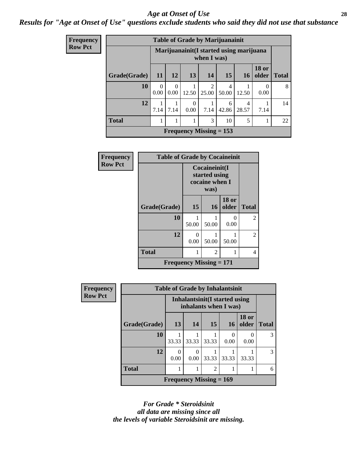#### *Age at Onset of Use* **28**

### *Results for "Age at Onset of Use" questions exclude students who said they did not use that substance*

| Frequency      |              | <b>Table of Grade by Marijuanainit</b> |                                                           |                  |                           |                         |            |                          |              |  |  |  |  |  |
|----------------|--------------|----------------------------------------|-----------------------------------------------------------|------------------|---------------------------|-------------------------|------------|--------------------------|--------------|--|--|--|--|--|
| <b>Row Pct</b> |              |                                        | Marijuanainit (I started using marijuana<br>when $I$ was) |                  |                           |                         |            |                          |              |  |  |  |  |  |
|                | Grade(Grade) | <b>11</b>                              | <b>12</b>                                                 | 13               | <b>14</b>                 | 15                      | <b>16</b>  | <b>18 or</b><br>older    | <b>Total</b> |  |  |  |  |  |
|                | 10           | $\Omega$<br>0.00                       | $\Omega$<br>0.00                                          | 12.50            | $\overline{2}$<br>25.00   | $\overline{4}$<br>50.00 | 12.50      | $\left( \right)$<br>0.00 | 8            |  |  |  |  |  |
|                | 12           | 7.14                                   | 7.14                                                      | $\theta$<br>0.00 | 7.14                      | 6<br>42.86              | 4<br>28.57 | 7.14                     | 14           |  |  |  |  |  |
|                | <b>Total</b> |                                        | 1                                                         | 1                | 3                         | 10                      | 5          |                          | 22           |  |  |  |  |  |
|                |              |                                        |                                                           |                  | Frequency Missing $= 153$ |                         |            |                          |              |  |  |  |  |  |

| Frequency      | <b>Table of Grade by Cocaineinit</b> |                                                          |                |                           |                |  |
|----------------|--------------------------------------|----------------------------------------------------------|----------------|---------------------------|----------------|--|
| <b>Row Pct</b> |                                      | Cocaineinit(I<br>started using<br>cocaine when I<br>was) |                |                           |                |  |
|                | Grade(Grade)                         | 15                                                       | 16             | <b>18 or</b><br>older     | <b>Total</b>   |  |
|                | 10                                   | 50.00                                                    | 50.00          | $\mathbf{\Omega}$<br>0.00 | $\overline{2}$ |  |
|                | 12                                   | $\Omega$<br>0.00                                         | 50.00          | 50.00                     | $\overline{2}$ |  |
|                | <b>Total</b>                         |                                                          | $\overline{c}$ |                           | 4              |  |
|                | <b>Frequency Missing = 171</b>       |                                                          |                |                           |                |  |

| <b>Frequency</b> | <b>Table of Grade by Inhalantsinit</b> |                           |                                                         |                             |           |                       |               |
|------------------|----------------------------------------|---------------------------|---------------------------------------------------------|-----------------------------|-----------|-----------------------|---------------|
| <b>Row Pct</b>   |                                        |                           | Inhalantsinit (I started using<br>inhalants when I was) |                             |           |                       |               |
|                  | Grade(Grade)                           | 13                        | 14                                                      | 15                          | 16        | <b>18 or</b><br>older | <b>Total</b>  |
|                  | 10                                     | 33.33                     | 33.33                                                   | 33.33                       | 0<br>0.00 | 0.00                  | $\mathcal{R}$ |
|                  | 12                                     | 0<br>0.00                 | 0<br>$0.00 -$                                           | 33.33                       | 33.33     | 33.33                 | $\mathcal{R}$ |
|                  | <b>Total</b>                           |                           |                                                         | $\mathcal{D}_{\mathcal{A}}$ |           |                       | 6             |
|                  |                                        | Frequency Missing $= 169$ |                                                         |                             |           |                       |               |

*For Grade \* Steroidsinit all data are missing since all the levels of variable Steroidsinit are missing.*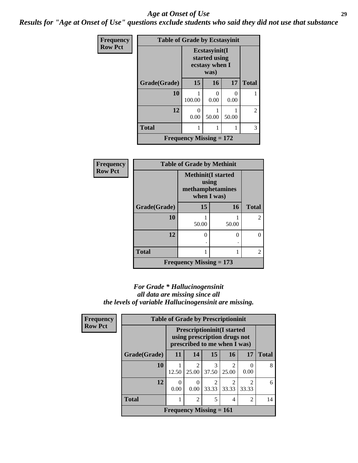#### *Age at Onset of Use* **29**

*Results for "Age at Onset of Use" questions exclude students who said they did not use that substance*

| Frequency      | <b>Table of Grade by Ecstasyinit</b> |                                                          |                           |       |                |
|----------------|--------------------------------------|----------------------------------------------------------|---------------------------|-------|----------------|
| <b>Row Pct</b> |                                      | Ecstasyinit(I<br>started using<br>ecstasy when I<br>was) |                           |       |                |
|                | Grade(Grade)                         | 15                                                       | <b>16</b>                 | 17    | <b>Total</b>   |
|                | 10                                   | 100.00                                                   | $\mathbf{\Omega}$<br>0.00 | 0.00  |                |
|                | 12                                   | 0<br>0.00                                                | 50.00                     | 50.00 | $\overline{2}$ |
|                | <b>Total</b>                         |                                                          |                           |       | 3              |
|                |                                      | <b>Frequency Missing = 172</b>                           |                           |       |                |

| <b>Frequency</b> | <b>Table of Grade by Methinit</b> |                                                                       |       |                |  |
|------------------|-----------------------------------|-----------------------------------------------------------------------|-------|----------------|--|
| <b>Row Pct</b>   |                                   | <b>Methinit(I started</b><br>using<br>methamphetamines<br>when I was) |       |                |  |
|                  | Grade(Grade)                      | 15                                                                    | 16    | <b>Total</b>   |  |
|                  | 10                                | 50.00                                                                 | 50.00 | $\mathfrak{D}$ |  |
|                  | 12                                | 0                                                                     | 0     | 0              |  |
|                  |                                   |                                                                       |       |                |  |
|                  | <b>Total</b>                      |                                                                       |       | $\overline{c}$ |  |
|                  |                                   | Frequency Missing $= 173$                                             |       |                |  |

#### *For Grade \* Hallucinogensinit all data are missing since all the levels of variable Hallucinogensinit are missing.*

| Frequency      |              | <b>Table of Grade by Prescriptioninit</b><br><b>Prescriptioninit (I started</b><br>using prescription drugs not<br>prescribed to me when I was) |                           |                         |            |                         |              |
|----------------|--------------|-------------------------------------------------------------------------------------------------------------------------------------------------|---------------------------|-------------------------|------------|-------------------------|--------------|
| <b>Row Pct</b> |              |                                                                                                                                                 |                           |                         |            |                         |              |
|                | Grade(Grade) | <b>11</b>                                                                                                                                       | 14                        | 15                      | 16         | 17                      | <b>Total</b> |
|                | 10           | 12.50                                                                                                                                           | $\overline{2}$<br>25.00   | 3<br>37.50              | 2<br>25.00 | 0.00                    | 8            |
|                | 12           | 0<br>0.00                                                                                                                                       | 0<br>0.00                 | $\mathfrak{D}$<br>33.33 | 2<br>33.33 | $\mathfrak{D}$<br>33.33 | 6            |
|                | <b>Total</b> | 1                                                                                                                                               | 2                         | 5                       | 4          | $\overline{c}$          | 14           |
|                |              |                                                                                                                                                 | Frequency Missing $= 161$ |                         |            |                         |              |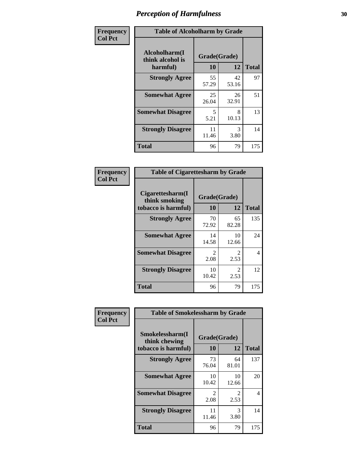| Frequency      | <b>Table of Alcoholharm by Grade</b>          |                           |             |              |  |
|----------------|-----------------------------------------------|---------------------------|-------------|--------------|--|
| <b>Col Pct</b> | Alcoholharm(I<br>think alcohol is<br>harmful) | Grade(Grade)<br><b>10</b> | 12          | <b>Total</b> |  |
|                | <b>Strongly Agree</b>                         | 55<br>57.29               | 42<br>53.16 | 97           |  |
|                | <b>Somewhat Agree</b>                         | 25<br>26.04               | 26<br>32.91 | 51           |  |
|                | <b>Somewhat Disagree</b>                      | 5<br>5.21                 | 8<br>10.13  | 13           |  |
|                | <b>Strongly Disagree</b>                      | 11<br>11.46               | 3<br>3.80   | 14           |  |
|                | <b>Total</b>                                  | 96                        | 79          | 175          |  |

|                                                          | <b>Table of Cigarettesharm by Grade</b> |                        |              |  |  |  |  |
|----------------------------------------------------------|-----------------------------------------|------------------------|--------------|--|--|--|--|
| Cigarettesharm(I<br>think smoking<br>tobacco is harmful) | Grade(Grade)<br>10                      | 12                     | <b>Total</b> |  |  |  |  |
| <b>Strongly Agree</b>                                    | 70<br>72.92                             | 65<br>82.28            | 135          |  |  |  |  |
| <b>Somewhat Agree</b>                                    | 14<br>14.58                             | 10<br>12.66            | 24           |  |  |  |  |
| <b>Somewhat Disagree</b>                                 | 2<br>2.08                               | $\mathfrak{D}$<br>2.53 | 4            |  |  |  |  |
| <b>Strongly Disagree</b>                                 | 10<br>10.42                             | $\mathfrak{D}$<br>2.53 | 12           |  |  |  |  |
| <b>Total</b>                                             | 96                                      | 79                     | 175          |  |  |  |  |

| Frequency      | <b>Table of Smokelessharm by Grade</b>                  |                           |                               |              |  |
|----------------|---------------------------------------------------------|---------------------------|-------------------------------|--------------|--|
| <b>Col Pct</b> | Smokelessharm(I<br>think chewing<br>tobacco is harmful) | Grade(Grade)<br><b>10</b> | 12                            | <b>Total</b> |  |
|                | <b>Strongly Agree</b>                                   | 73<br>76.04               | 64<br>81.01                   | 137          |  |
|                | <b>Somewhat Agree</b>                                   | 10<br>10.42               | 10<br>12.66                   | 20           |  |
|                | <b>Somewhat Disagree</b>                                | $\mathfrak{D}$<br>2.08    | $\mathcal{D}_{\cdot}$<br>2.53 | 4            |  |
|                | <b>Strongly Disagree</b>                                | 11<br>11.46               | 3<br>3.80                     | 14           |  |
|                | <b>Total</b>                                            | 96                        | 79                            | 175          |  |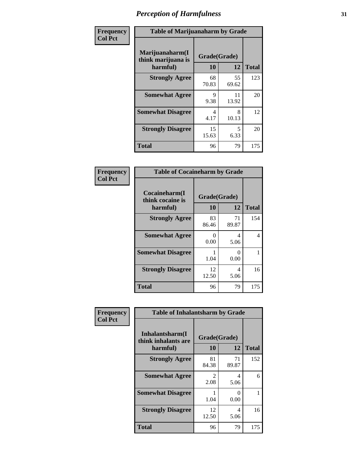| Frequency      |                                                   | <b>Table of Marijuanaharm by Grade</b> |             |              |  |  |
|----------------|---------------------------------------------------|----------------------------------------|-------------|--------------|--|--|
| <b>Col Pct</b> | Marijuanaharm(I<br>think marijuana is<br>harmful) | Grade(Grade)<br>10                     | 12          | <b>Total</b> |  |  |
|                | <b>Strongly Agree</b>                             | 68<br>70.83                            | 55<br>69.62 | 123          |  |  |
|                | <b>Somewhat Agree</b>                             | 9<br>9.38                              | 11<br>13.92 | 20           |  |  |
|                | <b>Somewhat Disagree</b>                          | 4<br>4.17                              | 8<br>10.13  | 12           |  |  |
|                | <b>Strongly Disagree</b>                          | 15<br>15.63                            | 5<br>6.33   | 20           |  |  |
|                | <b>Total</b>                                      | 96                                     | 79          | 175          |  |  |

|                                               | <b>Table of Cocaineharm by Grade</b> |              |     |  |  |  |  |
|-----------------------------------------------|--------------------------------------|--------------|-----|--|--|--|--|
| Cocaineharm(I<br>think cocaine is<br>harmful) | Grade(Grade)<br>10                   | <b>Total</b> |     |  |  |  |  |
| <b>Strongly Agree</b>                         | 83<br>86.46                          | 71<br>89.87  | 154 |  |  |  |  |
| <b>Somewhat Agree</b>                         | 0<br>0.00                            | 4<br>5.06    | 4   |  |  |  |  |
| <b>Somewhat Disagree</b>                      | 1.04                                 | 0<br>0.00    |     |  |  |  |  |
| <b>Strongly Disagree</b>                      | 12<br>12.50                          | 4<br>5.06    | 16  |  |  |  |  |
| <b>Total</b>                                  | 96                                   | 79           | 175 |  |  |  |  |

| Frequency      | <b>Table of Inhalantsharm by Grade</b> |              |             |              |  |  |
|----------------|----------------------------------------|--------------|-------------|--------------|--|--|
| <b>Col Pct</b> | Inhalantsharm(I<br>think inhalants are | Grade(Grade) |             |              |  |  |
|                | harmful)                               | <b>10</b>    | 12          | <b>Total</b> |  |  |
|                | <b>Strongly Agree</b>                  | 81<br>84.38  | 71<br>89.87 | 152          |  |  |
|                | <b>Somewhat Agree</b>                  | 2<br>2.08    | 4<br>5.06   | 6            |  |  |
|                | <b>Somewhat Disagree</b>               | 1.04         | 0<br>0.00   |              |  |  |
|                | <b>Strongly Disagree</b>               | 12<br>12.50  | 4<br>5.06   | 16           |  |  |
|                | <b>Total</b>                           | 96           | 79          | 175          |  |  |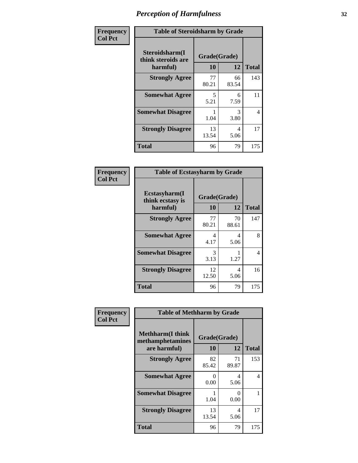| Frequency      | <b>Table of Steroidsharm by Grade</b>            |                    |             |              |  |
|----------------|--------------------------------------------------|--------------------|-------------|--------------|--|
| <b>Col Pct</b> | Steroidsharm(I<br>think steroids are<br>harmful) | Grade(Grade)<br>10 | 12          | <b>Total</b> |  |
|                | <b>Strongly Agree</b>                            | 77<br>80.21        | 66<br>83.54 | 143          |  |
|                | <b>Somewhat Agree</b>                            | 5<br>5.21          | 6<br>7.59   | 11           |  |
|                | <b>Somewhat Disagree</b>                         | 1.04               | 3<br>3.80   | 4            |  |
|                | <b>Strongly Disagree</b>                         | 13<br>13.54        | 4<br>5.06   | 17           |  |
|                | <b>Total</b>                                     | 96                 | 79          | 175          |  |

| <b>Table of Ecstasyharm by Grade</b>          |                    |              |     |  |  |  |
|-----------------------------------------------|--------------------|--------------|-----|--|--|--|
| Ecstasyharm(I<br>think ecstasy is<br>harmful) | Grade(Grade)<br>10 | <b>Total</b> |     |  |  |  |
| <b>Strongly Agree</b>                         | 77<br>80.21        | 70<br>88.61  | 147 |  |  |  |
| <b>Somewhat Agree</b>                         | 4<br>4.17          | 4<br>5.06    | 8   |  |  |  |
| <b>Somewhat Disagree</b>                      | 3<br>3.13          | 1.27         | 4   |  |  |  |
| <b>Strongly Disagree</b>                      | 12<br>12.50        | 4<br>5.06    | 16  |  |  |  |
| <b>Total</b>                                  | 96                 | 79           | 175 |  |  |  |

| Frequency      | <b>Table of Methharm by Grade</b>                            |                           |             |                |  |
|----------------|--------------------------------------------------------------|---------------------------|-------------|----------------|--|
| <b>Col Pct</b> | <b>Methharm</b> (I think<br>methamphetamines<br>are harmful) | Grade(Grade)<br><b>10</b> | 12          | <b>Total</b>   |  |
|                | <b>Strongly Agree</b>                                        | 82<br>85.42               | 71<br>89.87 | 153            |  |
|                | <b>Somewhat Agree</b>                                        | 0<br>0.00                 | 4<br>5.06   | $\overline{4}$ |  |
|                | <b>Somewhat Disagree</b>                                     | 1.04                      | 0<br>0.00   |                |  |
|                | <b>Strongly Disagree</b>                                     | 13<br>13.54               | 4<br>5.06   | 17             |  |
|                | <b>Total</b>                                                 | 96                        | 79          | 175            |  |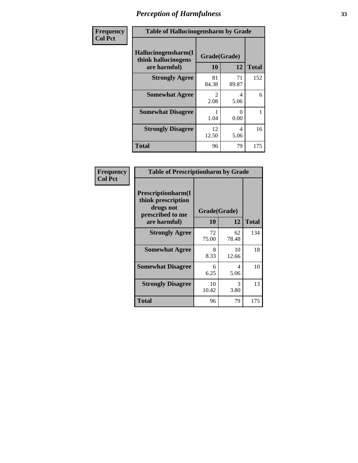| Frequency      | <b>Table of Hallucinogensharm by Grade</b>                 |                       |             |              |  |
|----------------|------------------------------------------------------------|-----------------------|-------------|--------------|--|
| <b>Col Pct</b> | Hallucinogensharm(I<br>think hallucinogens<br>are harmful) | Grade(Grade)<br>10    | 12          | <b>Total</b> |  |
|                | <b>Strongly Agree</b>                                      | 81<br>84.38           | 71<br>89.87 | 152          |  |
|                | <b>Somewhat Agree</b>                                      | $\mathcal{L}$<br>2.08 | 4<br>5.06   | 6            |  |
|                | <b>Somewhat Disagree</b>                                   | 1.04                  | 0<br>0.00   | 1            |  |
|                | <b>Strongly Disagree</b>                                   | 12<br>12.50           | 4<br>5.06   | 16           |  |
|                | <b>Total</b>                                               | 96                    | 79          | 175          |  |

| <b>Table of Prescriptionharm by Grade</b>                                                         |                    |             |              |  |  |
|---------------------------------------------------------------------------------------------------|--------------------|-------------|--------------|--|--|
| <b>Prescriptionharm(I)</b><br>think prescription<br>drugs not<br>prescribed to me<br>are harmful) | Grade(Grade)<br>10 | 12          | <b>Total</b> |  |  |
| <b>Strongly Agree</b>                                                                             | 72<br>75.00        | 62<br>78.48 | 134          |  |  |
| <b>Somewhat Agree</b>                                                                             | 8<br>8.33          | 10<br>12.66 | 18           |  |  |
| <b>Somewhat Disagree</b>                                                                          | 6<br>6.25          | 4<br>5.06   | 10           |  |  |
| <b>Strongly Disagree</b>                                                                          | 10<br>10.42        | 3<br>3.80   | 13           |  |  |
| <b>Total</b>                                                                                      | 96                 | 79          | 175          |  |  |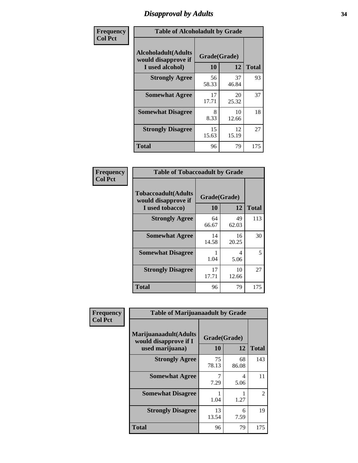# *Disapproval by Adults* **34**

| Frequency      | <b>Table of Alcoholadult by Grade</b>                                 |                    |             |              |  |
|----------------|-----------------------------------------------------------------------|--------------------|-------------|--------------|--|
| <b>Col Pct</b> | <b>Alcoholadult</b> (Adults<br>would disapprove if<br>I used alcohol) | Grade(Grade)<br>10 | 12          | <b>Total</b> |  |
|                | <b>Strongly Agree</b>                                                 | 56<br>58.33        | 37<br>46.84 | 93           |  |
|                | <b>Somewhat Agree</b>                                                 | 17<br>17.71        | 20<br>25.32 | 37           |  |
|                | <b>Somewhat Disagree</b>                                              | 8<br>8.33          | 10<br>12.66 | 18           |  |
|                | <b>Strongly Disagree</b>                                              | 15<br>15.63        | 12<br>15.19 | 27           |  |
|                | <b>Total</b>                                                          | 96                 | 79          | 175          |  |

| <b>Table of Tobaccoadult by Grade</b>                                 |              |             |     |  |  |
|-----------------------------------------------------------------------|--------------|-------------|-----|--|--|
| <b>Tobaccoadult</b> (Adults<br>would disapprove if<br>I used tobacco) | <b>Total</b> |             |     |  |  |
| <b>Strongly Agree</b>                                                 | 64<br>66.67  | 49<br>62.03 | 113 |  |  |
| <b>Somewhat Agree</b>                                                 | 14<br>14.58  | 16<br>20.25 | 30  |  |  |
| <b>Somewhat Disagree</b>                                              | 1.04         | 4<br>5.06   | 5   |  |  |
| <b>Strongly Disagree</b>                                              | 17<br>17.71  | 10<br>12.66 | 27  |  |  |
| Total                                                                 | 96           | 79          | 175 |  |  |

| Frequency      | <b>Table of Marijuanaadult by Grade</b>                           |                    |             |                |  |
|----------------|-------------------------------------------------------------------|--------------------|-------------|----------------|--|
| <b>Col Pct</b> | Marijuanaadult(Adults<br>would disapprove if I<br>used marijuana) | Grade(Grade)<br>10 | 12          | <b>Total</b>   |  |
|                | <b>Strongly Agree</b>                                             | 75<br>78.13        | 68<br>86.08 | 143            |  |
|                | <b>Somewhat Agree</b>                                             | 7.29               | 4<br>5.06   | 11             |  |
|                | <b>Somewhat Disagree</b>                                          | 1.04               | 1.27        | $\mathfrak{D}$ |  |
|                | <b>Strongly Disagree</b>                                          | 13<br>13.54        | 6<br>7.59   | 19             |  |
|                | <b>Total</b>                                                      | 96                 | 79          | 175            |  |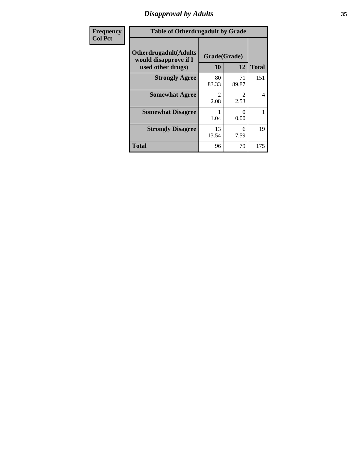# *Disapproval by Adults* **35**

| <b>Frequency</b> | <b>Table of Otherdrugadult by Grade</b>                                     |                       |             |              |  |
|------------------|-----------------------------------------------------------------------------|-----------------------|-------------|--------------|--|
| <b>Col Pct</b>   | <b>Otherdrugadult</b> (Adults<br>would disapprove if I<br>used other drugs) | Grade(Grade)<br>10    | 12          | <b>Total</b> |  |
|                  | <b>Strongly Agree</b>                                                       | 80<br>83.33           | 71<br>89.87 | 151          |  |
|                  | <b>Somewhat Agree</b>                                                       | $\mathcal{D}$<br>2.08 | 2.53        | 4            |  |
|                  | <b>Somewhat Disagree</b>                                                    | 1.04                  | 0<br>0.00   |              |  |
|                  | <b>Strongly Disagree</b>                                                    | 13<br>13.54           | 6<br>7.59   | 19           |  |
|                  | <b>Total</b>                                                                | 96                    | 79          | 175          |  |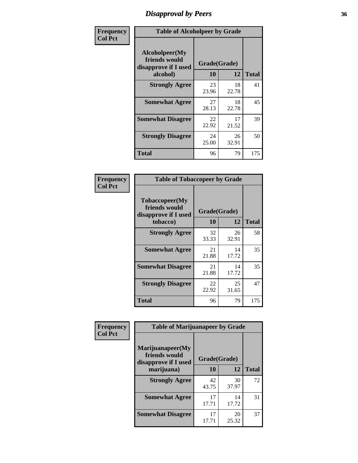# *Disapproval by Peers* **36**

| Frequency      | <b>Table of Alcoholpeer by Grade</b>                    |              |             |              |  |
|----------------|---------------------------------------------------------|--------------|-------------|--------------|--|
| <b>Col Pct</b> | Alcoholpeer(My<br>friends would<br>disapprove if I used | Grade(Grade) |             |              |  |
|                | alcohol)                                                | 10           | 12          | <b>Total</b> |  |
|                | <b>Strongly Agree</b>                                   | 23<br>23.96  | 18<br>22.78 | 41           |  |
|                | <b>Somewhat Agree</b>                                   | 27<br>28.13  | 18<br>22.78 | 45           |  |
|                | <b>Somewhat Disagree</b>                                | 22<br>22.92  | 17<br>21.52 | 39           |  |
|                | <b>Strongly Disagree</b>                                | 24<br>25.00  | 26<br>32.91 | 50           |  |
|                | Total                                                   | 96           | 79          | 175          |  |

| Frequency      | <b>Table of Tobaccopeer by Grade</b>                                |                    |             |              |  |
|----------------|---------------------------------------------------------------------|--------------------|-------------|--------------|--|
| <b>Col Pct</b> | Tobaccopeer(My<br>friends would<br>disapprove if I used<br>tobacco) | Grade(Grade)<br>10 | 12          | <b>Total</b> |  |
|                | <b>Strongly Agree</b>                                               | 32<br>33.33        | 26<br>32.91 | 58           |  |
|                | <b>Somewhat Agree</b>                                               | 21<br>21.88        | 14<br>17.72 | 35           |  |
|                | <b>Somewhat Disagree</b>                                            | 21<br>21.88        | 14<br>17.72 | 35           |  |
|                | <b>Strongly Disagree</b>                                            | 22<br>22.92        | 25<br>31.65 | 47           |  |
|                | <b>Total</b>                                                        | 96                 | 79          | 175          |  |

| Frequency      | <b>Table of Marijuanapeer by Grade</b>                    |              |             |              |  |
|----------------|-----------------------------------------------------------|--------------|-------------|--------------|--|
| <b>Col Pct</b> | Marijuanapeer(My<br>friends would<br>disapprove if I used | Grade(Grade) |             |              |  |
|                | marijuana)                                                | <b>10</b>    | 12          | <b>Total</b> |  |
|                | <b>Strongly Agree</b>                                     | 42<br>43.75  | 30<br>37.97 | 72           |  |
|                | <b>Somewhat Agree</b>                                     | 17<br>17.71  | 14<br>17.72 | 31           |  |
|                | <b>Somewhat Disagree</b>                                  | 17<br>17.71  | 20<br>25.32 | 37           |  |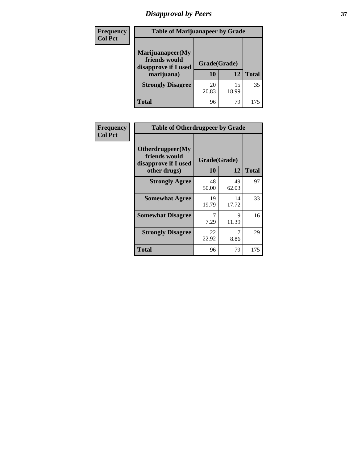# *Disapproval by Peers* **37**

| Frequency<br><b>Col Pct</b> | <b>Table of Marijuanapeer by Grade</b>                                  |                    |             |              |
|-----------------------------|-------------------------------------------------------------------------|--------------------|-------------|--------------|
|                             | Marijuanapeer(My<br>friends would<br>disapprove if I used<br>marijuana) | Grade(Grade)<br>10 | 12          | <b>Total</b> |
|                             | <b>Strongly Disagree</b>                                                | 20<br>20.83        | 15<br>18.99 | 35           |
|                             | Total                                                                   | 96                 | 79          | 175          |

| Frequency      | <b>Table of Otherdrugpeer by Grade</b>                                    |                    |             |              |
|----------------|---------------------------------------------------------------------------|--------------------|-------------|--------------|
| <b>Col Pct</b> | Otherdrugpeer(My<br>friends would<br>disapprove if I used<br>other drugs) | Grade(Grade)<br>10 | 12          | <b>Total</b> |
|                | <b>Strongly Agree</b>                                                     | 48<br>50.00        | 49<br>62.03 | 97           |
|                | <b>Somewhat Agree</b>                                                     | 19<br>19.79        | 14<br>17.72 | 33           |
|                | <b>Somewhat Disagree</b>                                                  | 7<br>7.29          | 9<br>11.39  | 16           |
|                | <b>Strongly Disagree</b>                                                  | 22<br>22.92        | 7<br>8.86   | 29           |
|                | Total                                                                     | 96                 | 79          | 175          |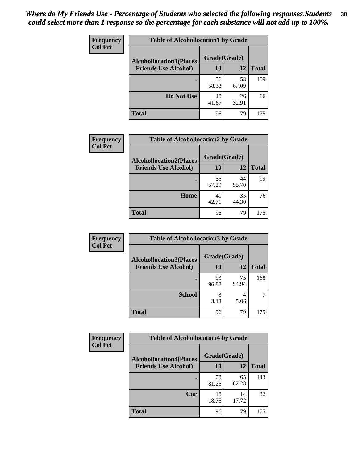| Frequency      | <b>Table of Alcohollocation1 by Grade</b> |             |             |              |  |
|----------------|-------------------------------------------|-------------|-------------|--------------|--|
| <b>Col Pct</b> | <b>Alcohollocation1(Places</b>            |             |             |              |  |
|                | <b>Friends Use Alcohol)</b>               | 10          | 12          | <b>Total</b> |  |
|                |                                           | 56<br>58.33 | 53<br>67.09 | 109          |  |
|                | Do Not Use                                | 40<br>41.67 | 26<br>32.91 | 66           |  |
|                | <b>Total</b>                              | 96          | 79          | 175          |  |

| Frequency      | <b>Table of Alcohollocation2 by Grade</b>                     |                    |             |              |
|----------------|---------------------------------------------------------------|--------------------|-------------|--------------|
| <b>Col Pct</b> | <b>Alcohollocation2(Places</b><br><b>Friends Use Alcohol)</b> | Grade(Grade)<br>10 | <b>12</b>   | <b>Total</b> |
|                |                                                               |                    |             |              |
|                |                                                               | 55<br>57.29        | 44<br>55.70 | 99           |
|                | Home                                                          | 41<br>42.71        | 35<br>44.30 | 76           |
|                | <b>Total</b>                                                  | 96                 | 79          | 175          |

| Frequency<br><b>Col Pct</b> | <b>Table of Alcohollocation 3 by Grade</b>                    |                    |             |              |
|-----------------------------|---------------------------------------------------------------|--------------------|-------------|--------------|
|                             | <b>Alcohollocation3(Places</b><br><b>Friends Use Alcohol)</b> | Grade(Grade)<br>10 | 12          | <b>Total</b> |
|                             |                                                               |                    |             |              |
|                             |                                                               | 93<br>96.88        | 75<br>94.94 | 168          |
|                             | <b>School</b>                                                 | 3.13               | 4<br>5.06   |              |
|                             | <b>Total</b>                                                  | 96                 | 79          | 175          |

| <b>Frequency</b> | <b>Table of Alcohollocation4 by Grade</b> |              |             |              |
|------------------|-------------------------------------------|--------------|-------------|--------------|
| <b>Col Pct</b>   | <b>Alcohollocation4(Places</b>            | Grade(Grade) |             |              |
|                  | <b>Friends Use Alcohol)</b>               | 10           | 12          | <b>Total</b> |
|                  |                                           | 78<br>81.25  | 65<br>82.28 | 143          |
|                  | Car                                       | 18<br>18.75  | 14<br>17.72 | 32           |
|                  | <b>Total</b>                              | 96           | 79          | 175          |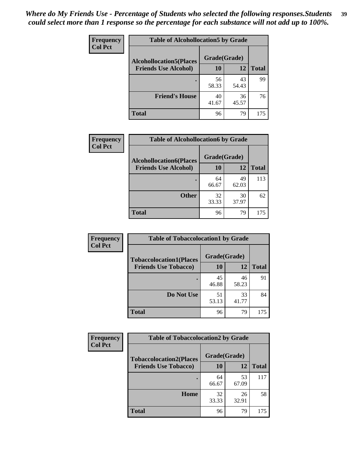| Frequency<br><b>Col Pct</b> | <b>Table of Alcohollocation5 by Grade</b> |              |             |              |
|-----------------------------|-------------------------------------------|--------------|-------------|--------------|
|                             | <b>Alcohollocation5(Places</b>            | Grade(Grade) |             |              |
|                             | <b>Friends Use Alcohol)</b>               | 10           | 12          | <b>Total</b> |
|                             |                                           | 56<br>58.33  | 43<br>54.43 | 99           |
|                             | <b>Friend's House</b>                     | 40<br>41.67  | 36<br>45.57 | 76           |
|                             | <b>Total</b>                              | 96           | 79          | 175          |

| <b>Frequency</b> | <b>Table of Alcohollocation6 by Grade</b> |              |             |              |
|------------------|-------------------------------------------|--------------|-------------|--------------|
| <b>Col Pct</b>   | <b>Alcohollocation6(Places</b>            | Grade(Grade) |             |              |
|                  | <b>Friends Use Alcohol)</b>               | <b>10</b>    | 12          | <b>Total</b> |
|                  |                                           | 64<br>66.67  | 49<br>62.03 | 113          |
|                  | <b>Other</b>                              | 32<br>33.33  | 30<br>37.97 | 62           |
|                  | <b>Total</b>                              | 96           | 79          | 175          |

| Frequency<br><b>Col Pct</b> | <b>Table of Tobaccolocation1 by Grade</b> |              |             |              |
|-----------------------------|-------------------------------------------|--------------|-------------|--------------|
|                             | <b>Tobaccolocation1(Places</b>            | Grade(Grade) |             |              |
|                             | <b>Friends Use Tobacco)</b>               | 10           | 12          | <b>Total</b> |
|                             |                                           | 45<br>46.88  | 46<br>58.23 | 91           |
|                             | Do Not Use                                | 51<br>53.13  | 33<br>41.77 | 84           |
|                             | <b>Total</b>                              | 96           | 79          | 175          |

| <b>Frequency</b> | <b>Table of Tobaccolocation2 by Grade</b> |              |             |              |
|------------------|-------------------------------------------|--------------|-------------|--------------|
| <b>Col Pct</b>   | <b>Tobaccolocation2(Places</b>            | Grade(Grade) |             |              |
|                  | <b>Friends Use Tobacco)</b>               | 10           | 12          | <b>Total</b> |
|                  |                                           | 64<br>66.67  | 53<br>67.09 | 117          |
|                  | Home                                      | 32<br>33.33  | 26<br>32.91 | 58           |
|                  | <b>Total</b>                              | 96           | 79          | 175          |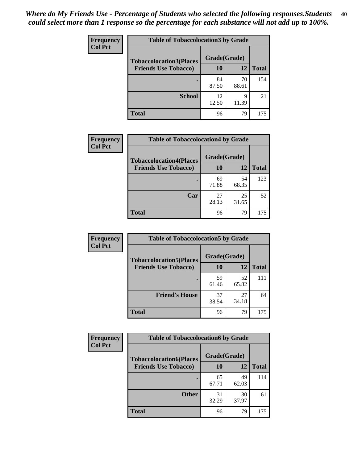| Frequency<br><b>Col Pct</b> | <b>Table of Tobaccolocation 3 by Grade</b> |              |             |              |
|-----------------------------|--------------------------------------------|--------------|-------------|--------------|
|                             | <b>Tobaccolocation3(Places</b>             | Grade(Grade) |             |              |
|                             | <b>Friends Use Tobacco)</b>                | <b>10</b>    | 12          | <b>Total</b> |
|                             |                                            | 84<br>87.50  | 70<br>88.61 | 154          |
|                             | <b>School</b>                              | 12<br>12.50  | 9<br>11.39  | 21           |
|                             | <b>Total</b>                               | 96           | 79          | 175          |

| Frequency      | <b>Table of Tobaccolocation4 by Grade</b> |              |             |              |
|----------------|-------------------------------------------|--------------|-------------|--------------|
| <b>Col Pct</b> | <b>Tobaccolocation4(Places</b>            | Grade(Grade) |             |              |
|                | <b>Friends Use Tobacco)</b>               | 10           | 12          | <b>Total</b> |
|                |                                           | 69<br>71.88  | 54<br>68.35 | 123          |
|                | Car                                       | 27<br>28.13  | 25<br>31.65 | 52           |
|                | <b>Total</b>                              | 96           | 79          | 175          |

| Frequency      | <b>Table of Tobaccolocation5 by Grade</b> |              |             |              |  |
|----------------|-------------------------------------------|--------------|-------------|--------------|--|
| <b>Col Pct</b> | <b>Tobaccolocation5(Places</b>            | Grade(Grade) |             |              |  |
|                | <b>Friends Use Tobacco)</b>               | 10           | <b>12</b>   | <b>Total</b> |  |
|                |                                           | 59<br>61.46  | 52<br>65.82 | 111          |  |
|                | <b>Friend's House</b>                     | 37<br>38.54  | 27<br>34.18 | 64           |  |
|                | <b>Total</b>                              | 96           | 79          | 175          |  |

| <b>Frequency</b> | <b>Table of Tobaccolocation6 by Grade</b> |              |             |              |
|------------------|-------------------------------------------|--------------|-------------|--------------|
| <b>Col Pct</b>   | <b>Tobaccolocation6(Places</b>            | Grade(Grade) |             |              |
|                  | <b>Friends Use Tobacco)</b>               | 10           | 12          | <b>Total</b> |
|                  |                                           | 65<br>67.71  | 49<br>62.03 | 114          |
|                  | <b>Other</b>                              | 31<br>32.29  | 30<br>37.97 | 61           |
|                  | <b>Total</b>                              | 96           | 79          | 175          |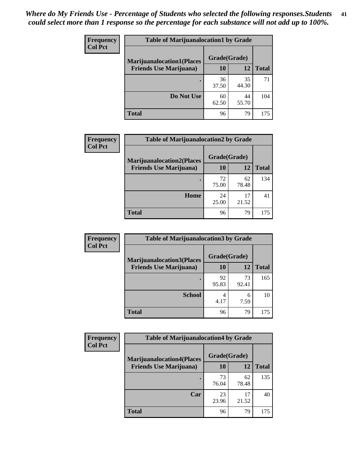| <b>Frequency</b> | <b>Table of Marijuanalocation1 by Grade</b> |              |             |              |  |
|------------------|---------------------------------------------|--------------|-------------|--------------|--|
| <b>Col Pct</b>   | <b>Marijuanalocation1(Places</b>            | Grade(Grade) |             |              |  |
|                  | <b>Friends Use Marijuana</b> )              | <b>10</b>    | 12          | <b>Total</b> |  |
|                  |                                             | 36<br>37.50  | 35<br>44.30 | 71           |  |
|                  | Do Not Use                                  | 60<br>62.50  | 44<br>55.70 | 104          |  |
|                  | <b>Total</b>                                | 96           | 79          | 175          |  |

| <b>Frequency</b> | <b>Table of Marijuanalocation2 by Grade</b>                        |                    |             |              |
|------------------|--------------------------------------------------------------------|--------------------|-------------|--------------|
| <b>Col Pct</b>   | <b>Marijuanalocation2(Places</b><br><b>Friends Use Marijuana</b> ) | Grade(Grade)<br>10 | 12          | <b>Total</b> |
|                  |                                                                    | 72<br>75.00        | 62<br>78.48 | 134          |
|                  | Home                                                               | 24<br>25.00        | 17<br>21.52 | 41           |
|                  | <b>Total</b>                                                       | 96                 | 79          | 175          |

| <b>Frequency</b><br><b>Col Pct</b> | <b>Table of Marijuanalocation3 by Grade</b> |              |             |              |
|------------------------------------|---------------------------------------------|--------------|-------------|--------------|
|                                    | <b>Marijuanalocation3</b> (Places           | Grade(Grade) |             |              |
|                                    | <b>Friends Use Marijuana</b> )              | <b>10</b>    | 12          | <b>Total</b> |
|                                    |                                             | 92<br>95.83  | 73<br>92.41 | 165          |
|                                    | <b>School</b>                               | 4<br>4.17    | 6<br>7.59   | 10           |
|                                    | <b>Total</b>                                | 96           | 79          | 175          |

| <b>Frequency</b> | <b>Table of Marijuanalocation4 by Grade</b> |              |             |              |
|------------------|---------------------------------------------|--------------|-------------|--------------|
| <b>Col Pct</b>   | <b>Marijuanalocation4(Places</b>            | Grade(Grade) |             |              |
|                  | <b>Friends Use Marijuana</b> )              | 10           | 12          | <b>Total</b> |
|                  |                                             | 73<br>76.04  | 62<br>78.48 | 135          |
|                  | Car                                         | 23<br>23.96  | 17<br>21.52 | 40           |
|                  | <b>Total</b>                                | 96           | 79          | 175          |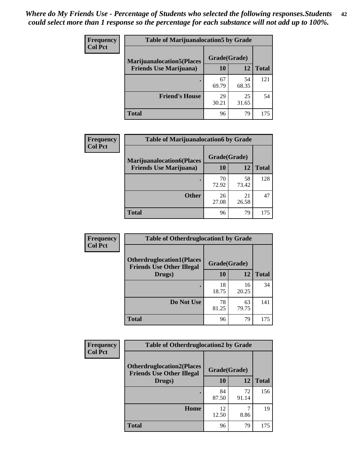| <b>Frequency</b>               | <b>Table of Marijuanalocation5 by Grade</b> |              |              |     |
|--------------------------------|---------------------------------------------|--------------|--------------|-----|
| <b>Col Pct</b>                 | <b>Marijuanalocation5</b> (Places           | Grade(Grade) |              |     |
| <b>Friends Use Marijuana</b> ) | 10                                          | 12           | <b>Total</b> |     |
|                                |                                             | 67<br>69.79  | 54<br>68.35  | 121 |
|                                | <b>Friend's House</b>                       | 29<br>30.21  | 25<br>31.65  | 54  |
|                                | <b>Total</b>                                | 96           | 79           | 175 |

| <b>Frequency</b> | <b>Table of Marijuanalocation6 by Grade</b>                        |                    |             |              |  |
|------------------|--------------------------------------------------------------------|--------------------|-------------|--------------|--|
| <b>Col Pct</b>   | <b>Marijuanalocation6(Places</b><br><b>Friends Use Marijuana</b> ) | Grade(Grade)<br>10 | 12          | <b>Total</b> |  |
|                  |                                                                    | 70<br>72.92        | 58<br>73.42 | 128          |  |
|                  | <b>Other</b>                                                       | 26<br>27.08        | 21<br>26.58 | 47           |  |
|                  | <b>Total</b>                                                       | 96                 | 79          | 175          |  |

| Frequency      | <b>Table of Otherdruglocation1 by Grade</b>                          |              |             |              |
|----------------|----------------------------------------------------------------------|--------------|-------------|--------------|
| <b>Col Pct</b> | <b>Otherdruglocation1(Places</b><br><b>Friends Use Other Illegal</b> | Grade(Grade) |             |              |
|                | Drugs)                                                               | 10           | 12          | <b>Total</b> |
|                |                                                                      | 18<br>18.75  | 16<br>20.25 | 34           |
|                | Do Not Use                                                           | 78<br>81.25  | 63<br>79.75 | 141          |
|                | <b>Total</b>                                                         | 96           | 79          | 175          |

| Frequency      | <b>Table of Otherdruglocation2 by Grade</b>                          |              |             |              |
|----------------|----------------------------------------------------------------------|--------------|-------------|--------------|
| <b>Col Pct</b> | <b>Otherdruglocation2(Places</b><br><b>Friends Use Other Illegal</b> | Grade(Grade) |             |              |
|                | Drugs)                                                               | 10           | 12          | <b>Total</b> |
|                |                                                                      | 84<br>87.50  | 72<br>91.14 | 156          |
|                | Home                                                                 | 12<br>12.50  | 8.86        | 19           |
|                | <b>Total</b>                                                         | 96           | 79          | 175          |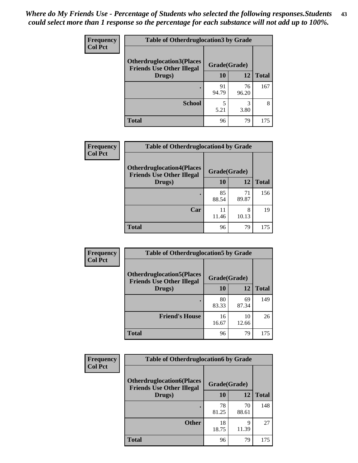| <b>Frequency</b> | <b>Table of Otherdruglocation 3 by Grade</b>                          |              |             |              |
|------------------|-----------------------------------------------------------------------|--------------|-------------|--------------|
| <b>Col Pct</b>   | <b>Otherdruglocation3(Places)</b><br><b>Friends Use Other Illegal</b> | Grade(Grade) |             |              |
|                  | Drugs)                                                                | 10           | 12          | <b>Total</b> |
|                  |                                                                       | 91<br>94.79  | 76<br>96.20 | 167          |
|                  | <b>School</b>                                                         | 5<br>5.21    | 3<br>3.80   | 8            |
|                  | <b>Total</b>                                                          | 96           | 79          | 175          |

| Frequency      | <b>Table of Otherdruglocation4 by Grade</b>                          |              |             |              |
|----------------|----------------------------------------------------------------------|--------------|-------------|--------------|
| <b>Col Pct</b> | <b>Otherdruglocation4(Places</b><br><b>Friends Use Other Illegal</b> | Grade(Grade) |             |              |
|                | Drugs)                                                               | <b>10</b>    | 12          | <b>Total</b> |
|                |                                                                      | 85<br>88.54  | 71<br>89.87 | 156          |
|                | Car                                                                  | 11<br>11.46  | 8<br>10.13  | 19           |
|                | <b>Total</b>                                                         | 96           | 79          | 175          |

| <b>Frequency</b> | <b>Table of Otherdruglocation5 by Grade</b>                          |              |             |              |
|------------------|----------------------------------------------------------------------|--------------|-------------|--------------|
| <b>Col Pct</b>   | <b>Otherdruglocation5(Places</b><br><b>Friends Use Other Illegal</b> | Grade(Grade) |             |              |
|                  | Drugs)                                                               | <b>10</b>    | 12          | <b>Total</b> |
|                  |                                                                      | 80<br>83.33  | 69<br>87.34 | 149          |
|                  | <b>Friend's House</b>                                                | 16<br>16.67  | 10<br>12.66 | 26           |
|                  | <b>Total</b>                                                         | 96           | 79          | 175          |

| <b>Frequency</b> | <b>Table of Otherdruglocation6 by Grade</b>                          |              |             |              |
|------------------|----------------------------------------------------------------------|--------------|-------------|--------------|
| <b>Col Pct</b>   | <b>Otherdruglocation6(Places</b><br><b>Friends Use Other Illegal</b> | Grade(Grade) |             |              |
|                  | Drugs)                                                               | <b>10</b>    | 12          | <b>Total</b> |
|                  |                                                                      | 78<br>81.25  | 70<br>88.61 | 148          |
|                  | <b>Other</b>                                                         | 18<br>18.75  | 9<br>11.39  | 27           |
|                  | <b>Total</b>                                                         | 96           | 79          | 175          |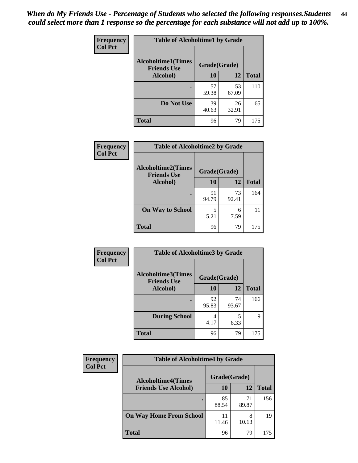| Frequency      | <b>Table of Alcoholtime1 by Grade</b>           |              |             |              |
|----------------|-------------------------------------------------|--------------|-------------|--------------|
| <b>Col Pct</b> | <b>Alcoholtime1(Times</b><br><b>Friends Use</b> | Grade(Grade) |             |              |
|                | Alcohol)                                        | 10           | 12          | <b>Total</b> |
|                |                                                 | 57<br>59.38  | 53<br>67.09 | 110          |
|                | Do Not Use                                      | 39<br>40.63  | 26<br>32.91 | 65           |
|                | <b>Total</b>                                    | 96           | 79          | 175          |

| Frequency      | <b>Table of Alcoholtime2 by Grade</b>           |              |             |              |  |
|----------------|-------------------------------------------------|--------------|-------------|--------------|--|
| <b>Col Pct</b> | <b>Alcoholtime2(Times</b><br><b>Friends Use</b> | Grade(Grade) |             |              |  |
|                | Alcohol)                                        | 10           | <b>12</b>   | <b>Total</b> |  |
|                |                                                 | 91<br>94.79  | 73<br>92.41 | 164          |  |
|                | <b>On Way to School</b>                         | 5<br>5.21    | 6<br>7.59   | 11           |  |
|                | <b>Total</b>                                    | 96           | 79          | 175          |  |

| Frequency      | <b>Table of Alcoholtime3 by Grade</b>           |             |             |              |
|----------------|-------------------------------------------------|-------------|-------------|--------------|
| <b>Col Pct</b> | <b>Alcoholtime3(Times</b><br><b>Friends Use</b> |             |             |              |
|                | Alcohol)                                        | 10          | 12          | <b>Total</b> |
|                |                                                 | 92<br>95.83 | 74<br>93.67 | 166          |
|                | <b>During School</b>                            | 4<br>4.17   | 5<br>6.33   | 9            |
|                | <b>Total</b>                                    | 96          | 79          | 175          |

| <b>Frequency</b><br><b>Col Pct</b> | <b>Table of Alcoholtime4 by Grade</b> |              |             |              |  |
|------------------------------------|---------------------------------------|--------------|-------------|--------------|--|
|                                    | <b>Alcoholtime4(Times</b>             | Grade(Grade) |             |              |  |
|                                    | <b>Friends Use Alcohol)</b>           | 10           | 12          | <b>Total</b> |  |
|                                    |                                       | 85<br>88.54  | 71<br>89.87 | 156          |  |
|                                    | <b>On Way Home From School</b>        | 11<br>11.46  | 8<br>10.13  | 19           |  |
|                                    | <b>Total</b>                          | 96           | 79          | 175          |  |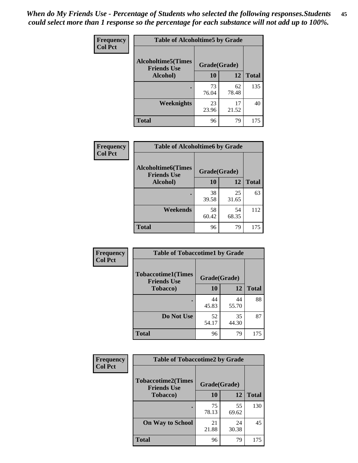*When do My Friends Use - Percentage of Students who selected the following responses.Students could select more than 1 response so the percentage for each substance will not add up to 100%.* **45**

| Frequency      | <b>Table of Alcoholtime5 by Grade</b> |              |             |              |
|----------------|---------------------------------------|--------------|-------------|--------------|
| <b>Col Pct</b> | <b>Alcoholtime5(Times</b>             | Grade(Grade) |             |              |
|                | <b>Friends Use</b><br>Alcohol)        | 10           | 12          | <b>Total</b> |
|                |                                       | 73<br>76.04  | 62<br>78.48 | 135          |
|                | Weeknights                            | 23<br>23.96  | 17<br>21.52 | 40           |
|                | <b>Total</b>                          | 96           | 79          | 175          |

| <b>Frequency</b> | <b>Table of Alcoholtime6 by Grade</b>           |              |             |              |
|------------------|-------------------------------------------------|--------------|-------------|--------------|
| <b>Col Pct</b>   | <b>Alcoholtime6(Times</b><br><b>Friends Use</b> | Grade(Grade) |             |              |
|                  | Alcohol)                                        | 10           | 12          | <b>Total</b> |
|                  |                                                 | 38<br>39.58  | 25<br>31.65 | 63           |
|                  | Weekends                                        | 58<br>60.42  | 54<br>68.35 | 112          |
|                  | <b>Total</b>                                    | 96           | 79          | 175          |

| Frequency      | <b>Table of Tobaccotime1 by Grade</b>           |              |             |              |
|----------------|-------------------------------------------------|--------------|-------------|--------------|
| <b>Col Pct</b> | <b>Tobaccotime1(Times</b><br><b>Friends Use</b> | Grade(Grade) |             |              |
|                | <b>Tobacco</b> )                                | 10           | 12          | <b>Total</b> |
|                | $\bullet$                                       | 44<br>45.83  | 44<br>55.70 | 88           |
|                | Do Not Use                                      | 52<br>54.17  | 35<br>44.30 | 87           |
|                | <b>Total</b>                                    | 96           | 79          | 175          |

| <b>Frequency</b> | <b>Table of Tobaccotime2 by Grade</b>           |              |             |              |
|------------------|-------------------------------------------------|--------------|-------------|--------------|
| <b>Col Pct</b>   | <b>Tobaccotime2(Times</b><br><b>Friends Use</b> | Grade(Grade) |             |              |
|                  | Tobacco)                                        | <b>10</b>    | 12          | <b>Total</b> |
|                  |                                                 | 75<br>78.13  | 55<br>69.62 | 130          |
|                  | <b>On Way to School</b>                         | 21<br>21.88  | 24<br>30.38 | 45           |
|                  | <b>Total</b>                                    | 96           | 79          | 175          |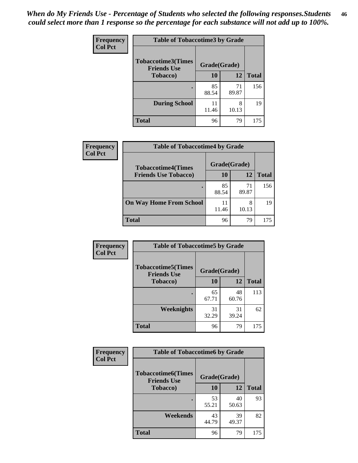| <b>Frequency</b> | <b>Table of Tobaccotime3 by Grade</b>           |              |             |              |
|------------------|-------------------------------------------------|--------------|-------------|--------------|
| <b>Col Pct</b>   | <b>Tobaccotime3(Times</b><br><b>Friends Use</b> | Grade(Grade) |             |              |
|                  | <b>Tobacco</b> )                                | 10           | 12          | <b>Total</b> |
|                  | ٠                                               | 85<br>88.54  | 71<br>89.87 | 156          |
|                  | <b>During School</b>                            | 11<br>11.46  | 8<br>10.13  | 19           |
|                  | <b>Total</b>                                    | 96           | 79          | 175          |

| <b>Frequency</b><br><b>Col Pct</b> | <b>Table of Tobaccotime4 by Grade</b> |              |             |              |  |
|------------------------------------|---------------------------------------|--------------|-------------|--------------|--|
|                                    | <b>Tobaccotime4(Times</b>             | Grade(Grade) |             |              |  |
|                                    | <b>Friends Use Tobacco)</b>           | 10           | 12          | <b>Total</b> |  |
|                                    |                                       | 85<br>88.54  | 71<br>89.87 | 156          |  |
|                                    | <b>On Way Home From School</b>        | 11.46        | 8<br>10.13  | 19           |  |
|                                    | <b>Total</b>                          | 96           | 79          | 175          |  |

| <b>Frequency</b> | <b>Table of Tobaccotime5 by Grade</b>           |              |             |              |
|------------------|-------------------------------------------------|--------------|-------------|--------------|
| <b>Col Pct</b>   | <b>Tobaccotime5(Times</b><br><b>Friends Use</b> | Grade(Grade) |             |              |
|                  | <b>Tobacco</b> )                                | 10           | 12          | <b>Total</b> |
|                  |                                                 | 65<br>67.71  | 48<br>60.76 | 113          |
|                  | Weeknights                                      | 31<br>32.29  | 31<br>39.24 | 62           |
|                  | <b>Total</b>                                    | 96           | 79          | 175          |

| Frequency      | <b>Table of Tobaccotime6 by Grade</b>                           |             |             |              |
|----------------|-----------------------------------------------------------------|-------------|-------------|--------------|
| <b>Col Pct</b> | <b>Tobaccotime6(Times</b><br>Grade(Grade)<br><b>Friends Use</b> |             |             |              |
|                | <b>Tobacco</b> )                                                | 10          | <b>12</b>   | <b>Total</b> |
|                | ٠                                                               | 53<br>55.21 | 40<br>50.63 | 93           |
|                | Weekends                                                        | 43<br>44.79 | 39<br>49.37 | 82           |
|                | <b>Total</b>                                                    | 96          | 79          | 175          |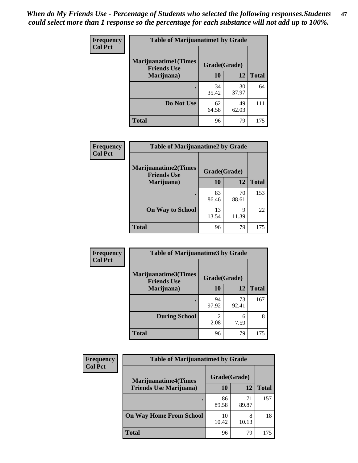| Frequency      | <b>Table of Marijuanatime1 by Grade</b>           |              |             |              |  |
|----------------|---------------------------------------------------|--------------|-------------|--------------|--|
| <b>Col Pct</b> | <b>Marijuanatime1(Times</b><br><b>Friends Use</b> | Grade(Grade) |             |              |  |
|                | Marijuana)                                        | 10           | 12          | <b>Total</b> |  |
|                |                                                   | 34<br>35.42  | 30<br>37.97 | 64           |  |
|                | Do Not Use                                        | 62<br>64.58  | 49<br>62.03 | 111          |  |
|                | <b>Total</b>                                      | 96           | 79          | 175          |  |

| <b>Frequency</b> | <b>Table of Marijuanatime2 by Grade</b>           |              |             |              |
|------------------|---------------------------------------------------|--------------|-------------|--------------|
| <b>Col Pct</b>   | <b>Marijuanatime2(Times</b><br><b>Friends Use</b> | Grade(Grade) |             |              |
|                  | Marijuana)                                        | 10           | 12          | <b>Total</b> |
|                  |                                                   | 83<br>86.46  | 70<br>88.61 | 153          |
|                  | <b>On Way to School</b>                           | 13<br>13.54  | 9<br>11.39  | 22           |
|                  | <b>Total</b>                                      | 96           | 79          | 175          |

| <b>Frequency</b> | <b>Table of Marijuanatime3 by Grade</b>    |              |             |              |
|------------------|--------------------------------------------|--------------|-------------|--------------|
| <b>Col Pct</b>   | Marijuanatime3(Times<br><b>Friends Use</b> | Grade(Grade) |             |              |
|                  | Marijuana)                                 | 10           | 12          | <b>Total</b> |
|                  |                                            | 94<br>97.92  | 73<br>92.41 | 167          |
|                  | <b>During School</b>                       | 2<br>2.08    | 6<br>7.59   | 8            |
|                  | <b>Total</b>                               | 96           | 79          | 175          |

| <b>Frequency</b><br><b>Col Pct</b> | <b>Table of Marijuanatime4 by Grade</b> |              |             |              |  |
|------------------------------------|-----------------------------------------|--------------|-------------|--------------|--|
|                                    | <b>Marijuanatime4(Times</b>             | Grade(Grade) |             |              |  |
|                                    | <b>Friends Use Marijuana</b> )          | 10           | 12          | <b>Total</b> |  |
|                                    |                                         | 86<br>89.58  | 71<br>89.87 | 157          |  |
|                                    | <b>On Way Home From School</b>          | 10<br>10.42  | 8<br>10.13  | 18           |  |
|                                    | <b>Total</b>                            | 96           | 79          | 175          |  |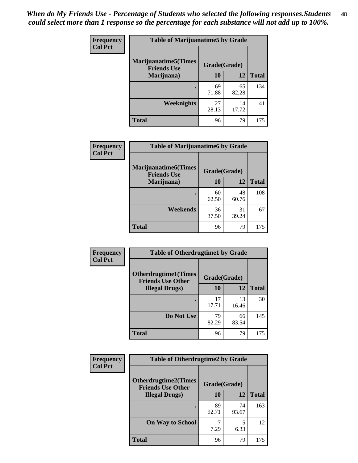| <b>Frequency</b><br><b>Col Pct</b> | <b>Table of Marijuanatime5 by Grade</b>            |              |             |              |
|------------------------------------|----------------------------------------------------|--------------|-------------|--------------|
|                                    | <b>Marijuanatime5</b> (Times<br><b>Friends Use</b> | Grade(Grade) |             |              |
|                                    | Marijuana)                                         | 10           | 12          | <b>Total</b> |
|                                    |                                                    | 69<br>71.88  | 65<br>82.28 | 134          |
|                                    | Weeknights                                         | 27<br>28.13  | 14<br>17.72 | 41           |
|                                    | <b>Total</b>                                       | 96           | 79          | 175          |

| <b>Frequency</b> | <b>Table of Marijuanatime6 by Grade</b>           |              |             |              |
|------------------|---------------------------------------------------|--------------|-------------|--------------|
| <b>Col Pct</b>   | <b>Marijuanatime6(Times</b><br><b>Friends Use</b> | Grade(Grade) |             |              |
|                  | Marijuana)                                        | 10           | 12          | <b>Total</b> |
|                  |                                                   | 60<br>62.50  | 48<br>60.76 | 108          |
|                  | Weekends                                          | 36<br>37.50  | 31<br>39.24 | 67           |
|                  | <b>Total</b>                                      | 96           | 79          | 175          |

| <b>Frequency</b> | <b>Table of Otherdrugtime1 by Grade</b>                 |              |             |              |  |
|------------------|---------------------------------------------------------|--------------|-------------|--------------|--|
| <b>Col Pct</b>   | <b>Otherdrugtime1(Times</b><br><b>Friends Use Other</b> | Grade(Grade) |             |              |  |
|                  | <b>Illegal Drugs</b> )                                  | 10           | 12          | <b>Total</b> |  |
|                  |                                                         | 17<br>17.71  | 13<br>16.46 | 30           |  |
|                  | Do Not Use                                              | 79<br>82.29  | 66<br>83.54 | 145          |  |
|                  | Total                                                   | 96           | 79          | 175          |  |

| <b>Frequency</b> | <b>Table of Otherdrugtime2 by Grade</b>                 |              |             |              |
|------------------|---------------------------------------------------------|--------------|-------------|--------------|
| <b>Col Pct</b>   | <b>Otherdrugtime2(Times</b><br><b>Friends Use Other</b> | Grade(Grade) |             |              |
|                  | <b>Illegal Drugs</b> )                                  | 10           | 12          | <b>Total</b> |
|                  |                                                         | 89<br>92.71  | 74<br>93.67 | 163          |
|                  | <b>On Way to School</b>                                 | 7.29         | 5<br>6.33   | 12           |
|                  | <b>Total</b>                                            | 96           | 79          | 175          |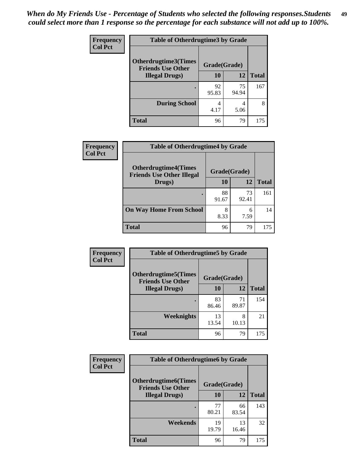| <b>Frequency</b> | <b>Table of Otherdrugtime3 by Grade</b>          |              |             |              |
|------------------|--------------------------------------------------|--------------|-------------|--------------|
| <b>Col Pct</b>   | Otherdrugtime3(Times<br><b>Friends Use Other</b> | Grade(Grade) |             |              |
|                  | <b>Illegal Drugs</b> )                           | 10           | 12          | <b>Total</b> |
|                  |                                                  | 92<br>95.83  | 75<br>94.94 | 167          |
|                  | <b>During School</b>                             | 4<br>4.17    | 4<br>5.06   | 8            |
|                  | <b>Total</b>                                     | 96           | 79          | 175          |

| Frequency<br><b>Col Pct</b> | <b>Table of Otherdrugtime4 by Grade</b>                         |              |             |              |
|-----------------------------|-----------------------------------------------------------------|--------------|-------------|--------------|
|                             | <b>Otherdrugtime4(Times</b><br><b>Friends Use Other Illegal</b> | Grade(Grade) |             |              |
|                             | Drugs)                                                          | 10           | 12          | <b>Total</b> |
|                             | ٠                                                               | 88<br>91.67  | 73<br>92.41 | 161          |
|                             | <b>On Way Home From School</b>                                  | 8<br>8.33    | 6<br>7.59   | 14           |
|                             | <b>Total</b>                                                    | 96           | 79          | 175          |

| <b>Frequency</b> | <b>Table of Otherdrugtime5 by Grade</b>                  |              |             |              |  |
|------------------|----------------------------------------------------------|--------------|-------------|--------------|--|
| <b>Col Pct</b>   | <b>Otherdrugtime5</b> (Times<br><b>Friends Use Other</b> | Grade(Grade) |             |              |  |
|                  | <b>Illegal Drugs</b> )                                   | 10           | 12          | <b>Total</b> |  |
|                  |                                                          | 83<br>86.46  | 71<br>89.87 | 154          |  |
|                  | Weeknights                                               | 13<br>13.54  | 8<br>10.13  | 21           |  |
|                  | <b>Total</b>                                             | 96           | 79          | 175          |  |

| <b>Frequency</b> | <b>Table of Otherdrugtime6 by Grade</b>                 |              |             |              |  |
|------------------|---------------------------------------------------------|--------------|-------------|--------------|--|
| <b>Col Pct</b>   | <b>Otherdrugtime6(Times</b><br><b>Friends Use Other</b> | Grade(Grade) |             |              |  |
|                  | <b>Illegal Drugs</b> )                                  | 10           | 12          | <b>Total</b> |  |
|                  |                                                         | 77<br>80.21  | 66<br>83.54 | 143          |  |
|                  | Weekends                                                | 19<br>19.79  | 13<br>16.46 | 32           |  |
|                  | Total                                                   | 96           | 79          | 175          |  |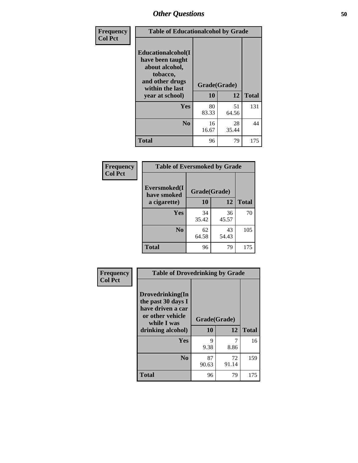| Frequency      | <b>Table of Educationalcohol by Grade</b>                                                                  |              |             |              |  |
|----------------|------------------------------------------------------------------------------------------------------------|--------------|-------------|--------------|--|
| <b>Col Pct</b> | Educationalcohol(I<br>have been taught<br>about alcohol,<br>tobacco,<br>and other drugs<br>within the last | Grade(Grade) |             |              |  |
|                | year at school)                                                                                            | 10           | 12          | <b>Total</b> |  |
|                | Yes                                                                                                        | 80<br>83.33  | 51<br>64.56 | 131          |  |
|                | N <sub>0</sub>                                                                                             | 16<br>16.67  | 28<br>35.44 | 44           |  |
|                | <b>Total</b>                                                                                               | 96           | 79          | 175          |  |

| Frequency      | <b>Table of Eversmoked by Grade</b>         |             |             |              |  |
|----------------|---------------------------------------------|-------------|-------------|--------------|--|
| <b>Col Pct</b> | Eversmoked(I<br>Grade(Grade)<br>have smoked |             |             |              |  |
|                | a cigarette)                                | 10<br>12    |             | <b>Total</b> |  |
|                | <b>Yes</b>                                  | 34<br>35.42 | 36<br>45.57 | 70           |  |
|                | N <sub>0</sub>                              | 62<br>64.58 | 43<br>54.43 | 105          |  |
|                | <b>Total</b>                                | 96          | 79          | 175          |  |

| Frequency      | <b>Table of Drovedrinking by Grade</b>                                                                              |                    |             |              |  |
|----------------|---------------------------------------------------------------------------------------------------------------------|--------------------|-------------|--------------|--|
| <b>Col Pct</b> | Drovedrinking(In<br>the past 30 days I<br>have driven a car<br>or other vehicle<br>while I was<br>drinking alcohol) | Grade(Grade)<br>10 | 12          | <b>Total</b> |  |
|                | Yes                                                                                                                 | 9<br>9.38          | 8.86        | 16           |  |
|                | N <sub>0</sub>                                                                                                      | 87<br>90.63        | 72<br>91.14 | 159          |  |
|                | <b>Total</b>                                                                                                        | 96                 | 79          | 175          |  |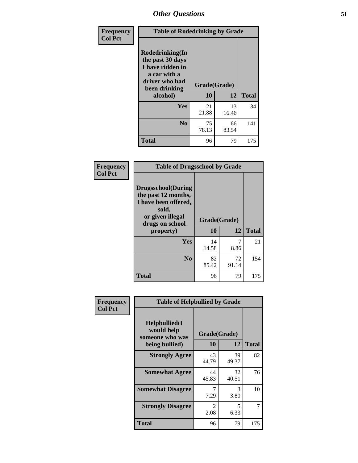| Frequency      | <b>Table of Rodedrinking by Grade</b>                                                                      |              |             |              |
|----------------|------------------------------------------------------------------------------------------------------------|--------------|-------------|--------------|
| <b>Col Pct</b> | Rodedrinking(In<br>the past 30 days<br>I have ridden in<br>a car with a<br>driver who had<br>been drinking | Grade(Grade) |             |              |
|                | alcohol)                                                                                                   | 10           | 12          | <b>Total</b> |
|                | <b>Yes</b>                                                                                                 | 21<br>21.88  | 13<br>16.46 | 34           |
|                | N <sub>0</sub>                                                                                             | 75<br>78.13  | 66<br>83.54 | 141          |
|                | <b>Total</b>                                                                                               | 96           | 79          | 175          |

#### **Frequency Col Pct**

| <b>Table of Drugsschool by Grade</b>                                                                              |              |       |              |
|-------------------------------------------------------------------------------------------------------------------|--------------|-------|--------------|
| Drugsschool(During<br>the past 12 months,<br>I have been offered,<br>sold,<br>or given illegal<br>drugs on school | Grade(Grade) |       |              |
| property)                                                                                                         | 10           | 12    | <b>Total</b> |
|                                                                                                                   |              |       |              |
| Yes                                                                                                               | 14           |       | 21           |
|                                                                                                                   | 14.58        | 8.86  |              |
| N <sub>0</sub>                                                                                                    | 82           | 72    | 154          |
|                                                                                                                   | 85.42        | 91.14 |              |

| Frequency      | <b>Table of Helpbullied by Grade</b>                                   |             |                    |              |
|----------------|------------------------------------------------------------------------|-------------|--------------------|--------------|
| <b>Col Pct</b> | $Helpb$ ullied $(I$<br>would help<br>someone who was<br>being bullied) | 10          | Grade(Grade)<br>12 | <b>Total</b> |
|                |                                                                        |             |                    |              |
|                | <b>Strongly Agree</b>                                                  | 43<br>44.79 | 39<br>49.37        | 82           |
|                | <b>Somewhat Agree</b>                                                  | 44<br>45.83 | 32<br>40.51        | 76           |
|                | <b>Somewhat Disagree</b>                                               | 7<br>7.29   | 3<br>3.80          | 10           |
|                | <b>Strongly Disagree</b>                                               | 2<br>2.08   | 5<br>6.33          | 7            |
|                | Total                                                                  | 96          | 79                 | 175          |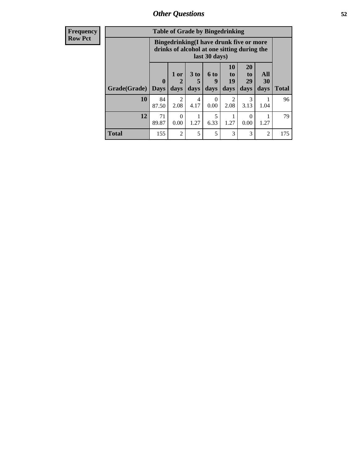| Frequency      | <b>Table of Grade by Bingedrinking</b> |                                                                                                         |                        |                   |                   |                                     |                        |                          |              |
|----------------|----------------------------------------|---------------------------------------------------------------------------------------------------------|------------------------|-------------------|-------------------|-------------------------------------|------------------------|--------------------------|--------------|
| <b>Row Pct</b> |                                        | Bingedrinking(I have drunk five or more<br>drinks of alcohol at one sitting during the<br>last 30 days) |                        |                   |                   |                                     |                        |                          |              |
|                | Grade(Grade)                           | $\boldsymbol{0}$<br><b>Days</b>                                                                         | $1$ or<br>days         | 3 to<br>5<br>days | 6 to<br>9<br>days | <b>10</b><br>to<br>19<br>days       | 20<br>to<br>29<br>days | <b>All</b><br>30<br>days | <b>Total</b> |
|                | <b>10</b>                              | 84<br>87.50                                                                                             | $\mathfrak{D}$<br>2.08 | 4<br>4.17         | ∩<br>0.00         | $\mathcal{D}_{\mathcal{L}}$<br>2.08 | 3<br>3.13              | 1.04                     | 96           |
|                | 12                                     | 71<br>89.87                                                                                             | $\Omega$<br>0.00       | 1.27              | 5<br>6.33         | 1.27                                | 0<br>0.00              | 1.27                     | 79           |
|                | <b>Total</b>                           | 155                                                                                                     | $\overline{2}$         | 5                 | 5                 | 3                                   | 3                      | $\overline{2}$           | 175          |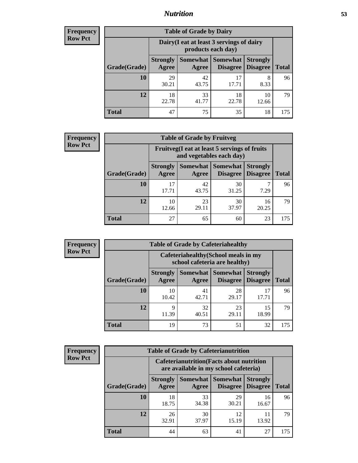### *Nutrition* **53**

| <b>Frequency</b> |
|------------------|
| <b>Row Pct</b>   |

| <b>Table of Grade by Dairy</b> |                                                                                                                                      |                                                                 |             |             |     |  |
|--------------------------------|--------------------------------------------------------------------------------------------------------------------------------------|-----------------------------------------------------------------|-------------|-------------|-----|--|
|                                |                                                                                                                                      | Dairy (I eat at least 3 servings of dairy<br>products each day) |             |             |     |  |
| Grade(Grade)                   | Somewhat  <br><b>Somewhat</b><br><b>Strongly</b><br><b>Strongly</b><br><b>Disagree</b><br>Disagree<br><b>Total</b><br>Agree<br>Agree |                                                                 |             |             |     |  |
| 10                             | 29<br>30.21                                                                                                                          | 42<br>43.75                                                     | 17<br>17.71 | 8<br>8.33   | 96  |  |
| 12                             | 18<br>22.78                                                                                                                          | 33<br>41.77                                                     | 18<br>22.78 | 10<br>12.66 | 79  |  |
| <b>Total</b>                   | 47                                                                                                                                   | 75                                                              | 35          | 18          | 175 |  |

| <b>Frequency</b> |
|------------------|
| <b>Row Pct</b>   |

| $\mathbf{y}$ | <b>Table of Grade by Fruitveg</b> |                                                                          |                     |                             |                                    |              |  |
|--------------|-----------------------------------|--------------------------------------------------------------------------|---------------------|-----------------------------|------------------------------------|--------------|--|
|              |                                   | Fruitveg(I eat at least 5 servings of fruits<br>and vegetables each day) |                     |                             |                                    |              |  |
|              | Grade(Grade)                      | <b>Strongly</b><br><b>Agree</b>                                          | Somewhat  <br>Agree | <b>Somewhat</b><br>Disagree | <b>Strongly</b><br><b>Disagree</b> | <b>Total</b> |  |
|              | <b>10</b>                         | 17<br>17.71                                                              | 42<br>43.75         | 30<br>31.25                 | 7.29                               | 96           |  |
|              | 12                                | 10<br>12.66                                                              | 23<br>29.11         | 30<br>37.97                 | 16<br>20.25                        | 79           |  |
|              | <b>Total</b>                      | 27                                                                       | 65                  | 60                          | 23                                 | 175          |  |

| <b>Frequency</b> | <b>Table of Grade by Cafeteriahealthy</b> |                          |             |                                                                       |                                    |              |  |  |  |
|------------------|-------------------------------------------|--------------------------|-------------|-----------------------------------------------------------------------|------------------------------------|--------------|--|--|--|
| <b>Row Pct</b>   |                                           |                          |             | Cafeteriahealthy (School meals in my<br>school cafeteria are healthy) |                                    |              |  |  |  |
|                  | Grade(Grade)                              | <b>Strongly</b><br>Agree | Agree       | Somewhat   Somewhat  <br>Disagree                                     | <b>Strongly</b><br><b>Disagree</b> | <b>Total</b> |  |  |  |
|                  | 10                                        | 10<br>10.42              | 41<br>42.71 | 28<br>29.17                                                           | 17<br>17.71                        | 96           |  |  |  |
|                  | 12                                        | Q<br>11.39               | 32<br>40.51 | 23<br>29.11                                                           | 15<br>18.99                        | 79           |  |  |  |
|                  | Total                                     | 19                       | 73          | 51                                                                    | 32                                 | 175          |  |  |  |

| <b>Frequency</b> |
|------------------|
| <b>Row Pct</b>   |

| <b>Table of Grade by Cafeterianutrition</b> |                          |                                                                                           |                      |                                    |              |  |  |
|---------------------------------------------|--------------------------|-------------------------------------------------------------------------------------------|----------------------|------------------------------------|--------------|--|--|
|                                             |                          | <b>Cafeterianutrition</b> (Facts about nutrition<br>are available in my school cafeteria) |                      |                                    |              |  |  |
| Grade(Grade)                                | <b>Strongly</b><br>Agree | Somewhat  <br>Agree                                                                       | Somewhat<br>Disagree | <b>Strongly</b><br><b>Disagree</b> | <b>Total</b> |  |  |
| 10                                          | 18<br>18.75              | 33<br>34.38                                                                               | 29<br>30.21          | 16<br>16.67                        | 96           |  |  |
| 12                                          | 26<br>32.91              | 30<br>37.97                                                                               | 12<br>15.19          | 11<br>13.92                        | 79           |  |  |
| <b>Total</b>                                | 44                       | 63                                                                                        | 41                   | 27                                 | 175          |  |  |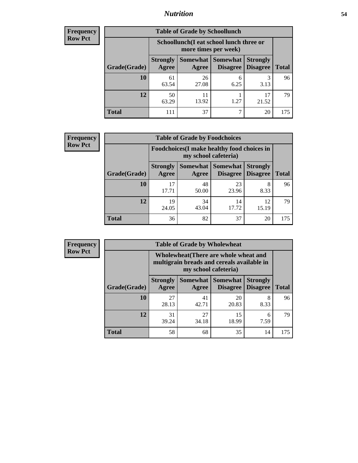### *Nutrition* **54**

| <b>Frequency</b> |
|------------------|
| <b>Row Pct</b>   |

| <b>Table of Grade by Schoollunch</b> |                          |                                                                 |                               |                                    |              |  |  |
|--------------------------------------|--------------------------|-----------------------------------------------------------------|-------------------------------|------------------------------------|--------------|--|--|
|                                      |                          | Schoollunch(I eat school lunch three or<br>more times per week) |                               |                                    |              |  |  |
| Grade(Grade)                         | <b>Strongly</b><br>Agree | Agree                                                           | Somewhat Somewhat<br>Disagree | <b>Strongly</b><br><b>Disagree</b> | <b>Total</b> |  |  |
| 10                                   | 61<br>63.54              | 26<br>27.08                                                     | 6<br>6.25                     | 3<br>3.13                          | 96           |  |  |
| 12                                   | 50<br>63.29              | 11<br>13.92                                                     | 1.27                          | 17<br>21.52                        | 79           |  |  |
| <b>Total</b>                         | 111                      | 37                                                              | 7                             | 20                                 | 175          |  |  |

| <b>Frequency</b> |  |
|------------------|--|
| <b>Row Pct</b>   |  |

| <b>Table of Grade by Foodchoices</b>                                |                          |             |                               |                                    |              |  |
|---------------------------------------------------------------------|--------------------------|-------------|-------------------------------|------------------------------------|--------------|--|
| Foodchoices (I make healthy food choices in<br>my school cafeteria) |                          |             |                               |                                    |              |  |
| Grade(Grade)                                                        | <b>Strongly</b><br>Agree | Agree       | Somewhat Somewhat<br>Disagree | <b>Strongly</b><br><b>Disagree</b> | <b>Total</b> |  |
| 10                                                                  | 17<br>17.71              | 48<br>50.00 | 23<br>23.96                   | 8<br>8.33                          | 96           |  |
| 12                                                                  | 19<br>24.05              | 34<br>43.04 | 14<br>17.72                   | 12<br>15.19                        | 79           |  |
| <b>Total</b>                                                        | 36                       | 82          | 37                            | 20                                 | 175          |  |

| <b>Frequency</b> |
|------------------|
| <b>Row Pct</b>   |

| <b>Table of Grade by Wholewheat</b> |                          |                                                                                                             |                                        |                                    |              |  |  |
|-------------------------------------|--------------------------|-------------------------------------------------------------------------------------------------------------|----------------------------------------|------------------------------------|--------------|--|--|
|                                     |                          | Wholewheat (There are whole wheat and<br>multigrain breads and cereals available in<br>my school cafeteria) |                                        |                                    |              |  |  |
| Grade(Grade)                        | <b>Strongly</b><br>Agree | Agree                                                                                                       | Somewhat   Somewhat<br><b>Disagree</b> | <b>Strongly</b><br><b>Disagree</b> | <b>Total</b> |  |  |
| 10                                  | 27<br>28.13              | 41<br>42.71                                                                                                 | 20<br>20.83                            | 8<br>8.33                          | 96           |  |  |
| 12                                  | 31<br>39.24              | 27<br>34.18                                                                                                 | 15<br>18.99                            | 6<br>7.59                          | 79           |  |  |
| <b>Total</b>                        | 58                       | 68                                                                                                          | 35                                     | 14                                 | 175          |  |  |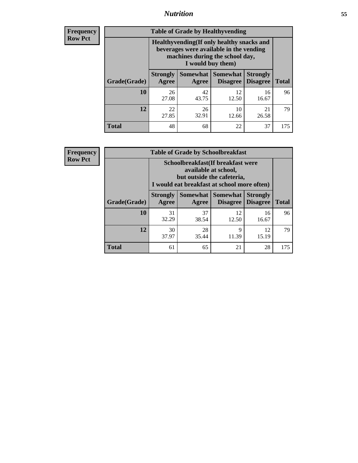### *Nutrition* **55**

**Frequency Row Pct**

| <b>Table of Grade by Healthyvending</b> |                                                                                                                                               |                          |                                    |                                    |              |  |  |
|-----------------------------------------|-----------------------------------------------------------------------------------------------------------------------------------------------|--------------------------|------------------------------------|------------------------------------|--------------|--|--|
|                                         | Healthyvending (If only healthy snacks and<br>beverages were available in the vending<br>machines during the school day,<br>I would buy them) |                          |                                    |                                    |              |  |  |
| Grade(Grade)                            | <b>Strongly</b><br>Agree                                                                                                                      | <b>Somewhat</b><br>Agree | <b>Somewhat</b><br><b>Disagree</b> | <b>Strongly</b><br><b>Disagree</b> | <b>Total</b> |  |  |
| 10                                      | 26<br>27.08                                                                                                                                   | 42<br>43.75              | 12<br>12.50                        | 16<br>16.67                        | 96           |  |  |
| 12                                      | 22<br>27.85                                                                                                                                   | 26<br>32.91              | 10<br>12.66                        | 21<br>26.58                        | 79           |  |  |
| Total                                   | 48                                                                                                                                            | 68                       | 22                                 | 37                                 | 175          |  |  |

**Frequency Row Pct**

| <b>Table of Grade by Schoolbreakfast</b> |                                                                                                                                         |             |                                        |                             |              |  |  |
|------------------------------------------|-----------------------------------------------------------------------------------------------------------------------------------------|-------------|----------------------------------------|-----------------------------|--------------|--|--|
|                                          | Schoolbreakfast (If breakfast were<br>available at school,<br>but outside the cafeteria,<br>I would eat breakfast at school more often) |             |                                        |                             |              |  |  |
| Grade(Grade)                             | <b>Strongly</b><br>Agree                                                                                                                | Agree       | Somewhat   Somewhat<br><b>Disagree</b> | <b>Strongly</b><br>Disagree | <b>Total</b> |  |  |
| 10                                       | 31<br>32.29                                                                                                                             | 37<br>38.54 | 12<br>12.50                            | 16<br>16.67                 | 96           |  |  |
| 12                                       | 30<br>37.97                                                                                                                             | 28<br>35.44 | 9<br>11.39                             | 12<br>15.19                 | 79           |  |  |
| <b>Total</b>                             | 61                                                                                                                                      | 65          | 21                                     | 28                          | 175          |  |  |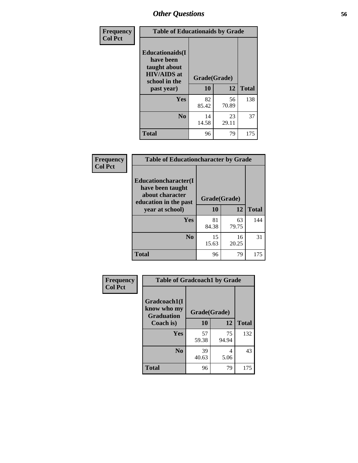| Frequency<br><b>Col Pct</b> | <b>Table of Educationaids by Grade</b>                                                                    |                    |             |              |
|-----------------------------|-----------------------------------------------------------------------------------------------------------|--------------------|-------------|--------------|
|                             | <b>Educationaids</b> (I<br>have been<br>taught about<br><b>HIV/AIDS</b> at<br>school in the<br>past year) | Grade(Grade)<br>10 | 12          | <b>Total</b> |
|                             | Yes                                                                                                       | 82<br>85.42        | 56<br>70.89 | 138          |
|                             | N <sub>0</sub>                                                                                            | 14<br>14.58        | 23<br>29.11 | 37           |
|                             | <b>Total</b>                                                                                              | 96                 | 79          | 175          |

| Frequency      | <b>Table of Educationcharacter by Grade</b>                 |              |             |              |  |
|----------------|-------------------------------------------------------------|--------------|-------------|--------------|--|
| <b>Col Pct</b> | Educationcharacter(I<br>have been taught<br>about character | Grade(Grade) |             |              |  |
|                | education in the past<br>year at school)                    | 10           | 12          | <b>Total</b> |  |
|                | Yes                                                         | 81<br>84.38  | 63<br>79.75 | 144          |  |
|                | N <sub>0</sub>                                              | 15<br>15.63  | 16<br>20.25 | 31           |  |
|                | <b>Total</b>                                                | 96           | 79          | 175          |  |

| <b>Frequency</b><br><b>Col Pct</b> | <b>Table of Gradcoach1 by Grade</b>              |              |             |              |
|------------------------------------|--------------------------------------------------|--------------|-------------|--------------|
|                                    | Gradcoach1(I<br>know who my<br><b>Graduation</b> | Grade(Grade) |             |              |
|                                    | Coach is)                                        | 10           | 12          | <b>Total</b> |
|                                    | Yes                                              | 57<br>59.38  | 75<br>94.94 | 132          |
|                                    | N <sub>0</sub>                                   | 39<br>40.63  | 4<br>5.06   | 43           |
|                                    | <b>Total</b>                                     | 96           | 79          | 175          |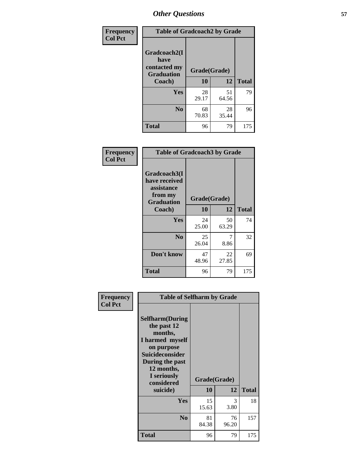| Frequency      | <b>Table of Gradcoach2 by Grade</b> |             |              |              |  |
|----------------|-------------------------------------|-------------|--------------|--------------|--|
| <b>Col Pct</b> | Gradcoach2(I<br>have                |             |              |              |  |
|                | contacted my<br><b>Graduation</b>   |             | Grade(Grade) |              |  |
|                | Coach)                              | 10          | 12           | <b>Total</b> |  |
|                | Yes                                 | 28<br>29.17 | 51<br>64.56  | 79           |  |
|                | N <sub>0</sub>                      | 68<br>70.83 | 28<br>35.44  | 96           |  |
|                | <b>Total</b>                        | 96          | 79           | 175          |  |

| Frequency<br><b>Col Pct</b> | <b>Table of Gradcoach3 by Grade</b>                                         |              |             |              |
|-----------------------------|-----------------------------------------------------------------------------|--------------|-------------|--------------|
|                             | Gradcoach3(I<br>have received<br>assistance<br>from my<br><b>Graduation</b> | Grade(Grade) |             |              |
|                             | Coach)                                                                      | 10           | 12          | <b>Total</b> |
|                             | Yes                                                                         | 24<br>25.00  | 50<br>63.29 | 74           |
|                             | N <sub>0</sub>                                                              | 25           | 7           | 32           |
|                             |                                                                             | 26.04        | 8.86        |              |
|                             | Don't know                                                                  | 47<br>48.96  | 22<br>27.85 | 69           |
|                             | <b>Total</b>                                                                | 96           | 79          | 175          |

| Frequency      | <b>Table of Selfharm by Grade</b>                                                                                                                                                      |                    |             |              |
|----------------|----------------------------------------------------------------------------------------------------------------------------------------------------------------------------------------|--------------------|-------------|--------------|
| <b>Col Pct</b> | <b>Selfharm</b> (During<br>the past 12<br>months,<br>I harmed myself<br>on purpose<br><b>Suicideconsider</b><br>During the past<br>12 months,<br>I seriously<br>considered<br>suicide) | Grade(Grade)<br>10 | 12          | <b>Total</b> |
|                | Yes                                                                                                                                                                                    | 15<br>15.63        | 3<br>3.80   | 18           |
|                | N <sub>0</sub>                                                                                                                                                                         | 81<br>84.38        | 76<br>96.20 | 157          |
|                | Total                                                                                                                                                                                  | 96                 | 79          | 175          |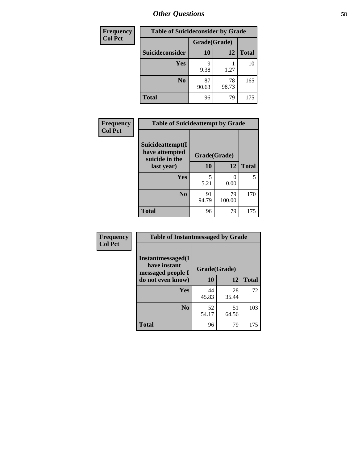| <b>Frequency</b> | <b>Table of Suicideconsider by Grade</b> |              |             |              |
|------------------|------------------------------------------|--------------|-------------|--------------|
| <b>Col Pct</b>   |                                          | Grade(Grade) |             |              |
|                  | Suicideconsider                          | <b>10</b>    | 12          | <b>Total</b> |
|                  | Yes                                      | q<br>9.38    | 1.27        | 10           |
|                  | N <sub>0</sub>                           | 87<br>90.63  | 78<br>98.73 | 165          |
|                  | <b>Total</b>                             | 96           | 79          | 175          |

| Frequency      | <b>Table of Suicideattempt by Grade</b>              |              |              |              |
|----------------|------------------------------------------------------|--------------|--------------|--------------|
| <b>Col Pct</b> | Suicideattempt(I<br>have attempted<br>suicide in the | Grade(Grade) |              |              |
|                | last year)                                           | 10           | 12           | <b>Total</b> |
|                | Yes                                                  | 5<br>5.21    | 0<br>0.00    | 5            |
|                | N <sub>0</sub>                                       | 91<br>94.79  | 79<br>100.00 | 170          |
|                | <b>Total</b>                                         | 96           | 79           | 175          |

| Frequency      | <b>Table of Instantmessaged by Grade</b>               |              |             |              |
|----------------|--------------------------------------------------------|--------------|-------------|--------------|
| <b>Col Pct</b> | Instantmessaged(I<br>have instant<br>messaged people I | Grade(Grade) |             |              |
|                | do not even know)                                      | 10           | 12          | <b>Total</b> |
|                | Yes                                                    | 44<br>45.83  | 28<br>35.44 | 72           |
|                | N <sub>0</sub>                                         | 52<br>54.17  | 51<br>64.56 | 103          |
|                | <b>Total</b>                                           | 96           | 79          | 175          |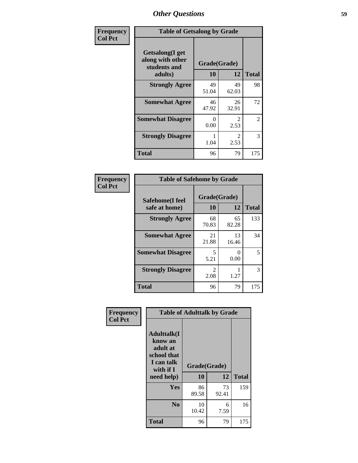| Frequency      | <b>Table of Getsalong by Grade</b>                  |              |                        |                |
|----------------|-----------------------------------------------------|--------------|------------------------|----------------|
| <b>Col Pct</b> | Getsalong(I get<br>along with other<br>students and | Grade(Grade) |                        |                |
|                | adults)                                             | 10           | 12                     | <b>Total</b>   |
|                | <b>Strongly Agree</b>                               | 49<br>51.04  | 49<br>62.03            | 98             |
|                | <b>Somewhat Agree</b>                               | 46<br>47.92  | 26<br>32.91            | 72             |
|                | <b>Somewhat Disagree</b>                            | 0<br>0.00    | $\mathfrak{D}$<br>2.53 | $\overline{2}$ |
|                | <b>Strongly Disagree</b>                            | 1.04         | $\mathfrak{D}$<br>2.53 | 3              |
|                | <b>Total</b>                                        | 96           | 79                     | 175            |

| Frequency      | <b>Table of Safehome by Grade</b> |                        |             |              |  |
|----------------|-----------------------------------|------------------------|-------------|--------------|--|
| <b>Col Pct</b> | Safehome(I feel<br>safe at home)  | Grade(Grade)<br>10     | 12          | <b>Total</b> |  |
|                | <b>Strongly Agree</b>             | 68<br>70.83            | 65<br>82.28 | 133          |  |
|                | <b>Somewhat Agree</b>             | 21<br>21.88            | 13<br>16.46 | 34           |  |
|                | <b>Somewhat Disagree</b>          | 5<br>5.21              | 0<br>0.00   | 5            |  |
|                | <b>Strongly Disagree</b>          | $\mathfrak{D}$<br>2.08 | 1.27        | 3            |  |
|                | <b>Total</b>                      | 96                     | 79          | 175          |  |

3

| Frequency      | <b>Table of Adulttalk by Grade</b>                                                                |                    |             |              |
|----------------|---------------------------------------------------------------------------------------------------|--------------------|-------------|--------------|
| <b>Col Pct</b> | <b>Adulttalk(I</b><br>know an<br>adult at<br>school that<br>I can talk<br>with if I<br>need help) | Grade(Grade)<br>10 | 12          | <b>Total</b> |
|                | <b>Yes</b>                                                                                        | 86<br>89.58        | 73<br>92.41 | 159          |
|                | N <sub>0</sub>                                                                                    | 10<br>10.42        | 6<br>7.59   | 16           |
|                | <b>Total</b>                                                                                      | 96                 | 79          | 175          |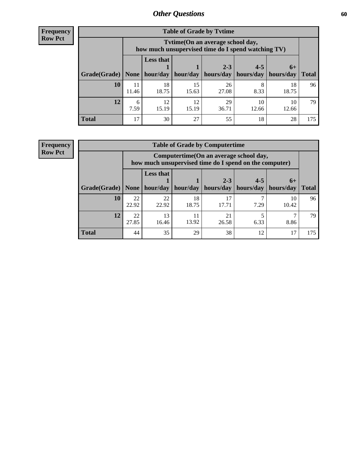**Frequency Row Pct**

| <b>Table of Grade by Tvtime</b> |             |                                                                                                                                                                                                                            |             |             |             |             |     |  |  |
|---------------------------------|-------------|----------------------------------------------------------------------------------------------------------------------------------------------------------------------------------------------------------------------------|-------------|-------------|-------------|-------------|-----|--|--|
|                                 |             | Tvtime(On an average school day,<br>how much unsupervised time do I spend watching TV)<br><b>Less that</b><br>$2 - 3$<br>$4 - 5$<br>$6+$<br>hour/day<br>  hours/day   hours/day<br>hour/day<br>  hours/day<br><b>Total</b> |             |             |             |             |     |  |  |
| Grade(Grade)                    | None        |                                                                                                                                                                                                                            |             |             |             |             |     |  |  |
| 10                              | 11<br>11.46 | 18<br>18.75                                                                                                                                                                                                                | 15<br>15.63 | 26<br>27.08 | 8<br>8.33   | 18<br>18.75 | 96  |  |  |
| 12                              | 6<br>7.59   | 12<br>15.19                                                                                                                                                                                                                | 12<br>15.19 | 29<br>36.71 | 10<br>12.66 | 10<br>12.66 | 79  |  |  |
| <b>Total</b>                    | 17          | 30                                                                                                                                                                                                                         | 27          | 55          | 18          | 28          | 175 |  |  |

**Frequency Row Pct**

| <b>Table of Grade by Computertime</b> |             |                                                                                                                              |             |             |      |             |     |  |  |
|---------------------------------------|-------------|------------------------------------------------------------------------------------------------------------------------------|-------------|-------------|------|-------------|-----|--|--|
|                                       |             | Computertime (On an average school day,<br>how much unsupervised time do I spend on the computer)                            |             |             |      |             |     |  |  |
| Grade(Grade)                          | None        | <b>Less that</b><br>$2 - 3$<br>$4 - 5$<br>$6+$<br>hour/day<br>hour/day   hours/day<br>hours/day<br>hours/day<br><b>Total</b> |             |             |      |             |     |  |  |
| 10                                    | 22<br>22.92 | 22<br>22.92                                                                                                                  | 18<br>18.75 | 17<br>17.71 | 7.29 | 10<br>10.42 | 96. |  |  |
| 12                                    | 22<br>27.85 | 13<br>16.46                                                                                                                  | 11<br>13.92 | 21<br>26.58 | 6.33 | 8.86        | 79  |  |  |
| <b>Total</b>                          | 44          | 35                                                                                                                           | 29          | 38          | 12   | 17          | 175 |  |  |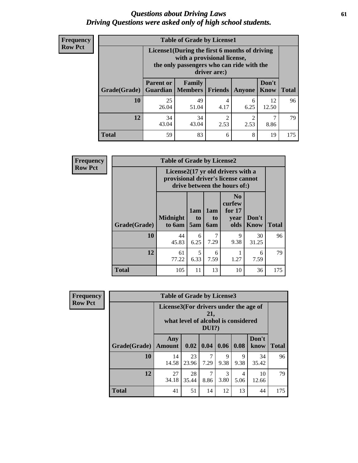### *Questions about Driving Laws* **61** *Driving Questions were asked only of high school students.*

| <b>Frequency</b> |
|------------------|
| <b>Row Pct</b>   |

| <b>Table of Grade by License1</b> |                  |                                                                                                                                           |                        |                        |               |              |  |  |  |
|-----------------------------------|------------------|-------------------------------------------------------------------------------------------------------------------------------------------|------------------------|------------------------|---------------|--------------|--|--|--|
|                                   |                  | License1(During the first 6 months of driving<br>with a provisional license,<br>the only passengers who can ride with the<br>driver are:) |                        |                        |               |              |  |  |  |
| Grade(Grade)                      | <b>Parent or</b> | Family<br><b>Guardian</b>   Members                                                                                                       | <b>Friends</b>         | Anyone                 | Don't<br>Know | <b>Total</b> |  |  |  |
| 10                                | 25<br>26.04      | 49<br>51.04                                                                                                                               | 4<br>4.17              | 6<br>6.25              | 12<br>12.50   | 96           |  |  |  |
| 12                                | 34<br>43.04      | 34<br>43.04                                                                                                                               | $\overline{c}$<br>2.53 | $\mathfrak{D}$<br>2.53 | 8.86          | 79           |  |  |  |
| Total                             | 59               | 83                                                                                                                                        | 6                      | 8                      | 19            | 175          |  |  |  |

| <b>Frequency</b> | <b>Table of Grade by License2</b> |                                                                                                          |                              |                              |                                                      |                      |              |  |
|------------------|-----------------------------------|----------------------------------------------------------------------------------------------------------|------------------------------|------------------------------|------------------------------------------------------|----------------------|--------------|--|
| <b>Row Pct</b>   |                                   | License2(17 yr old drivers with a<br>provisional driver's license cannot<br>drive between the hours of:) |                              |                              |                                                      |                      |              |  |
|                  | Grade(Grade)                      | <b>Midnight</b><br>to 6am                                                                                | 1am<br>t <sub>0</sub><br>5am | 1am<br>t <sub>0</sub><br>6am | N <sub>0</sub><br>curfew<br>for $17$<br>year<br>olds | Don't<br><b>Know</b> | <b>Total</b> |  |
|                  | 10                                | 44<br>45.83                                                                                              | 6<br>6.25                    | 7<br>7.29                    | 9<br>9.38                                            | 30<br>31.25          | 96           |  |
|                  | 12                                | 61<br>77.22                                                                                              | 5<br>6.33                    | 6<br>7.59                    | 1.27                                                 | 6<br>7.59            | 79           |  |
|                  | <b>Total</b>                      | 105                                                                                                      | 11                           | 13                           | 10                                                   | 36                   | 175          |  |

| Frequency      |              | <b>Table of Grade by License3</b>     |                                     |                 |                       |                        |               |              |  |
|----------------|--------------|---------------------------------------|-------------------------------------|-----------------|-----------------------|------------------------|---------------|--------------|--|
| <b>Row Pct</b> |              | License3(For drivers under the age of | what level of alcohol is considered | 21,<br>$DUI$ ?) |                       |                        |               |              |  |
|                | Grade(Grade) | Any<br><b>Amount</b>                  | 0.02                                | $\vert$ 0.04    | 0.06                  | 0.08                   | Don't<br>know | <b>Total</b> |  |
|                | 10           | 14<br>14.58                           | 23<br>23.96                         | 7<br>7.29       | 9<br>9.38             | 9<br>9.38              | 34<br>35.42   | 96           |  |
|                | 12           | 27<br>34.18                           | 28<br>35.44                         | 7<br>8.86       | $\mathcal{R}$<br>3.80 | $\overline{4}$<br>5.06 | 10<br>12.66   | 79           |  |
|                | <b>Total</b> | 41                                    | 51                                  | 14              | 12                    | 13                     | 44            | 175          |  |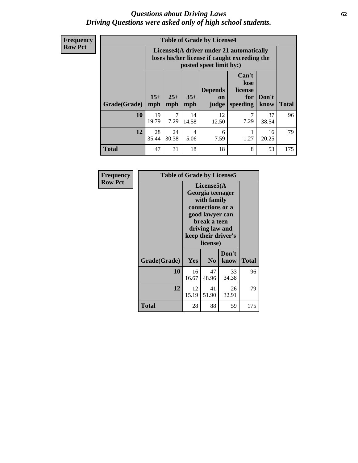### *Questions about Driving Laws* **62** *Driving Questions were asked only of high school students.*

**Frequency Row Pct**

| <b>Table of Grade by License4</b> |             |                                                                                                                                                                                                                                                                                       |                        |             |           |             |     |  |
|-----------------------------------|-------------|---------------------------------------------------------------------------------------------------------------------------------------------------------------------------------------------------------------------------------------------------------------------------------------|------------------------|-------------|-----------|-------------|-----|--|
|                                   |             | License4(A driver under 21 automatically<br>loses his/her license if caught exceeding the<br>posted speet limit by:)<br>Can't<br>lose<br><b>Depends</b><br>license<br>$15+$<br>$25+$<br>$35+$<br>Don't<br>for<br><b>on</b><br><b>Total</b><br>mph<br>speeding<br>know<br>mph<br>judge |                        |             |           |             |     |  |
| Grade(Grade)                      | mph         |                                                                                                                                                                                                                                                                                       |                        |             |           |             |     |  |
| 10                                | 19<br>19.79 | 7<br>7.29                                                                                                                                                                                                                                                                             | 14<br>14.58            | 12<br>12.50 | 7<br>7.29 | 37<br>38.54 | 96  |  |
| 12                                | 28<br>35.44 | 24<br>30.38                                                                                                                                                                                                                                                                           | $\overline{4}$<br>5.06 | 6<br>7.59   | 1.27      | 16<br>20.25 | 79  |  |
| <b>Total</b>                      | 47          | 31                                                                                                                                                                                                                                                                                    | 18                     | 18          | 8         | 53          | 175 |  |

| Frequency      |              | <b>Table of Grade by License5</b> |                                                                                                                                                             |               |       |  |  |
|----------------|--------------|-----------------------------------|-------------------------------------------------------------------------------------------------------------------------------------------------------------|---------------|-------|--|--|
| <b>Row Pct</b> |              |                                   | License5(A)<br>Georgia teenager<br>with family<br>connections or a<br>good lawyer can<br>break a teen<br>driving law and<br>keep their driver's<br>license) |               |       |  |  |
|                | Grade(Grade) | <b>Yes</b>                        | N <sub>0</sub>                                                                                                                                              | Don't<br>know | Total |  |  |
|                | 10           | 16<br>16.67                       | 47<br>48.96                                                                                                                                                 | 33<br>34.38   | 96    |  |  |
|                | 12           | 12<br>15.19                       | 41<br>51.90                                                                                                                                                 | 26<br>32.91   | 79    |  |  |
|                | <b>Total</b> | 28                                | 88                                                                                                                                                          | 59            | 175   |  |  |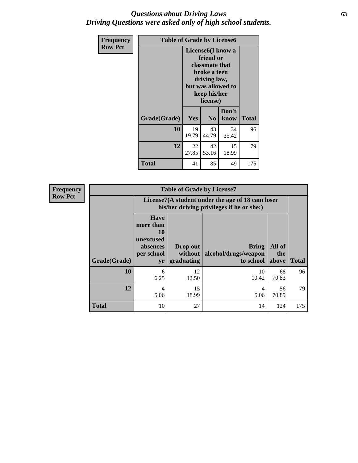### *Questions about Driving Laws* **63** *Driving Questions were asked only of high school students.*

| <b>Frequency</b> | <b>Table of Grade by License6</b> |             |                                                                                                                           |                    |              |
|------------------|-----------------------------------|-------------|---------------------------------------------------------------------------------------------------------------------------|--------------------|--------------|
| <b>Row Pct</b>   |                                   |             | License <sub>6</sub> (I know a<br>friend or<br>classmate that<br>broke a teen<br>driving law,<br>keep his/her<br>license) | but was allowed to |              |
|                  | Grade(Grade)                      | <b>Yes</b>  | N <sub>0</sub>                                                                                                            | Don't<br>know      | <b>Total</b> |
|                  | 10                                | 19<br>19.79 | 43<br>44.79                                                                                                               | 34<br>35.42        | 96           |
|                  | 12                                | 22<br>27.85 | 42<br>53.16                                                                                                               | 15<br>18.99        | 79           |
|                  | <b>Total</b>                      | 41          | 85                                                                                                                        | 49                 | 175          |

| <b>Frequency</b> | <b>Table of Grade by License7</b> |                                                                             |                                                                                               |                                                   |                        |              |  |  |  |
|------------------|-----------------------------------|-----------------------------------------------------------------------------|-----------------------------------------------------------------------------------------------|---------------------------------------------------|------------------------|--------------|--|--|--|
| <b>Row Pct</b>   |                                   |                                                                             | License7(A student under the age of 18 cam loser<br>his/her driving privileges if he or she:) |                                                   |                        |              |  |  |  |
|                  | Grade(Grade)                      | <b>Have</b><br>more than<br>10<br>unexcused<br>absences<br>per school<br>yr | Drop out<br>without  <br>graduating                                                           | <b>Bring</b><br>alcohol/drugs/weapon<br>to school | All of<br>the<br>above | <b>Total</b> |  |  |  |
|                  | 10                                | 6<br>6.25                                                                   | 12<br>12.50                                                                                   | 10<br>10.42                                       | 68<br>70.83            | 96           |  |  |  |
|                  | 12                                | 4<br>5.06                                                                   | 15<br>18.99                                                                                   | 4<br>5.06                                         | 56<br>70.89            | 79           |  |  |  |
|                  | <b>Total</b>                      | 10                                                                          | 27                                                                                            | 14                                                | 124                    | 175          |  |  |  |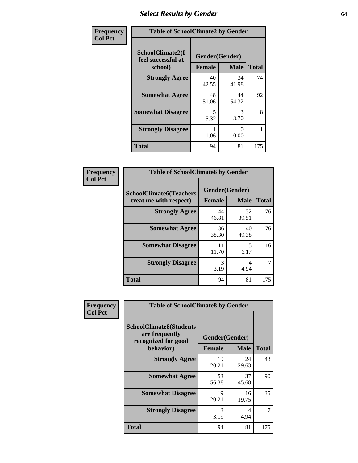# *Select Results by Gender* **64**

| Frequency      | <b>Table of SchoolClimate2 by Gender</b>          |                                 |             |              |  |  |  |
|----------------|---------------------------------------------------|---------------------------------|-------------|--------------|--|--|--|
| <b>Col Pct</b> | SchoolClimate2(I<br>feel successful at<br>school) | Gender(Gender)<br><b>Female</b> | <b>Male</b> | <b>Total</b> |  |  |  |
|                | <b>Strongly Agree</b>                             | 40<br>42.55                     | 34<br>41.98 | 74           |  |  |  |
|                | <b>Somewhat Agree</b>                             | 48<br>51.06                     | 44<br>54.32 | 92           |  |  |  |
|                | <b>Somewhat Disagree</b>                          | 5<br>5.32                       | 3<br>3.70   | 8            |  |  |  |
|                | <b>Strongly Disagree</b>                          | 1.06                            | 0<br>0.00   |              |  |  |  |
|                | <b>Total</b>                                      | 94                              | 81          | 175          |  |  |  |

| <b>Frequency</b> | <b>Table of SchoolClimate6 by Gender</b> |               |                |              |
|------------------|------------------------------------------|---------------|----------------|--------------|
| <b>Col Pct</b>   | <b>SchoolClimate6(Teachers</b>           |               | Gender(Gender) |              |
|                  | treat me with respect)                   | <b>Female</b> | <b>Male</b>    | <b>Total</b> |
|                  | <b>Strongly Agree</b>                    | 44<br>46.81   | 32<br>39.51    | 76           |
|                  | <b>Somewhat Agree</b>                    | 36<br>38.30   | 40<br>49.38    | 76           |
|                  | <b>Somewhat Disagree</b>                 | 11<br>11.70   | 5<br>6.17      | 16           |
|                  | <b>Strongly Disagree</b>                 | 3<br>3.19     | 4<br>4.94      |              |
|                  | <b>Total</b>                             | 94            | 81             | 175          |

| <b>Frequency</b> | <b>Table of SchoolClimate8 by Gender</b>                                             |               |                               |       |
|------------------|--------------------------------------------------------------------------------------|---------------|-------------------------------|-------|
| <b>Col Pct</b>   | <b>SchoolClimate8(Students</b><br>are frequently<br>recognized for good<br>behavior) | <b>Female</b> | Gender(Gender)<br><b>Male</b> | Total |
|                  | <b>Strongly Agree</b>                                                                | 19<br>20.21   | 24<br>29.63                   | 43    |
|                  | <b>Somewhat Agree</b>                                                                | 53<br>56.38   | 37<br>45.68                   | 90    |
|                  | <b>Somewhat Disagree</b>                                                             | 19<br>20.21   | 16<br>19.75                   | 35    |
|                  | <b>Strongly Disagree</b>                                                             | 3<br>3.19     | 4<br>4.94                     | 7     |
|                  | Total                                                                                | 94            | 81                            | 175   |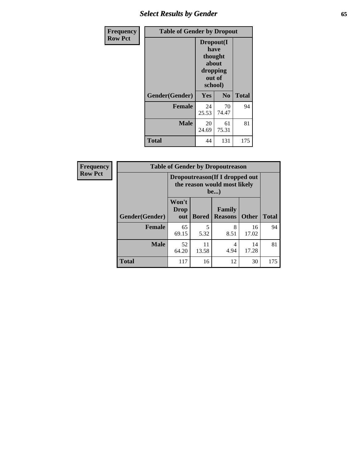# *Select Results by Gender* **65**

| <b>Frequency</b> | <b>Table of Gender by Dropout</b> |                                                                        |                |              |
|------------------|-----------------------------------|------------------------------------------------------------------------|----------------|--------------|
| <b>Row Pct</b>   |                                   | Dropout(I<br>have<br>thought<br>about<br>dropping<br>out of<br>school) |                |              |
|                  | Gender(Gender)                    | Yes                                                                    | N <sub>0</sub> | <b>Total</b> |
|                  | <b>Female</b>                     | 24<br>25.53                                                            | 70<br>74.47    | 94           |
|                  | <b>Male</b>                       | 20<br>24.69                                                            | 61<br>75.31    | 81           |
|                  | <b>Total</b>                      | 44                                                                     | 131            | 175          |

| Frequency      |                | <b>Table of Gender by Dropoutreason</b>                                |              |                          |              |              |  |
|----------------|----------------|------------------------------------------------------------------------|--------------|--------------------------|--------------|--------------|--|
| <b>Row Pct</b> |                | Dropoutreason (If I dropped out<br>the reason would most likely<br>be) |              |                          |              |              |  |
|                | Gender(Gender) | Won't<br>Drop<br>out                                                   | <b>Bored</b> | Family<br><b>Reasons</b> | <b>Other</b> | <b>Total</b> |  |
|                | <b>Female</b>  | 65<br>69.15                                                            | 5.32         | 8<br>8.51                | 16<br>17.02  | 94           |  |
|                | <b>Male</b>    | 52<br>64.20                                                            | 11<br>13.58  | 4<br>4.94                | 14<br>17.28  | 81           |  |
|                | <b>Total</b>   | 117                                                                    | 16           | 12                       | 30           | 175          |  |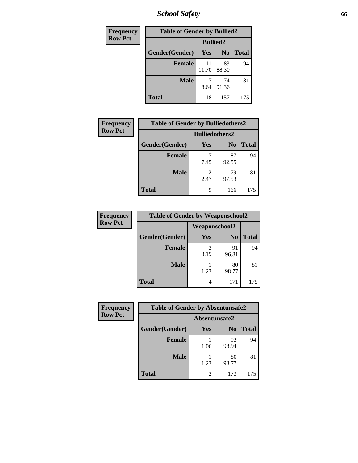*School Safety* **66**

| Frequency      | <b>Table of Gender by Bullied2</b> |                 |                |              |
|----------------|------------------------------------|-----------------|----------------|--------------|
| <b>Row Pct</b> |                                    | <b>Bullied2</b> |                |              |
|                | Gender(Gender)                     | Yes             | N <sub>0</sub> | <b>Total</b> |
|                | <b>Female</b>                      | 11<br>11.70     | 83<br>88.30    | 94           |
|                | <b>Male</b>                        | 8.64            | 74<br>91.36    | 81           |
|                | <b>Total</b>                       | 18              | 157            | 175          |

| <b>Frequency</b> | <b>Table of Gender by Bulliedothers2</b> |                       |                |              |
|------------------|------------------------------------------|-----------------------|----------------|--------------|
| <b>Row Pct</b>   |                                          | <b>Bulliedothers2</b> |                |              |
|                  | Gender(Gender)                           | <b>Yes</b>            | N <sub>0</sub> | <b>Total</b> |
|                  | <b>Female</b>                            | 7.45                  | 87<br>92.55    | 94           |
|                  | <b>Male</b>                              | 2<br>2.47             | 79<br>97.53    | 81           |
|                  | Total                                    | 9                     | 166            | 175          |

| Frequency      | <b>Table of Gender by Weaponschool2</b> |               |                |              |
|----------------|-----------------------------------------|---------------|----------------|--------------|
| <b>Row Pct</b> |                                         | Weaponschool2 |                |              |
|                | Gender(Gender)                          | Yes           | N <sub>0</sub> | <b>Total</b> |
|                | <b>Female</b>                           | 3<br>3.19     | 91<br>96.81    | 94           |
|                | <b>Male</b>                             | 1.23          | 80<br>98.77    | 81           |
|                | <b>Total</b>                            | 4             | 171            | 175          |

| Frequency      | <b>Table of Gender by Absentunsafe2</b> |               |                |              |
|----------------|-----------------------------------------|---------------|----------------|--------------|
| <b>Row Pct</b> |                                         | Absentunsafe2 |                |              |
|                | Gender(Gender)                          | Yes           | N <sub>0</sub> | <b>Total</b> |
|                | <b>Female</b>                           | 1.06          | 93<br>98.94    | 94           |
|                | <b>Male</b>                             | 1.23          | 80<br>98.77    | 81           |
|                | <b>Total</b>                            |               | 173            | 175          |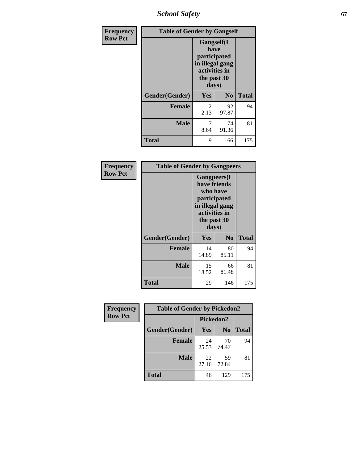*School Safety* **67**

| Frequency      | <b>Table of Gender by Gangself</b> |                                                                                                |                |              |
|----------------|------------------------------------|------------------------------------------------------------------------------------------------|----------------|--------------|
| <b>Row Pct</b> |                                    | Gangself(I<br>have<br>participated<br>in illegal gang<br>activities in<br>the past 30<br>days) |                |              |
|                | Gender(Gender)                     | Yes                                                                                            | N <sub>0</sub> | <b>Total</b> |
|                | <b>Female</b>                      | $\overline{c}$<br>2.13                                                                         | 92<br>97.87    | 94           |
|                | <b>Male</b>                        | 7<br>8.64                                                                                      | 74<br>91.36    | 81           |
|                | <b>Total</b>                       | 9                                                                                              | 166            | 175          |

| Frequency      | <b>Table of Gender by Gangpeers</b> |             |                                                                                                                             |              |
|----------------|-------------------------------------|-------------|-----------------------------------------------------------------------------------------------------------------------------|--------------|
| <b>Row Pct</b> |                                     |             | <b>Gangpeers</b> (I<br>have friends<br>who have<br>participated<br>in illegal gang<br>activities in<br>the past 30<br>days) |              |
|                | Gender(Gender)                      | Yes         | N <sub>0</sub>                                                                                                              | <b>Total</b> |
|                | <b>Female</b>                       | 14<br>14.89 | 80<br>85.11                                                                                                                 | 94           |
|                | <b>Male</b>                         | 15<br>18.52 | 66<br>81.48                                                                                                                 | 81           |
|                | <b>Total</b>                        | 29          | 146                                                                                                                         | 175          |

| <b>Frequency</b> | <b>Table of Gender by Pickedon2</b> |             |                |              |
|------------------|-------------------------------------|-------------|----------------|--------------|
| <b>Row Pct</b>   |                                     | Pickedon2   |                |              |
|                  | Gender(Gender)                      | Yes         | N <sub>0</sub> | <b>Total</b> |
|                  | <b>Female</b>                       | 24<br>25.53 | 70<br>74.47    | 94           |
|                  | <b>Male</b>                         | 22<br>27.16 | 59<br>72.84    | 81           |
|                  | <b>Total</b>                        | 46          | 129            | 175          |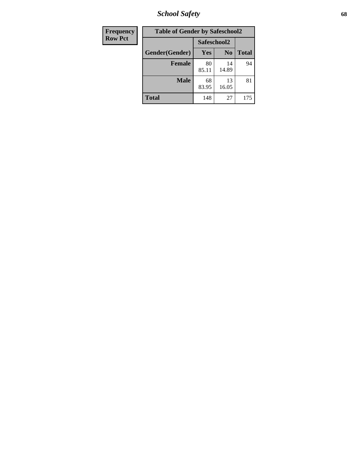*School Safety* **68**

| Frequency      | <b>Table of Gender by Safeschool2</b> |             |                |              |
|----------------|---------------------------------------|-------------|----------------|--------------|
| <b>Row Pct</b> |                                       | Safeschool2 |                |              |
|                | Gender(Gender)                        | <b>Yes</b>  | N <sub>0</sub> | <b>Total</b> |
|                | <b>Female</b>                         | 80<br>85.11 | 14<br>14.89    | 94           |
|                | <b>Male</b>                           | 68<br>83.95 | 13<br>16.05    | 81           |
|                | <b>Total</b>                          | 148         | 27             | 175          |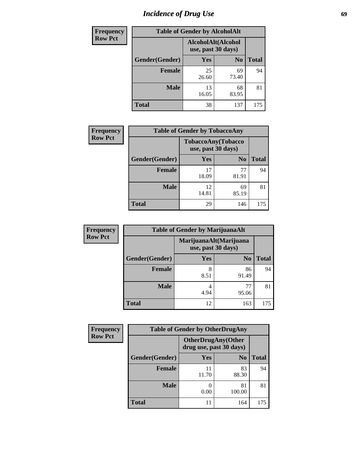# *Incidence of Drug Use* 69

| <b>Frequency</b> | <b>Table of Gender by AlcoholAlt</b> |                                          |                |              |  |
|------------------|--------------------------------------|------------------------------------------|----------------|--------------|--|
| <b>Row Pct</b>   |                                      | AlcoholAlt(Alcohol<br>use, past 30 days) |                |              |  |
|                  | Gender(Gender)                       | Yes                                      | N <sub>0</sub> | <b>Total</b> |  |
|                  | <b>Female</b>                        | 25<br>26.60                              | 69<br>73.40    | 94           |  |
|                  | <b>Male</b>                          | 13<br>16.05                              | 68<br>83.95    | 81           |  |
|                  | <b>Total</b>                         | 38                                       | 137            | 175          |  |

| Frequency      | <b>Table of Gender by TobaccoAny</b> |                    |                    |              |  |
|----------------|--------------------------------------|--------------------|--------------------|--------------|--|
| <b>Row Pct</b> |                                      | use, past 30 days) | TobaccoAny(Tobacco |              |  |
|                | Gender(Gender)                       | Yes                | N <sub>0</sub>     | <b>Total</b> |  |
|                | <b>Female</b>                        | 17<br>18.09        | 77<br>81.91        | 94           |  |
|                | <b>Male</b>                          | 12<br>14.81        | 69<br>85.19        | 81           |  |
|                | <b>Total</b>                         | 29                 | 146                | 175          |  |

| <b>Frequency</b> | <b>Table of Gender by MarijuanaAlt</b> |            |                                              |       |
|------------------|----------------------------------------|------------|----------------------------------------------|-------|
| <b>Row Pct</b>   |                                        |            | MarijuanaAlt(Marijuana<br>use, past 30 days) |       |
|                  | Gender(Gender)                         | <b>Yes</b> | N <sub>0</sub>                               | Total |
|                  | <b>Female</b>                          | 8<br>8.51  | 86<br>91.49                                  | 94    |
|                  | <b>Male</b>                            | 4<br>4.94  | 95.06                                        | 81    |
|                  | <b>Total</b>                           | 12         | 163                                          | 175   |

| <b>Frequency</b> | <b>Table of Gender by OtherDrugAny</b> |                                                      |                |              |
|------------------|----------------------------------------|------------------------------------------------------|----------------|--------------|
| <b>Row Pct</b>   |                                        | <b>OtherDrugAny(Other</b><br>drug use, past 30 days) |                |              |
|                  | Gender(Gender)                         | <b>Yes</b>                                           | N <sub>0</sub> | <b>Total</b> |
|                  | <b>Female</b>                          | 11.70                                                | 83<br>88.30    | 94           |
|                  | <b>Male</b>                            | 0.00                                                 | 81<br>100.00   | 81           |
|                  | <b>Total</b>                           |                                                      | 164            | 175          |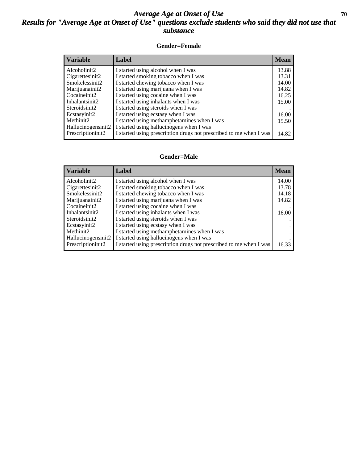### *Average Age at Onset of Use* 70 *Results for "Average Age at Onset of Use" questions exclude students who said they did not use that substance*

#### **Gender=Female**

| <b>Variable</b>    | <b>Label</b>                                                       | <b>Mean</b> |
|--------------------|--------------------------------------------------------------------|-------------|
| Alcoholinit2       | I started using alcohol when I was                                 | 13.88       |
| Cigarettesinit2    | I started smoking tobacco when I was                               | 13.31       |
| Smokelessinit2     | I started chewing tobacco when I was                               | 14.00       |
| Marijuanainit2     | I started using marijuana when I was                               | 14.82       |
| Cocaineinit2       | I started using cocaine when I was                                 | 16.25       |
| Inhalantsinit2     | I started using inhalants when I was                               | 15.00       |
| Steroidsinit2      | I started using steroids when I was                                |             |
| Ecstasyinit2       | I started using ecstasy when I was                                 | 16.00       |
| Methinit2          | I started using methamphetamines when I was                        | 15.50       |
| Hallucinogensinit2 | I started using hallucinogens when I was                           |             |
| Prescription in t2 | I started using prescription drugs not prescribed to me when I was | 14.82       |

#### **Gender=Male**

| <b>Variable</b>                 | Label                                                              | <b>Mean</b> |
|---------------------------------|--------------------------------------------------------------------|-------------|
| Alcoholinit2                    | I started using alcohol when I was                                 | 14.00       |
| Cigarettesinit2                 | I started smoking tobacco when I was                               | 13.78       |
| Smokelessinit2                  | I started chewing tobacco when I was                               | 14.18       |
| Marijuanainit2                  | I started using marijuana when I was                               | 14.82       |
| Cocaineinit2                    | I started using cocaine when I was                                 |             |
| Inhalantsinit2                  | I started using inhalants when I was                               | 16.00       |
| Steroidsinit2                   | I started using steroids when I was                                |             |
| Ecstasyinit2                    | I started using ecstasy when I was                                 |             |
| Methinit2                       | I started using methamphetamines when I was                        |             |
| Hallucinogensinit2              | I started using hallucinogens when I was                           |             |
| Prescription in it <sub>2</sub> | I started using prescription drugs not prescribed to me when I was | 16.33       |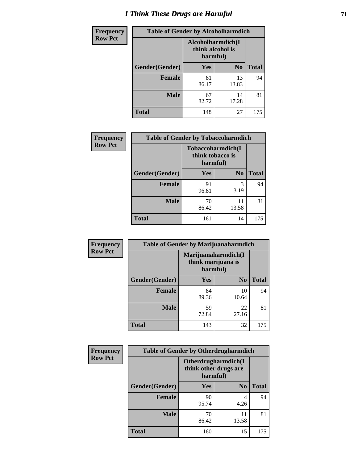# *I Think These Drugs are Harmful* **71**

| <b>Frequency</b> | <b>Table of Gender by Alcoholharmdich</b> |                                                   |                |              |
|------------------|-------------------------------------------|---------------------------------------------------|----------------|--------------|
| <b>Row Pct</b>   |                                           | Alcoholharmdich(I<br>think alcohol is<br>harmful) |                |              |
|                  | Gender(Gender)                            | Yes                                               | N <sub>0</sub> | <b>Total</b> |
|                  | <b>Female</b>                             | 81<br>86.17                                       | 13<br>13.83    | 94           |
|                  | <b>Male</b>                               | 67<br>82.72                                       | 14<br>17.28    | 81           |
|                  | Total                                     | 148                                               | 27             | 175          |

| Frequency      | <b>Table of Gender by Tobaccoharmdich</b> |                  |                               |              |
|----------------|-------------------------------------------|------------------|-------------------------------|--------------|
| <b>Row Pct</b> |                                           | think tobacco is | Tobaccoharmdich(I<br>harmful) |              |
|                | Gender(Gender)                            | Yes              | N <sub>0</sub>                | <b>Total</b> |
|                | <b>Female</b>                             | 91<br>96.81      | 3<br>3.19                     | 94           |
|                | <b>Male</b>                               | 70<br>86.42      | 11<br>13.58                   | 81           |
|                | <b>Total</b>                              | 161              | 14                            | 175          |

| Frequency      | <b>Table of Gender by Marijuanaharmdich</b> |                                |                     |              |  |
|----------------|---------------------------------------------|--------------------------------|---------------------|--------------|--|
| <b>Row Pct</b> |                                             | think marijuana is<br>harmful) | Marijuanaharmdich(I |              |  |
|                | Gender(Gender)                              | <b>Yes</b>                     | N <sub>0</sub>      | <b>Total</b> |  |
|                | <b>Female</b>                               | 84<br>89.36                    | 10<br>10.64         | 94           |  |
|                | <b>Male</b>                                 | 59<br>72.84                    | 22<br>27.16         | 81           |  |
|                | <b>Total</b>                                | 143                            | 32                  | 175          |  |

| <b>Frequency</b> | <b>Table of Gender by Otherdrugharmdich</b> |                                                          |                |              |  |
|------------------|---------------------------------------------|----------------------------------------------------------|----------------|--------------|--|
| <b>Row Pct</b>   |                                             | Otherdrugharmdich(I<br>think other drugs are<br>harmful) |                |              |  |
|                  | Gender(Gender)                              | <b>Yes</b>                                               | N <sub>0</sub> | <b>Total</b> |  |
|                  | <b>Female</b>                               | 90<br>95.74                                              | 4<br>4.26      | 94           |  |
|                  | <b>Male</b>                                 | 70<br>86.42                                              | 11<br>13.58    | 81           |  |
|                  | <b>Total</b>                                | 160                                                      | 15             | 175          |  |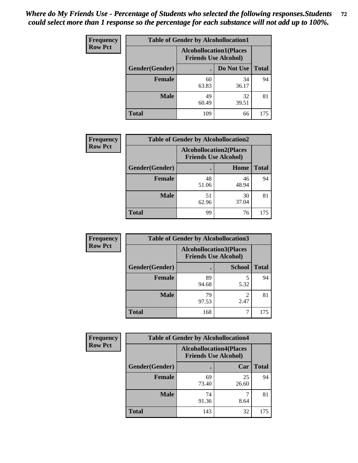| <b>Frequency</b> | <b>Table of Gender by Alcohollocation1</b> |                                                               |             |              |
|------------------|--------------------------------------------|---------------------------------------------------------------|-------------|--------------|
| <b>Row Pct</b>   |                                            | <b>Alcohollocation1(Places</b><br><b>Friends Use Alcohol)</b> |             |              |
|                  | Gender(Gender)                             |                                                               | Do Not Use  | <b>Total</b> |
|                  | <b>Female</b>                              | 60<br>63.83                                                   | 34<br>36.17 | 94           |
|                  | <b>Male</b>                                | 49<br>60.49                                                   | 32<br>39.51 | 81           |
|                  | <b>Total</b>                               | 109                                                           | 66          | 175          |

| <b>Frequency</b> | <b>Table of Gender by Alcohollocation2</b> |             |                                                               |              |  |
|------------------|--------------------------------------------|-------------|---------------------------------------------------------------|--------------|--|
| <b>Row Pct</b>   |                                            |             | <b>Alcohollocation2(Places</b><br><b>Friends Use Alcohol)</b> |              |  |
|                  | Gender(Gender)                             |             | Home                                                          | <b>Total</b> |  |
|                  | <b>Female</b>                              | 48<br>51.06 | 46<br>48.94                                                   | 94           |  |
|                  | <b>Male</b>                                | 51<br>62.96 | 30<br>37.04                                                   | 81           |  |
|                  | <b>Total</b>                               | 99          | 76                                                            | 175          |  |

| Frequency      | <b>Table of Gender by Alcohollocation3</b> |             |                                                               |              |
|----------------|--------------------------------------------|-------------|---------------------------------------------------------------|--------------|
| <b>Row Pct</b> |                                            |             | <b>Alcohollocation3(Places</b><br><b>Friends Use Alcohol)</b> |              |
|                | Gender(Gender)                             |             | <b>School</b>                                                 | <b>Total</b> |
|                | <b>Female</b>                              | 89<br>94.68 | 5.32                                                          | 94           |
|                | <b>Male</b>                                | 79<br>97.53 | 2.47                                                          | 81           |
|                | <b>Total</b>                               | 168         |                                                               | 175          |

| <b>Frequency</b> | <b>Table of Gender by Alcohollocation4</b> |                                                               |             |              |
|------------------|--------------------------------------------|---------------------------------------------------------------|-------------|--------------|
| <b>Row Pct</b>   |                                            | <b>Alcohollocation4(Places</b><br><b>Friends Use Alcohol)</b> |             |              |
|                  | Gender(Gender)                             |                                                               | Car         | <b>Total</b> |
|                  | <b>Female</b>                              | 69<br>73.40                                                   | 25<br>26.60 | 94           |
|                  | <b>Male</b>                                | 74<br>91.36                                                   | 8.64        | 81           |
|                  | <b>Total</b>                               | 143                                                           | 32          | 175          |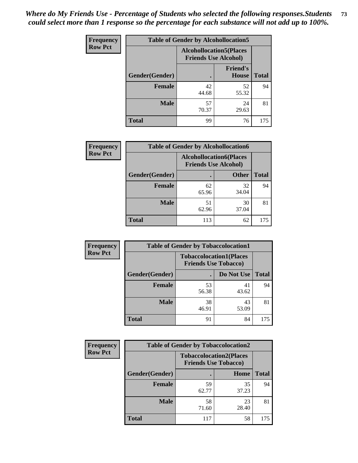| <b>Frequency</b> | <b>Table of Gender by Alcohollocation5</b> |                                                                |                                 |              |
|------------------|--------------------------------------------|----------------------------------------------------------------|---------------------------------|--------------|
| <b>Row Pct</b>   |                                            | <b>Alcohollocation5</b> (Places<br><b>Friends Use Alcohol)</b> |                                 |              |
|                  | Gender(Gender)                             | $\bullet$                                                      | <b>Friend's</b><br><b>House</b> | <b>Total</b> |
|                  | <b>Female</b>                              | 42<br>44.68                                                    | 52<br>55.32                     | 94           |
|                  | <b>Male</b>                                | 57<br>70.37                                                    | 24<br>29.63                     | 81           |
|                  | <b>Total</b>                               | 99                                                             | 76                              | 175          |

| Frequency      | <b>Table of Gender by Alcohollocation6</b> |                                                               |              |              |
|----------------|--------------------------------------------|---------------------------------------------------------------|--------------|--------------|
| <b>Row Pct</b> |                                            | <b>Alcohollocation6(Places</b><br><b>Friends Use Alcohol)</b> |              |              |
|                | Gender(Gender)                             |                                                               | <b>Other</b> | <b>Total</b> |
|                | <b>Female</b>                              | 62<br>65.96                                                   | 32<br>34.04  | 94           |
|                | <b>Male</b>                                | 51<br>62.96                                                   | 30<br>37.04  | 81           |
|                | <b>Total</b>                               | 113                                                           | 62           | 175          |

| Frequency      | <b>Table of Gender by Tobaccolocation1</b> |                                                               |             |              |  |
|----------------|--------------------------------------------|---------------------------------------------------------------|-------------|--------------|--|
| <b>Row Pct</b> |                                            | <b>Tobaccolocation1(Places</b><br><b>Friends Use Tobacco)</b> |             |              |  |
|                | Gender(Gender)                             |                                                               | Do Not Use  | <b>Total</b> |  |
|                | Female                                     | 53<br>56.38                                                   | 41<br>43.62 | 94           |  |
|                | <b>Male</b>                                | 38<br>46.91                                                   | 43<br>53.09 | 81           |  |
|                | <b>Total</b>                               | 91                                                            | 84          | 175          |  |

| Frequency      | <b>Table of Gender by Tobaccolocation2</b> |             |                                                               |              |
|----------------|--------------------------------------------|-------------|---------------------------------------------------------------|--------------|
| <b>Row Pct</b> |                                            |             | <b>Tobaccolocation2(Places</b><br><b>Friends Use Tobacco)</b> |              |
|                | <b>Gender</b> (Gender)                     |             | Home                                                          | <b>Total</b> |
|                | Female                                     | 59<br>62.77 | 35<br>37.23                                                   | 94           |
|                | <b>Male</b>                                | 58<br>71.60 | 23<br>28.40                                                   | 81           |
|                | <b>Total</b>                               | 117         | 58                                                            | 175          |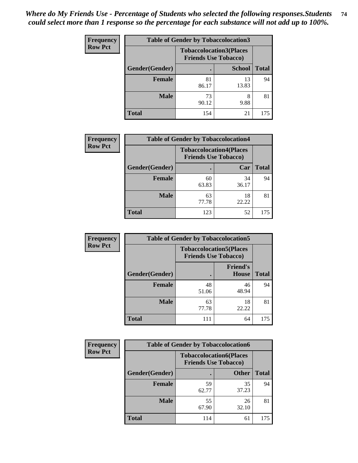| <b>Frequency</b> | <b>Table of Gender by Tobaccolocation3</b> |                             |                                |              |
|------------------|--------------------------------------------|-----------------------------|--------------------------------|--------------|
| <b>Row Pct</b>   |                                            | <b>Friends Use Tobacco)</b> | <b>Tobaccolocation3(Places</b> |              |
|                  | Gender(Gender)                             |                             | <b>School</b>                  | <b>Total</b> |
|                  | Female                                     | 81<br>86.17                 | 13<br>13.83                    | 94           |
|                  | <b>Male</b>                                | 73<br>90.12                 | 8<br>9.88                      | 81           |
|                  | Total                                      | 154                         | 21                             | 175          |

| <b>Frequency</b> | <b>Table of Gender by Tobaccolocation4</b> |                             |                                |              |
|------------------|--------------------------------------------|-----------------------------|--------------------------------|--------------|
| <b>Row Pct</b>   |                                            | <b>Friends Use Tobacco)</b> | <b>Tobaccolocation4(Places</b> |              |
|                  | Gender(Gender)                             |                             | Car                            | <b>Total</b> |
|                  | <b>Female</b>                              | 60<br>63.83                 | 34<br>36.17                    | 94           |
|                  | <b>Male</b>                                | 63<br>77.78                 | 18<br>22.22                    | 81           |
|                  | <b>Total</b>                               | 123                         | 52                             | 175          |

| <b>Frequency</b> | <b>Table of Gender by Tobaccolocation5</b> |                                                               |                                 |              |
|------------------|--------------------------------------------|---------------------------------------------------------------|---------------------------------|--------------|
| <b>Row Pct</b>   |                                            | <b>Tobaccolocation5(Places</b><br><b>Friends Use Tobacco)</b> |                                 |              |
|                  | Gender(Gender)                             |                                                               | <b>Friend's</b><br><b>House</b> | <b>Total</b> |
|                  | <b>Female</b>                              | 48<br>51.06                                                   | 46<br>48.94                     | 94           |
|                  | <b>Male</b>                                | 63<br>77.78                                                   | 18<br>22.22                     | 81           |
|                  | <b>Total</b>                               | 111                                                           | 64                              | 175          |

| <b>Frequency</b> | <b>Table of Gender by Tobaccolocation6</b> |                                                               |              |              |
|------------------|--------------------------------------------|---------------------------------------------------------------|--------------|--------------|
| <b>Row Pct</b>   |                                            | <b>Tobaccolocation6(Places</b><br><b>Friends Use Tobacco)</b> |              |              |
|                  | Gender(Gender)                             |                                                               | <b>Other</b> | <b>Total</b> |
|                  | Female                                     | 59<br>62.77                                                   | 35<br>37.23  | 94           |
|                  | <b>Male</b>                                | 55<br>67.90                                                   | 26<br>32.10  | 81           |
|                  | <b>Total</b>                               | 114                                                           | 61           | 175          |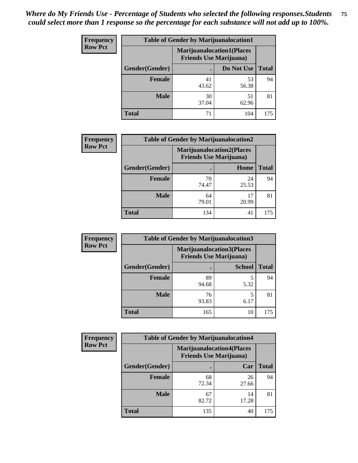| <b>Frequency</b> | <b>Table of Gender by Marijuanalocation1</b> |                                                                    |             |              |  |
|------------------|----------------------------------------------|--------------------------------------------------------------------|-------------|--------------|--|
| <b>Row Pct</b>   |                                              | <b>Marijuanalocation1(Places</b><br><b>Friends Use Marijuana</b> ) |             |              |  |
|                  | <b>Gender</b> (Gender)                       |                                                                    | Do Not Use  | <b>Total</b> |  |
|                  | <b>Female</b>                                | 41<br>43.62                                                        | 53<br>56.38 | 94           |  |
|                  | <b>Male</b>                                  | 30<br>37.04                                                        | 51<br>62.96 | 81           |  |
|                  | <b>Total</b>                                 | 71                                                                 | 104         | 175          |  |

| <b>Frequency</b> | <b>Table of Gender by Marijuanalocation2</b> |             |                                                                    |              |
|------------------|----------------------------------------------|-------------|--------------------------------------------------------------------|--------------|
| <b>Row Pct</b>   |                                              |             | <b>Marijuanalocation2(Places</b><br><b>Friends Use Marijuana</b> ) |              |
|                  | Gender(Gender)                               |             | Home                                                               | <b>Total</b> |
|                  | <b>Female</b>                                | 70<br>74.47 | 24<br>25.53                                                        | 94           |
|                  | <b>Male</b>                                  | 64<br>79.01 | 17<br>20.99                                                        | 81           |
|                  | <b>Total</b>                                 | 134         | 41                                                                 | 175          |

| Frequency      | <b>Table of Gender by Marijuanalocation3</b> |                                                                     |               |              |
|----------------|----------------------------------------------|---------------------------------------------------------------------|---------------|--------------|
| <b>Row Pct</b> |                                              | <b>Marijuanalocation3(Places)</b><br><b>Friends Use Marijuana</b> ) |               |              |
|                | Gender(Gender)                               |                                                                     | <b>School</b> | <b>Total</b> |
|                | Female                                       | 89<br>94.68                                                         | 5.32          | 94           |
|                | <b>Male</b>                                  | 76<br>93.83                                                         | 5<br>6.17     | 81           |
|                | <b>Total</b>                                 | 165                                                                 | 10            | 175          |

| <b>Frequency</b> | <b>Table of Gender by Marijuanalocation4</b> |                                                                    |             |              |
|------------------|----------------------------------------------|--------------------------------------------------------------------|-------------|--------------|
| <b>Row Pct</b>   |                                              | <b>Marijuanalocation4(Places</b><br><b>Friends Use Marijuana</b> ) |             |              |
|                  | Gender(Gender)                               |                                                                    | Car         | <b>Total</b> |
|                  | <b>Female</b>                                | 68<br>72.34                                                        | 26<br>27.66 | 94           |
|                  | <b>Male</b>                                  | 67<br>82.72                                                        | 14<br>17.28 | 81           |
|                  | <b>Total</b>                                 | 135                                                                | 40          | 175          |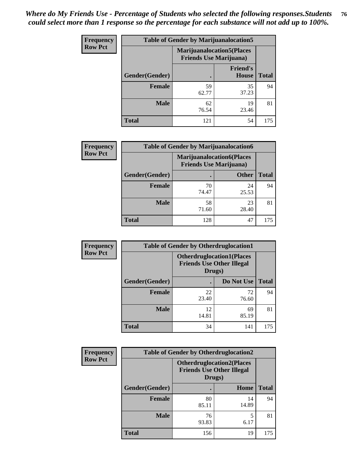| Frequency      | <b>Table of Gender by Marijuanalocation5</b> |                                                                    |                          |              |
|----------------|----------------------------------------------|--------------------------------------------------------------------|--------------------------|--------------|
| <b>Row Pct</b> |                                              | <b>Marijuanalocation5(Places</b><br><b>Friends Use Marijuana</b> ) |                          |              |
|                | Gender(Gender)                               |                                                                    | <b>Friend's</b><br>House | <b>Total</b> |
|                | <b>Female</b>                                | 59<br>62.77                                                        | 35<br>37.23              | 94           |
|                | <b>Male</b>                                  | 62<br>76.54                                                        | 19<br>23.46              | 81           |
|                | <b>Total</b>                                 | 121                                                                | 54                       | 175          |

| <b>Frequency</b> | <b>Table of Gender by Marijuanalocation6</b> |                                |                                  |              |  |
|------------------|----------------------------------------------|--------------------------------|----------------------------------|--------------|--|
| <b>Row Pct</b>   |                                              | <b>Friends Use Marijuana</b> ) | <b>Marijuanalocation6(Places</b> |              |  |
|                  | <b>Gender</b> (Gender)                       |                                | <b>Other</b>                     | <b>Total</b> |  |
|                  | <b>Female</b>                                | 70<br>74.47                    | 24<br>25.53                      | 94           |  |
|                  | <b>Male</b>                                  | 58<br>71.60                    | 23<br>28.40                      | 81           |  |
|                  | <b>Total</b>                                 | 128                            | 47                               | 175          |  |

| <b>Frequency</b> | <b>Table of Gender by Otherdruglocation1</b> |                                                                                |             |              |
|------------------|----------------------------------------------|--------------------------------------------------------------------------------|-------------|--------------|
| <b>Row Pct</b>   |                                              | <b>Otherdruglocation1(Places</b><br><b>Friends Use Other Illegal</b><br>Drugs) |             |              |
|                  | Gender(Gender)                               |                                                                                | Do Not Use  | <b>Total</b> |
|                  | Female                                       | 22<br>23.40                                                                    | 72<br>76.60 | 94           |
|                  | <b>Male</b>                                  | 12<br>14.81                                                                    | 69<br>85.19 | 81           |
|                  | <b>Total</b>                                 | 34                                                                             | 141         | 175          |

| <b>Frequency</b> | <b>Table of Gender by Otherdruglocation2</b> |                                            |                                  |              |
|------------------|----------------------------------------------|--------------------------------------------|----------------------------------|--------------|
| <b>Row Pct</b>   |                                              | <b>Friends Use Other Illegal</b><br>Drugs) | <b>Otherdruglocation2(Places</b> |              |
|                  | Gender(Gender)                               |                                            | Home                             | <b>Total</b> |
|                  | Female                                       | 80<br>85.11                                | 14<br>14.89                      | 94           |
|                  | <b>Male</b>                                  | 76<br>93.83                                | 5<br>6.17                        | 81           |
|                  | <b>Total</b>                                 | 156                                        | 19                               | 175          |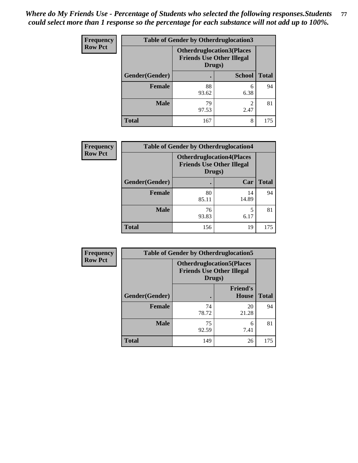| <b>Frequency</b> | <b>Table of Gender by Otherdruglocation3</b> |                                                                                |               |              |
|------------------|----------------------------------------------|--------------------------------------------------------------------------------|---------------|--------------|
| <b>Row Pct</b>   |                                              | <b>Otherdruglocation3(Places</b><br><b>Friends Use Other Illegal</b><br>Drugs) |               |              |
|                  | Gender(Gender)                               |                                                                                | <b>School</b> | <b>Total</b> |
|                  | <b>Female</b>                                | 88<br>93.62                                                                    | 6<br>6.38     | 94           |
|                  | <b>Male</b>                                  | 79<br>97.53                                                                    | ∍<br>2.47     | 81           |
|                  | <b>Total</b>                                 | 167                                                                            | 8             | 175          |

| Frequency      | <b>Table of Gender by Otherdruglocation4</b> |                                            |                                  |              |
|----------------|----------------------------------------------|--------------------------------------------|----------------------------------|--------------|
| <b>Row Pct</b> |                                              | <b>Friends Use Other Illegal</b><br>Drugs) | <b>Otherdruglocation4(Places</b> |              |
|                | Gender(Gender)                               |                                            | Car                              | <b>Total</b> |
|                | Female                                       | 80<br>85.11                                | 14<br>14.89                      | 94           |
|                | <b>Male</b>                                  | 76<br>93.83                                | 5<br>6.17                        | 81           |
|                | <b>Total</b>                                 | 156                                        | 19                               | 175          |

| <b>Frequency</b> | <b>Table of Gender by Otherdruglocation5</b> |             |                                                                      |              |
|------------------|----------------------------------------------|-------------|----------------------------------------------------------------------|--------------|
| <b>Row Pct</b>   |                                              | Drugs)      | <b>Otherdruglocation5(Places</b><br><b>Friends Use Other Illegal</b> |              |
|                  | Gender(Gender)                               |             | <b>Friend's</b><br><b>House</b>                                      | <b>Total</b> |
|                  | <b>Female</b>                                | 74<br>78.72 | 20<br>21.28                                                          | 94           |
|                  | <b>Male</b>                                  | 75<br>92.59 | 6<br>7.41                                                            | 81           |
|                  | <b>Total</b>                                 | 149         | 26                                                                   | 175          |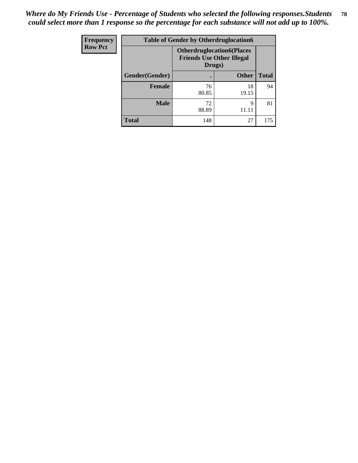| <b>Frequency</b> | <b>Table of Gender by Otherdruglocation6</b> |                                            |                                  |              |
|------------------|----------------------------------------------|--------------------------------------------|----------------------------------|--------------|
| <b>Row Pct</b>   |                                              | <b>Friends Use Other Illegal</b><br>Drugs) | <b>Otherdruglocation6(Places</b> |              |
|                  | Gender(Gender)                               |                                            | <b>Other</b>                     | <b>Total</b> |
|                  | <b>Female</b>                                | 76<br>80.85                                | 18<br>19.15                      | 94           |
|                  | <b>Male</b>                                  | 72<br>88.89                                | Q<br>11.11                       | 81           |
|                  | <b>Total</b>                                 | 148                                        | 27                               | 175          |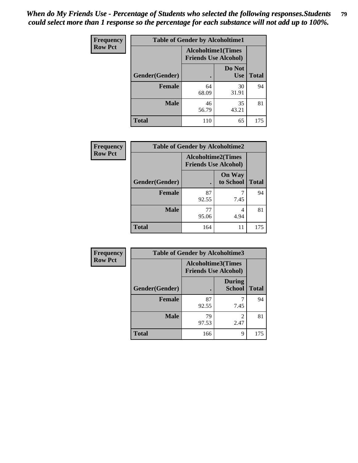| Frequency      | <b>Table of Gender by Alcoholtime1</b> |                                                          |                      |              |
|----------------|----------------------------------------|----------------------------------------------------------|----------------------|--------------|
| <b>Row Pct</b> |                                        | <b>Alcoholtime1(Times</b><br><b>Friends Use Alcohol)</b> |                      |              |
|                | Gender(Gender)                         | $\bullet$                                                | Do Not<br><b>Use</b> | <b>Total</b> |
|                | <b>Female</b>                          | 64<br>68.09                                              | 30<br>31.91          | 94           |
|                | <b>Male</b>                            | 46<br>56.79                                              | 35<br>43.21          | 81           |
|                | <b>Total</b>                           | 110                                                      | 65                   | 175          |

| <b>Frequency</b> | <b>Table of Gender by Alcoholtime2</b> |                                                          |                            |              |
|------------------|----------------------------------------|----------------------------------------------------------|----------------------------|--------------|
| <b>Row Pct</b>   |                                        | <b>Alcoholtime2(Times</b><br><b>Friends Use Alcohol)</b> |                            |              |
|                  | Gender(Gender)                         |                                                          | <b>On Way</b><br>to School | <b>Total</b> |
|                  | <b>Female</b>                          | 87<br>92.55                                              | 7.45                       | 94           |
|                  | <b>Male</b>                            | 77<br>95.06                                              | 4<br>4.94                  | 81           |
|                  | <b>Total</b>                           | 164                                                      | 11                         | 175          |

| Frequency      | <b>Table of Gender by Alcoholtime3</b> |                                                   |                                  |              |
|----------------|----------------------------------------|---------------------------------------------------|----------------------------------|--------------|
| <b>Row Pct</b> |                                        | Alcoholtime3(Times<br><b>Friends Use Alcohol)</b> |                                  |              |
|                | Gender(Gender)                         |                                                   | <b>During</b><br><b>School</b>   | <b>Total</b> |
|                | Female                                 | 87<br>92.55                                       | 7.45                             | 94           |
|                | <b>Male</b>                            | 79<br>97.53                                       | $\overline{\mathcal{L}}$<br>2.47 | 81           |
|                | <b>Total</b>                           | 166                                               | 9                                | 175          |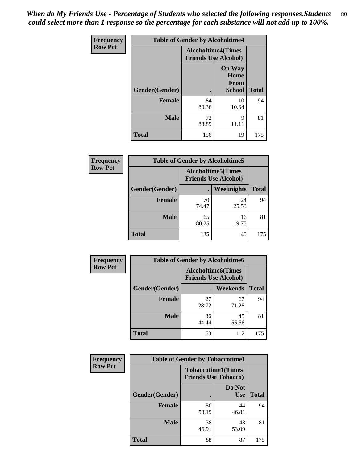*When do My Friends Use - Percentage of Students who selected the following responses.Students could select more than 1 response so the percentage for each substance will not add up to 100%.* **80**

| <b>Frequency</b> | <b>Table of Gender by Alcoholtime4</b> |                                                          |                                         |              |
|------------------|----------------------------------------|----------------------------------------------------------|-----------------------------------------|--------------|
| <b>Row Pct</b>   |                                        | <b>Alcoholtime4(Times</b><br><b>Friends Use Alcohol)</b> |                                         |              |
|                  | Gender(Gender)                         |                                                          | <b>On Way</b><br>Home<br>From<br>School | <b>Total</b> |
|                  | <b>Female</b>                          | 84<br>89.36                                              | 10<br>10.64                             | 94           |
|                  | <b>Male</b>                            | 72<br>88.89                                              | 9<br>11.11                              | 81           |
|                  | <b>Total</b>                           | 156                                                      | 19                                      | 175          |

| <b>Frequency</b> | <b>Table of Gender by Alcoholtime5</b> |                                                           |             |              |
|------------------|----------------------------------------|-----------------------------------------------------------|-------------|--------------|
| <b>Row Pct</b>   |                                        | <b>Alcoholtime5</b> (Times<br><b>Friends Use Alcohol)</b> |             |              |
|                  | Gender(Gender)                         |                                                           | Weeknights  | <b>Total</b> |
|                  | <b>Female</b>                          | 70<br>74.47                                               | 24<br>25.53 | 94           |
|                  | <b>Male</b>                            | 65<br>80.25                                               | 16<br>19.75 | 81           |
|                  | <b>Total</b>                           | 135                                                       | 40          | 175          |

| <b>Frequency</b> | <b>Table of Gender by Alcoholtime6</b> |             |                                                          |              |  |
|------------------|----------------------------------------|-------------|----------------------------------------------------------|--------------|--|
| <b>Row Pct</b>   |                                        |             | <b>Alcoholtime6(Times</b><br><b>Friends Use Alcohol)</b> |              |  |
|                  | Gender(Gender)                         |             | Weekends                                                 | <b>Total</b> |  |
|                  | Female                                 | 27<br>28.72 | 67<br>71.28                                              | 94           |  |
|                  | <b>Male</b>                            | 36<br>44.44 | 45<br>55.56                                              | 81           |  |
|                  | <b>Total</b>                           | 63          | 112                                                      | 175          |  |

| Frequency      | <b>Table of Gender by Tobaccotime1</b> |                                                          |                      |              |
|----------------|----------------------------------------|----------------------------------------------------------|----------------------|--------------|
| <b>Row Pct</b> |                                        | <b>Tobaccotime1(Times</b><br><b>Friends Use Tobacco)</b> |                      |              |
|                | Gender(Gender)                         |                                                          | Do Not<br><b>Use</b> | <b>Total</b> |
|                | <b>Female</b>                          | 50<br>53.19                                              | 44<br>46.81          | 94           |
|                | <b>Male</b>                            | 38<br>46.91                                              | 43<br>53.09          | 81           |
|                | <b>Total</b>                           | 88                                                       | 87                   | 175          |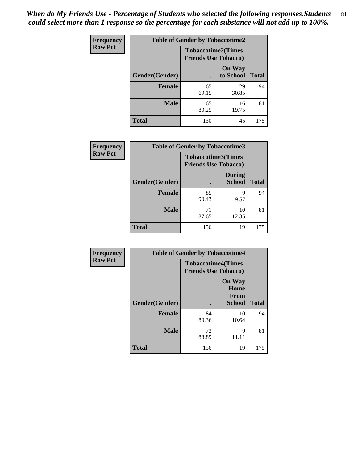| <b>Frequency</b> | <b>Table of Gender by Tobaccotime2</b> |                                                          |                            |              |
|------------------|----------------------------------------|----------------------------------------------------------|----------------------------|--------------|
| <b>Row Pct</b>   |                                        | <b>Tobaccotime2(Times</b><br><b>Friends Use Tobacco)</b> |                            |              |
|                  | Gender(Gender)                         |                                                          | <b>On Way</b><br>to School | <b>Total</b> |
|                  | <b>Female</b>                          | 65<br>69.15                                              | 29<br>30.85                | 94           |
|                  | <b>Male</b>                            | 65<br>80.25                                              | 16<br>19.75                | 81           |
|                  | <b>Total</b>                           | 130                                                      | 45                         | 175          |

| Frequency      | <b>Table of Gender by Tobaccotime3</b> |                                                          |                                |              |
|----------------|----------------------------------------|----------------------------------------------------------|--------------------------------|--------------|
| <b>Row Pct</b> |                                        | <b>Tobaccotime3(Times</b><br><b>Friends Use Tobacco)</b> |                                |              |
|                | Gender(Gender)                         |                                                          | <b>During</b><br><b>School</b> | <b>Total</b> |
|                | Female                                 | 85<br>90.43                                              | Q<br>9.57                      | 94           |
|                | <b>Male</b>                            | 71<br>87.65                                              | 10<br>12.35                    | 81           |
|                | <b>Total</b>                           | 156                                                      | 19                             | 175          |

| Frequency      | <b>Table of Gender by Tobaccotime4</b> |                                                          |                                                       |              |
|----------------|----------------------------------------|----------------------------------------------------------|-------------------------------------------------------|--------------|
| <b>Row Pct</b> |                                        | <b>Tobaccotime4(Times</b><br><b>Friends Use Tobacco)</b> |                                                       |              |
|                | Gender(Gender)                         |                                                          | <b>On Way</b><br>Home<br><b>From</b><br><b>School</b> | <b>Total</b> |
|                | <b>Female</b>                          | 84<br>89.36                                              | 10<br>10.64                                           | 94           |
|                | <b>Male</b>                            | 72<br>88.89                                              | 9<br>11.11                                            | 81           |
|                | <b>Total</b>                           | 156                                                      | 19                                                    | 175          |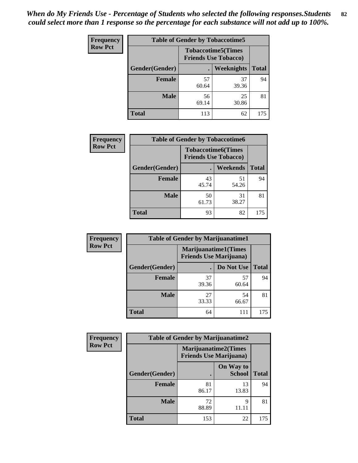| <b>Frequency</b> | <b>Table of Gender by Tobaccotime5</b> |             |                                                           |              |  |
|------------------|----------------------------------------|-------------|-----------------------------------------------------------|--------------|--|
| <b>Row Pct</b>   |                                        |             | <b>Tobaccotime5</b> (Times<br><b>Friends Use Tobacco)</b> |              |  |
|                  | <b>Gender</b> (Gender)                 |             | Weeknights                                                | <b>Total</b> |  |
|                  | <b>Female</b>                          | 57<br>60.64 | 37<br>39.36                                               | 94           |  |
|                  | <b>Male</b>                            | 56<br>69.14 | 25<br>30.86                                               | 81           |  |
|                  | <b>Total</b>                           | 113         | 62                                                        | 175          |  |

| <b>Frequency</b> | <b>Table of Gender by Tobaccotime6</b> |                             |                           |              |  |
|------------------|----------------------------------------|-----------------------------|---------------------------|--------------|--|
| <b>Row Pct</b>   |                                        | <b>Friends Use Tobacco)</b> | <b>Tobaccotime6(Times</b> |              |  |
|                  | Gender(Gender)                         |                             | Weekends                  | <b>Total</b> |  |
|                  | Female                                 | 43<br>45.74                 | 51<br>54.26               | 94           |  |
|                  | <b>Male</b>                            | 50<br>61.73                 | 31<br>38.27               | 81           |  |
|                  | <b>Total</b>                           | 93                          | 82                        | 175          |  |

| <b>Frequency</b> | <b>Table of Gender by Marijuanatime1</b> |                                |                             |              |
|------------------|------------------------------------------|--------------------------------|-----------------------------|--------------|
| <b>Row Pct</b>   |                                          | <b>Friends Use Marijuana</b> ) | <b>Marijuanatime1(Times</b> |              |
|                  | Gender(Gender)                           |                                | Do Not Use                  | <b>Total</b> |
|                  | <b>Female</b>                            | 37<br>39.36                    | 57<br>60.64                 | 94           |
|                  | <b>Male</b>                              | 27<br>33.33                    | 54<br>66.67                 | 81           |
|                  | <b>Total</b>                             | 64                             | 111                         | 175          |

| <b>Frequency</b> | <b>Table of Gender by Marijuanatime2</b> |                                                        |                            |              |
|------------------|------------------------------------------|--------------------------------------------------------|----------------------------|--------------|
| <b>Row Pct</b>   |                                          | Marijuanatime2(Times<br><b>Friends Use Marijuana</b> ) |                            |              |
|                  | Gender(Gender)                           |                                                        | On Way to<br><b>School</b> | <b>Total</b> |
|                  | <b>Female</b>                            | 81<br>86.17                                            | 13<br>13.83                | 94           |
|                  | <b>Male</b>                              | 72<br>88.89                                            | 9<br>11.11                 | 81           |
|                  | <b>Total</b>                             | 153                                                    | 22                         | 175          |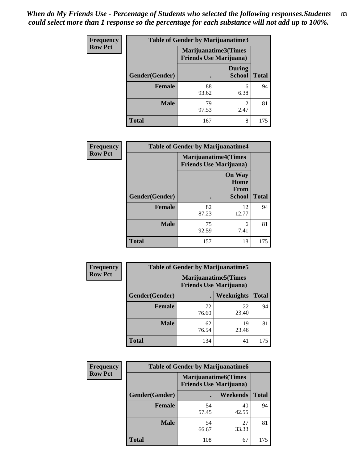| <b>Frequency</b> | Table of Gender by Marijuanatime3 |                                                                |                                |              |
|------------------|-----------------------------------|----------------------------------------------------------------|--------------------------------|--------------|
| <b>Row Pct</b>   |                                   | <b>Marijuanatime3</b> (Times<br><b>Friends Use Marijuana</b> ) |                                |              |
|                  | Gender(Gender)                    |                                                                | <b>During</b><br><b>School</b> | <b>Total</b> |
|                  | <b>Female</b>                     | 88<br>93.62                                                    | 6<br>6.38                      | 94           |
|                  | <b>Male</b>                       | 79<br>97.53                                                    | $\mathfrak{D}$<br>2.47         | 81           |
|                  | <b>Total</b>                      | 167                                                            | 8                              | 175          |

| Frequency      | <b>Table of Gender by Marijuanatime4</b> |                                                               |                                                |              |
|----------------|------------------------------------------|---------------------------------------------------------------|------------------------------------------------|--------------|
| <b>Row Pct</b> |                                          | <b>Marijuanatime4(Times</b><br><b>Friends Use Marijuana</b> ) |                                                |              |
|                | Gender(Gender)                           |                                                               | <b>On Way</b><br>Home<br>From<br><b>School</b> | <b>Total</b> |
|                | <b>Female</b>                            | 82<br>87.23                                                   | 12<br>12.77                                    | 94           |
|                | <b>Male</b>                              | 75<br>92.59                                                   | 6<br>7.41                                      | 81           |
|                | <b>Total</b>                             | 157                                                           | 18                                             | 175          |

| Frequency      | <b>Table of Gender by Marijuanatime5</b> |                                                                |             |              |
|----------------|------------------------------------------|----------------------------------------------------------------|-------------|--------------|
| <b>Row Pct</b> |                                          | <b>Marijuanatime5</b> (Times<br><b>Friends Use Marijuana</b> ) |             |              |
|                | Gender(Gender)                           |                                                                | Weeknights  | <b>Total</b> |
|                | <b>Female</b>                            | 72<br>76.60                                                    | 22<br>23.40 | 94           |
|                | <b>Male</b>                              | 62<br>76.54                                                    | 19<br>23.46 | 81           |
|                | <b>Total</b>                             | 134                                                            | 41          | 175          |

| Frequency      | <b>Table of Gender by Marijuanatime6</b> |                                                               |                 |              |
|----------------|------------------------------------------|---------------------------------------------------------------|-----------------|--------------|
| <b>Row Pct</b> |                                          | <b>Marijuanatime6(Times</b><br><b>Friends Use Marijuana</b> ) |                 |              |
|                | Gender(Gender)                           |                                                               | <b>Weekends</b> | <b>Total</b> |
|                | <b>Female</b>                            | 54<br>57.45                                                   | 40<br>42.55     | 94           |
|                | <b>Male</b>                              | 54<br>66.67                                                   | 27<br>33.33     | 81           |
|                | <b>Total</b>                             | 108                                                           | 67              | 175          |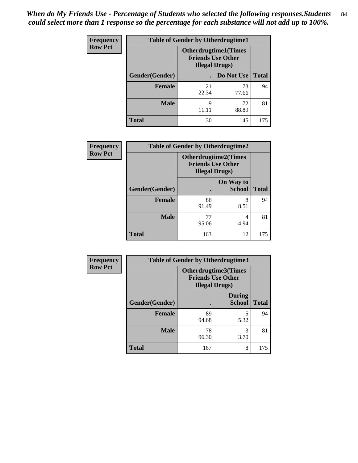*When do My Friends Use - Percentage of Students who selected the following responses.Students could select more than 1 response so the percentage for each substance will not add up to 100%.* **84**

| <b>Frequency</b> | <b>Table of Gender by Otherdrugtime1</b> |                                                                                    |                    |     |
|------------------|------------------------------------------|------------------------------------------------------------------------------------|--------------------|-----|
| <b>Row Pct</b>   |                                          | <b>Otherdrugtime1</b> (Times<br><b>Friends Use Other</b><br><b>Illegal Drugs</b> ) |                    |     |
|                  | Gender(Gender)                           |                                                                                    | Do Not Use   Total |     |
|                  | <b>Female</b>                            | 21<br>22.34                                                                        | 73<br>77.66        | 94  |
|                  | <b>Male</b>                              | 9<br>11.11                                                                         | 72<br>88.89        | 81  |
|                  | <b>Total</b>                             | 30                                                                                 | 145                | 175 |

| Frequency      | <b>Table of Gender by Otherdrugtime2</b> |                                                                                   |                            |              |  |
|----------------|------------------------------------------|-----------------------------------------------------------------------------------|----------------------------|--------------|--|
| <b>Row Pct</b> |                                          | <b>Otherdrugtime2(Times</b><br><b>Friends Use Other</b><br><b>Illegal Drugs</b> ) |                            |              |  |
|                | Gender(Gender)                           | $\bullet$                                                                         | On Way to<br><b>School</b> | <b>Total</b> |  |
|                | <b>Female</b>                            | 86<br>91.49                                                                       | 8<br>8.51                  | 94           |  |
|                | <b>Male</b>                              | 77<br>95.06                                                                       | 4<br>4.94                  | 81           |  |
|                | <b>Total</b>                             | 163                                                                               | 12                         | 175          |  |

| Frequency      | <b>Table of Gender by Otherdrugtime3</b> |                                                                            |                                |              |  |
|----------------|------------------------------------------|----------------------------------------------------------------------------|--------------------------------|--------------|--|
| <b>Row Pct</b> |                                          | Otherdrugtime3(Times<br><b>Friends Use Other</b><br><b>Illegal Drugs</b> ) |                                |              |  |
|                | Gender(Gender)                           |                                                                            | <b>During</b><br><b>School</b> | <b>Total</b> |  |
|                | <b>Female</b>                            | 89<br>94.68                                                                | 5<br>5.32                      | 94           |  |
|                | <b>Male</b>                              | 78<br>96.30                                                                | 3<br>3.70                      | 81           |  |
|                | <b>Total</b>                             | 167                                                                        | 8                              | 175          |  |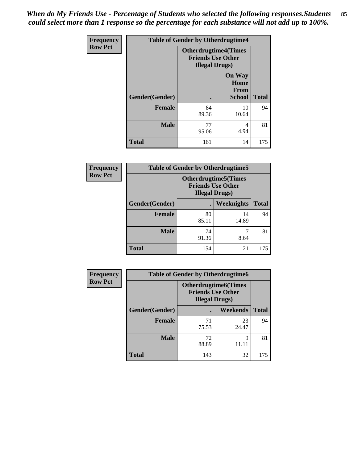*When do My Friends Use - Percentage of Students who selected the following responses.Students could select more than 1 response so the percentage for each substance will not add up to 100%.* **85**

| <b>Frequency</b> | <b>Table of Gender by Otherdrugtime4</b> |                                                                                   |                                                       |              |  |
|------------------|------------------------------------------|-----------------------------------------------------------------------------------|-------------------------------------------------------|--------------|--|
| <b>Row Pct</b>   |                                          | <b>Otherdrugtime4(Times</b><br><b>Friends Use Other</b><br><b>Illegal Drugs</b> ) |                                                       |              |  |
|                  | Gender(Gender)                           |                                                                                   | <b>On Way</b><br>Home<br><b>From</b><br><b>School</b> | <b>Total</b> |  |
|                  | <b>Female</b>                            | 84<br>89.36                                                                       | 10<br>10.64                                           | 94           |  |
|                  | <b>Male</b>                              | 77<br>95.06                                                                       | 4<br>4.94                                             | 81           |  |
|                  | <b>Total</b>                             | 161                                                                               | 14                                                    | 175          |  |

| Frequency      | <b>Table of Gender by Otherdrugtime5</b> |                                                                                    |             |              |
|----------------|------------------------------------------|------------------------------------------------------------------------------------|-------------|--------------|
| <b>Row Pct</b> |                                          | <b>Otherdrugtime5</b> (Times<br><b>Friends Use Other</b><br><b>Illegal Drugs</b> ) |             |              |
|                | Gender(Gender)                           |                                                                                    | Weeknights  | <b>Total</b> |
|                | <b>Female</b>                            | 80<br>85.11                                                                        | 14<br>14.89 | 94           |
|                | <b>Male</b>                              | 74<br>91.36                                                                        | 8.64        | 81           |
|                | <b>Total</b>                             | 154                                                                                | 21          | 175          |

| <b>Frequency</b> | <b>Table of Gender by Otherdrugtime6</b> |                                                                                   |             |              |
|------------------|------------------------------------------|-----------------------------------------------------------------------------------|-------------|--------------|
| <b>Row Pct</b>   |                                          | <b>Otherdrugtime6(Times</b><br><b>Friends Use Other</b><br><b>Illegal Drugs</b> ) |             |              |
|                  | Gender(Gender)                           |                                                                                   | Weekends    | <b>Total</b> |
|                  | <b>Female</b>                            | 71<br>75.53                                                                       | 23<br>24.47 | 94           |
|                  | <b>Male</b>                              | 72<br>88.89                                                                       | Q           | 81           |
|                  | <b>Total</b>                             | 143                                                                               | 32          | 175          |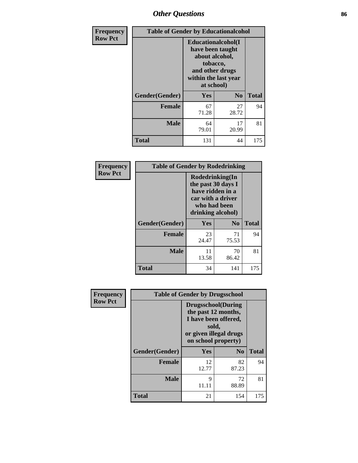# *Other Questions* **86**

| Frequency      | <b>Table of Gender by Educationalcohol</b> |                                                                                                                               |                |              |
|----------------|--------------------------------------------|-------------------------------------------------------------------------------------------------------------------------------|----------------|--------------|
| <b>Row Pct</b> |                                            | Educationalcohol(I<br>have been taught<br>about alcohol,<br>tobacco,<br>and other drugs<br>within the last year<br>at school) |                |              |
|                | Gender(Gender)                             | Yes                                                                                                                           | N <sub>0</sub> | <b>Total</b> |
|                | <b>Female</b>                              | 67<br>71.28                                                                                                                   | 27<br>28.72    | 94           |
|                | <b>Male</b>                                | 64<br>79.01                                                                                                                   | 17<br>20.99    | 81           |
|                | <b>Total</b>                               | 131                                                                                                                           | 44             | 175          |

| Frequency      | <b>Table of Gender by Rodedrinking</b> |                                                                                                                     |                |              |
|----------------|----------------------------------------|---------------------------------------------------------------------------------------------------------------------|----------------|--------------|
| <b>Row Pct</b> |                                        | Rodedrinking(In<br>the past 30 days I<br>have ridden in a<br>car with a driver<br>who had been<br>drinking alcohol) |                |              |
|                | Gender(Gender)                         | Yes                                                                                                                 | N <sub>0</sub> | <b>Total</b> |
|                | <b>Female</b>                          | 23<br>24.47                                                                                                         | 71<br>75.53    | 94           |
|                | <b>Male</b>                            | 11<br>13.58                                                                                                         | 70<br>86.42    | 81           |
|                | <b>Total</b>                           | 34                                                                                                                  | 141            | 175          |

| Frequency      |                | <b>Table of Gender by Drugsschool</b>                                                                                               |                |              |
|----------------|----------------|-------------------------------------------------------------------------------------------------------------------------------------|----------------|--------------|
| <b>Row Pct</b> |                | <b>Drugsschool</b> (During<br>the past 12 months,<br>I have been offered,<br>sold,<br>or given illegal drugs<br>on school property) |                |              |
|                | Gender(Gender) | Yes                                                                                                                                 | N <sub>0</sub> | <b>Total</b> |
|                | <b>Female</b>  | 12<br>12.77                                                                                                                         | 82<br>87.23    | 94           |
|                | <b>Male</b>    | 9<br>11.11                                                                                                                          | 72<br>88.89    | 81           |
|                | <b>Total</b>   | 21                                                                                                                                  | 154            | 175          |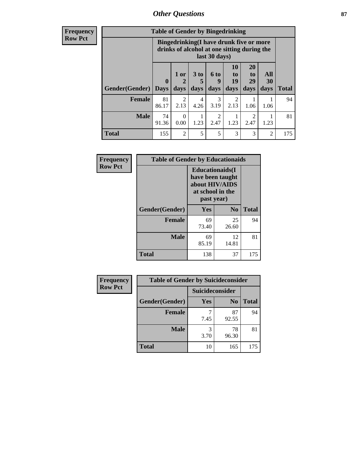# *Other Questions* **87**

**Frequency Row Pct**

| <b>Table of Gender by Bingedrinking</b> |                                                                                                         |                  |           |                        |                |                       |                  |              |
|-----------------------------------------|---------------------------------------------------------------------------------------------------------|------------------|-----------|------------------------|----------------|-----------------------|------------------|--------------|
|                                         | Bingedrinking(I have drunk five or more<br>drinks of alcohol at one sitting during the<br>last 30 days) |                  |           |                        |                |                       |                  |              |
|                                         | $\mathbf 0$                                                                                             | 1 or             | 3 to<br>5 | 6 to<br>q              | 10<br>to<br>19 | <b>20</b><br>to<br>29 | All<br><b>30</b> |              |
| <b>Gender</b> (Gender)   Days           |                                                                                                         | days             | days      | days                   | days           | days                  | days             | <b>Total</b> |
| <b>Female</b>                           | 81<br>86.17                                                                                             | 2<br>2.13        | 4<br>4.26 | 3<br>3.19              | 2<br>2.13      | 1.06                  | 1.06             | 94           |
| <b>Male</b>                             | 74<br>91.36                                                                                             | $\Omega$<br>0.00 | 1.23      | $\mathfrak{D}$<br>2.47 | 1.23           | 2<br>2.47             | 1.23             | 81           |

| Frequency      | <b>Table of Gender by Educationaids</b> |                                                                                                 |                |              |
|----------------|-----------------------------------------|-------------------------------------------------------------------------------------------------|----------------|--------------|
| <b>Row Pct</b> |                                         | <b>Educationaids</b> (I<br>have been taught<br>about HIV/AIDS<br>at school in the<br>past year) |                |              |
|                | Gender(Gender)                          | Yes                                                                                             | N <sub>0</sub> | <b>Total</b> |
|                | <b>Female</b>                           | 69<br>73.40                                                                                     | 25<br>26.60    | 94           |
|                | <b>Male</b>                             | 69<br>85.19                                                                                     | 12<br>14.81    | 81           |
|                | <b>Total</b>                            | 138                                                                                             | 37             | 175          |

| Frequency      | <b>Table of Gender by Suicideconsider</b> |                 |                |              |
|----------------|-------------------------------------------|-----------------|----------------|--------------|
| <b>Row Pct</b> |                                           | Suicideconsider |                |              |
|                | Gender(Gender)                            | Yes             | N <sub>0</sub> | <b>Total</b> |
|                | <b>Female</b>                             | 7.45            | 87<br>92.55    | 94           |
|                | <b>Male</b>                               | 3.70            | 78<br>96.30    | 81           |
|                | <b>Total</b>                              | 10              | 165            | 175          |